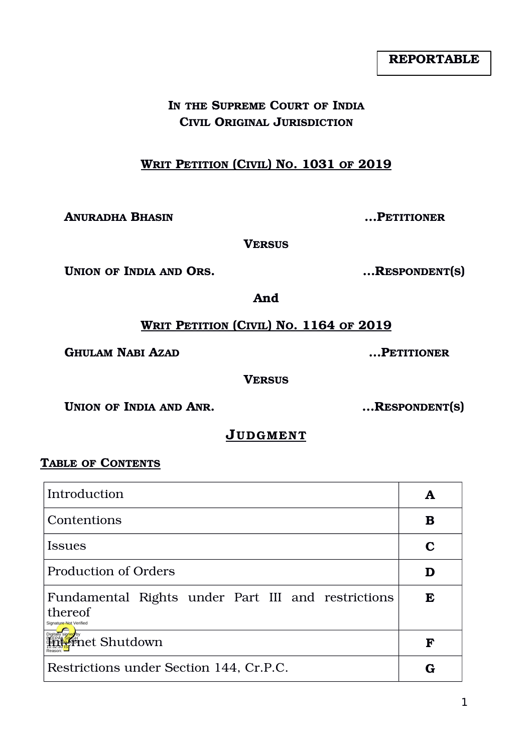# **IN THE SUPREME COURT OF INDIA CIVIL ORIGINAL JURISDICTION**

# **WRIT PETITION (CIVIL) NO. 1031 OF 2019**

**ANURADHA BHASIN …PETITIONER**

**VERSUS**

 **UNION** OF INDIA AND ORS. <br>
...RESPONDENT(S)

**And**

 **WRIT PETITION (CIVIL) NO. 1164 OF 2019**

**GHULAM NABI AZAD …PETITIONER**

**VERSUS**

**UNION OF INDIA AND ANR. …RESPONDENT(S)**

# **JUDGMEN T**

#### **TABLE OF CONTENTS**

| Introduction                                                                            |   |
|-----------------------------------------------------------------------------------------|---|
| Contentions                                                                             | В |
| Issues                                                                                  |   |
| Production of Orders                                                                    |   |
| Fundamental Rights under Part III and restrictions<br>thereof<br>Signature Not Verified | E |
| <b>Friet Shutdown</b>                                                                   | F |
| Restrictions under Section 144, Cr.P.C.                                                 |   |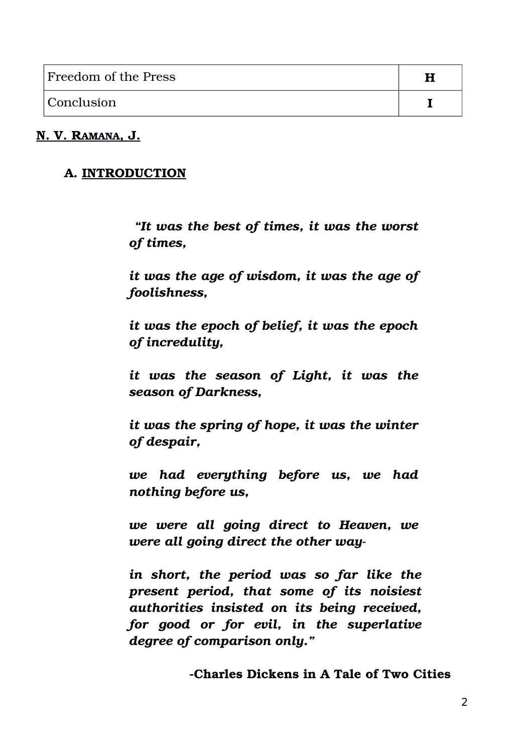| Freedom of the Press |  |
|----------------------|--|
| Conclusion           |  |

#### **N. V. RAMANA, J.**

#### **A. INTRODUCTION**

 *"It was the best of times, it was the worst of times,* 

*it was the age of wisdom, it was the age of foolishness,* 

*it was the epoch of belief, it was the epoch of incredulity,* 

*it was the season of Light, it was the season of Darkness,* 

*it was the spring of hope, it was the winter of despair,* 

*we had everything before us, we had nothing before us,*

*we were all going direct to Heaven, we were all going direct the other way* 

*in short, the period was so far like the present period, that some of its noisiest authorities insisted on its being received, for good or for evil, in the superlative degree of comparison only."*

**Charles Dickens in A Tale of Two Cities**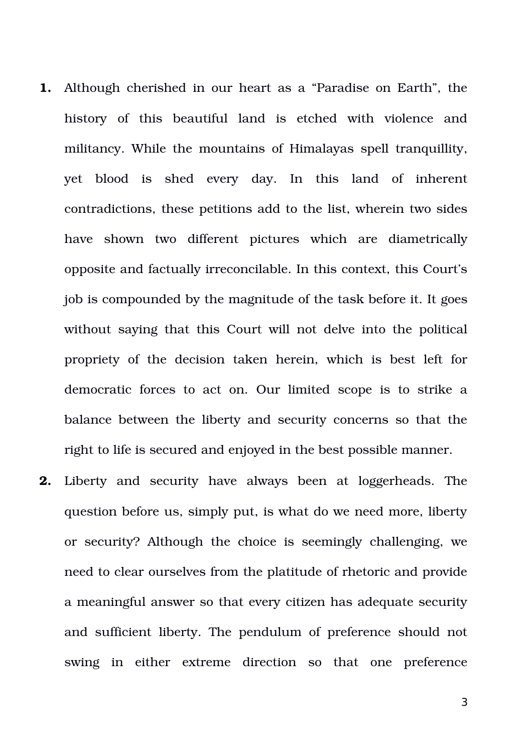- **1.** Although cherished in our heart as a "Paradise on Earth", the history of this beautiful land is etched with violence and militancy. While the mountains of Himalayas spell tranquillity, yet blood is shed every day. In this land of inherent contradictions, these petitions add to the list, wherein two sides have shown two different pictures which are diametrically opposite and factually irreconcilable. In this context, this Court's job is compounded by the magnitude of the task before it. It goes without saying that this Court will not delve into the political propriety of the decision taken herein, which is best left for democratic forces to act on. Our limited scope is to strike a balance between the liberty and security concerns so that the right to life is secured and enjoyed in the best possible manner.
- **2.** Liberty and security have always been at loggerheads. The question before us, simply put, is what do we need more, liberty or security? Although the choice is seemingly challenging, we need to clear ourselves from the platitude of rhetoric and provide a meaningful answer so that every citizen has adequate security and sufficient liberty. The pendulum of preference should not swing in either extreme direction so that one preference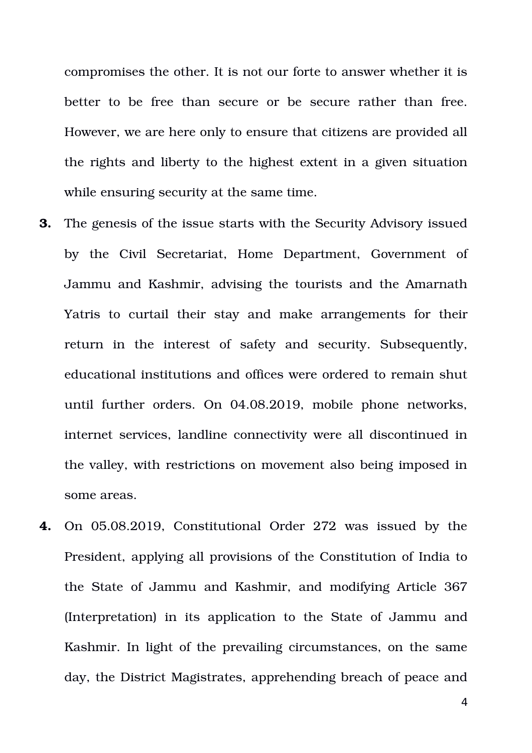compromises the other. It is not our forte to answer whether it is better to be free than secure or be secure rather than free. However, we are here only to ensure that citizens are provided all the rights and liberty to the highest extent in a given situation while ensuring security at the same time.

- **3.** The genesis of the issue starts with the Security Advisory issued by the Civil Secretariat, Home Department, Government of Jammu and Kashmir, advising the tourists and the Amarnath Yatris to curtail their stay and make arrangements for their return in the interest of safety and security. Subsequently, educational institutions and offices were ordered to remain shut until further orders. On 04.08.2019, mobile phone networks, internet services, landline connectivity were all discontinued in the valley, with restrictions on movement also being imposed in some areas.
- **4.** On 05.08.2019, Constitutional Order 272 was issued by the President, applying all provisions of the Constitution of India to the State of Jammu and Kashmir, and modifying Article 367 (Interpretation) in its application to the State of Jammu and Kashmir. In light of the prevailing circumstances, on the same day, the District Magistrates, apprehending breach of peace and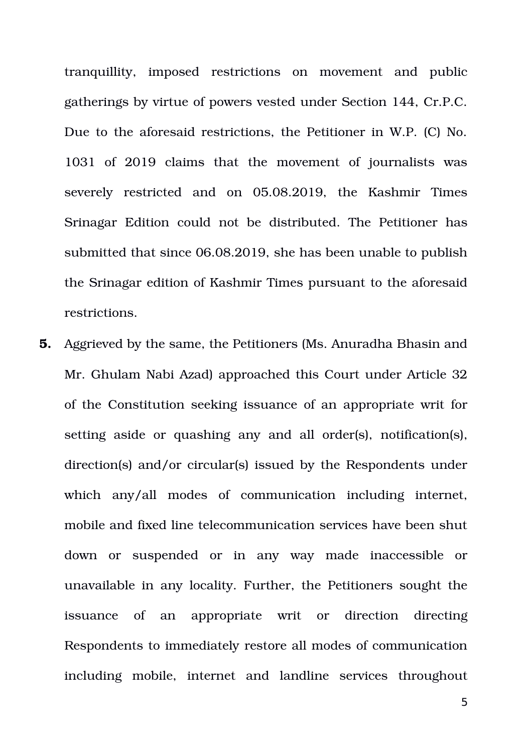tranquillity, imposed restrictions on movement and public gatherings by virtue of powers vested under Section 144, Cr.P.C. Due to the aforesaid restrictions, the Petitioner in W.P. (C) No. 1031 of 2019 claims that the movement of iournalists was severely restricted and on 05.08.2019, the Kashmir Times Srinagar Edition could not be distributed. The Petitioner has submitted that since 06.08.2019, she has been unable to publish the Srinagar edition of Kashmir Times pursuant to the aforesaid restrictions.

**5.** Aggrieved by the same, the Petitioners (Ms. Anuradha Bhasin and Mr. Ghulam Nabi Azad) approached this Court under Article 32 of the Constitution seeking issuance of an appropriate writ for setting aside or quashing any and all order(s), notification(s), direction(s) and/or circular(s) issued by the Respondents under which any/all modes of communication including internet, mobile and fixed line telecommunication services have been shut down or suspended or in any way made inaccessible or unavailable in any locality. Further, the Petitioners sought the issuance of an appropriate writ or direction directing Respondents to immediately restore all modes of communication including mobile, internet and landline services throughout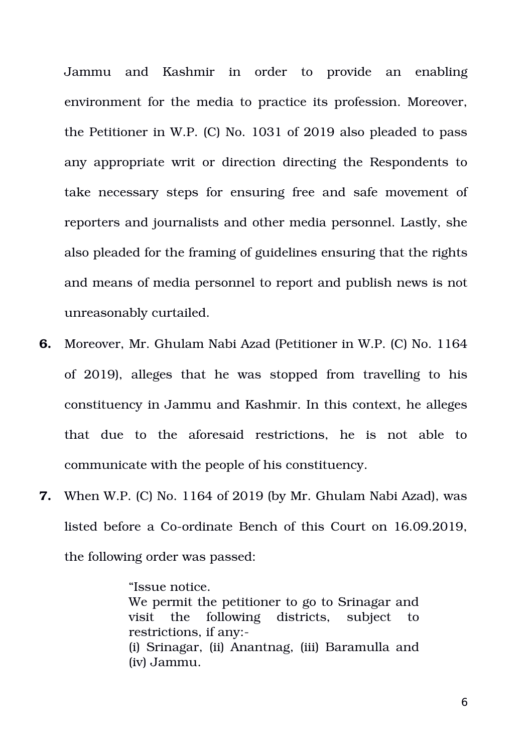Jammu and Kashmir in order to provide an enabling environment for the media to practice its profession. Moreover, the Petitioner in W.P. (C) No. 1031 of 2019 also pleaded to pass any appropriate writ or direction directing the Respondents to take necessary steps for ensuring free and safe movement of reporters and journalists and other media personnel. Lastly, she also pleaded for the framing of guidelines ensuring that the rights and means of media personnel to report and publish news is not unreasonably curtailed.

- **6.** Moreover, Mr. Ghulam Nabi Azad (Petitioner in W.P. (C) No. 1164 of 2019), alleges that he was stopped from travelling to his constituency in Jammu and Kashmir. In this context, he alleges that due to the aforesaid restrictions, he is not able to communicate with the people of his constituency.
- **7.** When W.P. (C) No. 1164 of 2019 (by Mr. Ghulam Nabi Azad), was listed before a Co-ordinate Bench of this Court on 16.09.2019, the following order was passed:

"Issue notice. We permit the petitioner to go to Srinagar and visit the following districts, subject to restrictions, if any: (i) Srinagar, (ii) Anantnag, (iii) Baramulla and (iv) Jammu.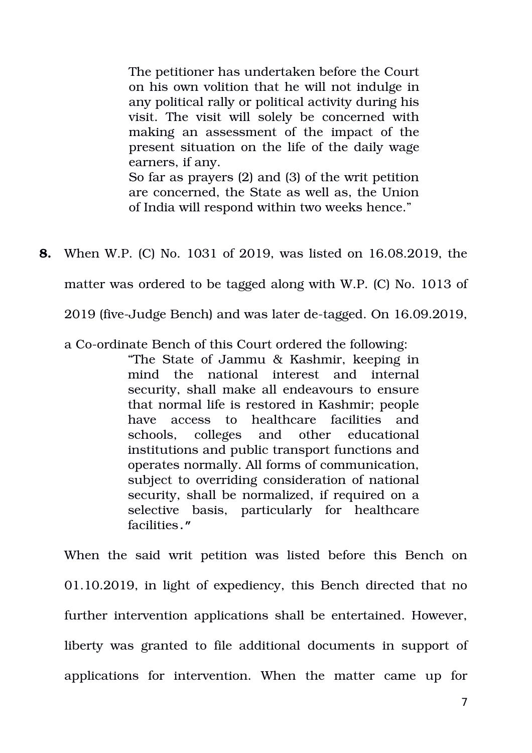The petitioner has undertaken before the Court on his own volition that he will not indulge in any political rally or political activity during his visit. The visit will solely be concerned with making an assessment of the impact of the present situation on the life of the daily wage earners, if any. So far as prayers (2) and (3) of the writ petition are concerned, the State as well as, the Union of India will respond within two weeks hence."

**8.** When W.P. (C) No. 1031 of 2019, was listed on 16.08.2019, the

matter was ordered to be tagged along with W.P. (C) No. 1013 of

2019 (five-Judge Bench) and was later de-tagged. On 16.09.2019,

a Co-ordinate Bench of this Court ordered the following:

"The State of Jammu & Kashmir, keeping in mind the national interest and internal security, shall make all endeavours to ensure that normal life is restored in Kashmir; people have access to healthcare facilities and schools, colleges and other educational institutions and public transport functions and operates normally. All forms of communication, subject to overriding consideration of national security, shall be normalized, if required on a selective basis, particularly for healthcare facilities**."** 

When the said writ petition was listed before this Bench on 01.10.2019, in light of expediency, this Bench directed that no further intervention applications shall be entertained. However, liberty was granted to file additional documents in support of applications for intervention. When the matter came up for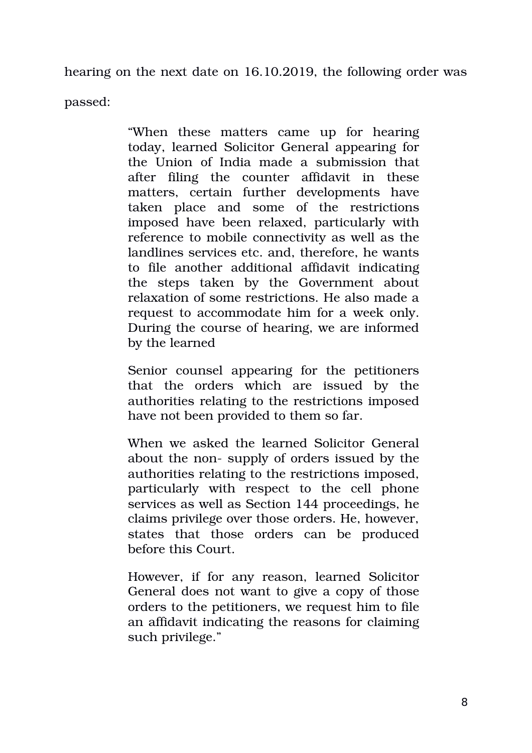hearing on the next date on 16.10.2019, the following order was

passed:

"When these matters came up for hearing" today, learned Solicitor General appearing for the Union of India made a submission that after filing the counter affidavit in these matters, certain further developments have taken place and some of the restrictions imposed have been relaxed, particularly with reference to mobile connectivity as well as the landlines services etc. and, therefore, he wants to file another additional affidavit indicating the steps taken by the Government about relaxation of some restrictions. He also made a request to accommodate him for a week only. During the course of hearing, we are informed by the learned

Senior counsel appearing for the petitioners that the orders which are issued by the authorities relating to the restrictions imposed have not been provided to them so far.

When we asked the learned Solicitor General about the non- supply of orders issued by the authorities relating to the restrictions imposed, particularly with respect to the cell phone services as well as Section 144 proceedings, he claims privilege over those orders. He, however, states that those orders can be produced before this Court.

However, if for any reason, learned Solicitor General does not want to give a copy of those orders to the petitioners, we request him to file an affidavit indicating the reasons for claiming such privilege."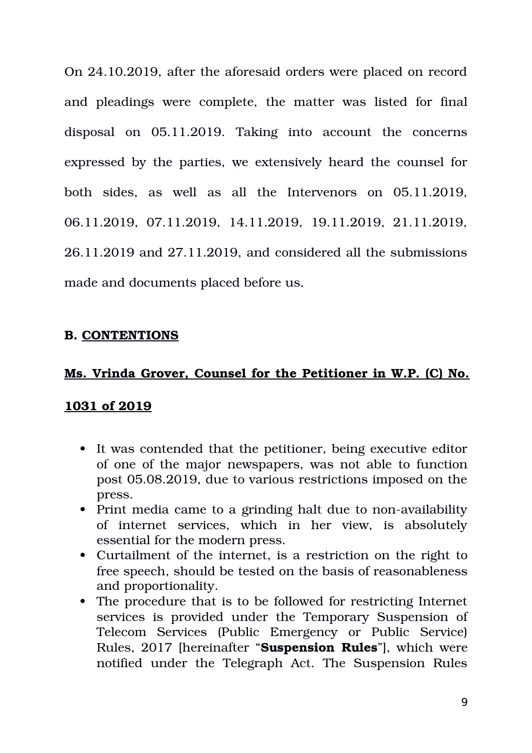On 24.10.2019, after the aforesaid orders were placed on record and pleadings were complete, the matter was listed for final disposal on 05.11.2019. Taking into account the concerns expressed by the parties, we extensively heard the counsel for both sides, as well as all the Intervenors on 05.11.2019, 06.11.2019, 07.11.2019, 14.11.2019, 19.11.2019, 21.11.2019, 26.11.2019 and 27.11.2019, and considered all the submissions made and documents placed before us.

## **B. CONTENTIONS**

#### **Ms. Vrinda Grover, Counsel for the Petitioner in W.P. (C) No.**

#### **1031 of 2019**

- It was contended that the petitioner, being executive editor of one of the major newspapers, was not able to function post 05.08.2019, due to various restrictions imposed on the press.
- Print media came to a grinding halt due to non-availability of internet services, which in her view, is absolutely essential for the modern press.
- Curtailment of the internet, is a restriction on the right to free speech, should be tested on the basis of reasonableness and proportionality.
- The procedure that is to be followed for restricting Internet services is provided under the Temporary Suspension of Telecom Services (Public Emergency or Public Service) Rules, 2017 [hereinafter "**Suspension Rules**"], which were notified under the Telegraph Act. The Suspension Rules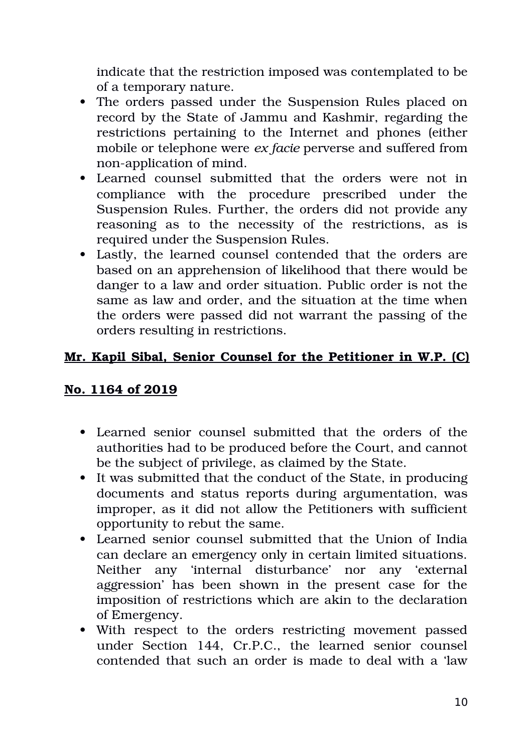indicate that the restriction imposed was contemplated to be of a temporary nature.

- The orders passed under the Suspension Rules placed on record by the State of Jammu and Kashmir, regarding the restrictions pertaining to the Internet and phones (either mobile or telephone were *ex facie* perverse and suffered from non-application of mind.
- Learned counsel submitted that the orders were not in compliance with the procedure prescribed under the Suspension Rules. Further, the orders did not provide any reasoning as to the necessity of the restrictions, as is required under the Suspension Rules.
- Lastly, the learned counsel contended that the orders are based on an apprehension of likelihood that there would be danger to a law and order situation. Public order is not the same as law and order, and the situation at the time when the orders were passed did not warrant the passing of the orders resulting in restrictions.

## **Mr. Kapil Sibal, Senior Counsel for the Petitioner in W.P. (C)**

#### **No. 1164 of 2019**

- Learned senior counsel submitted that the orders of the authorities had to be produced before the Court, and cannot be the subject of privilege, as claimed by the State.
- It was submitted that the conduct of the State, in producing documents and status reports during argumentation, was improper, as it did not allow the Petitioners with sufficient opportunity to rebut the same.
- Learned senior counsel submitted that the Union of India can declare an emergency only in certain limited situations. Neither any 'internal disturbance' nor any 'external aggression' has been shown in the present case for the imposition of restrictions which are akin to the declaration of Emergency.
- With respect to the orders restricting movement passed under Section 144, Cr.P.C., the learned senior counsel contended that such an order is made to deal with a 'law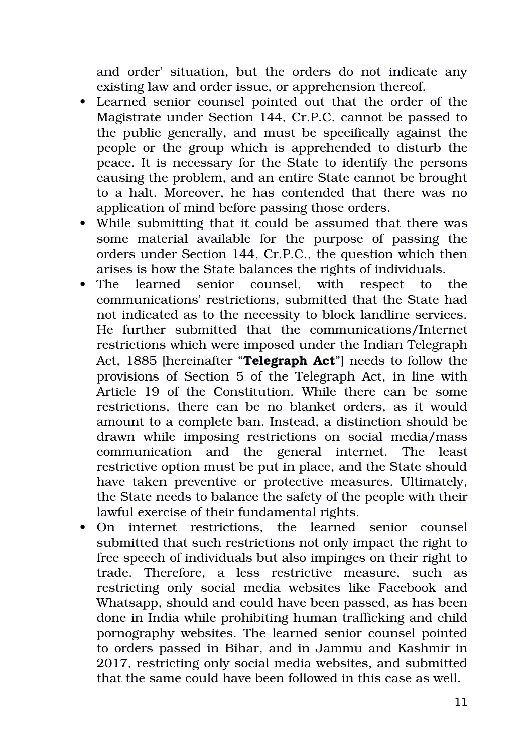and order' situation, but the orders do not indicate any existing law and order issue, or apprehension thereof.

- Learned senior counsel pointed out that the order of the Magistrate under Section 144, Cr.P.C. cannot be passed to the public generally, and must be specifically against the people or the group which is apprehended to disturb the peace. It is necessary for the State to identify the persons causing the problem, and an entire State cannot be brought to a halt. Moreover, he has contended that there was no application of mind before passing those orders.
- While submitting that it could be assumed that there was some material available for the purpose of passing the orders under Section 144, Cr.P.C., the question which then arises is how the State balances the rights of individuals.
- The learned senior counsel, with respect to the communications' restrictions, submitted that the State had not indicated as to the necessity to block landline services. He further submitted that the communications/Internet restrictions which were imposed under the Indian Telegraph Act, 1885 [hereinafter "**Telegraph Act**"] needs to follow the provisions of Section 5 of the Telegraph Act, in line with Article 19 of the Constitution. While there can be some restrictions, there can be no blanket orders, as it would amount to a complete ban. Instead, a distinction should be drawn while imposing restrictions on social media/mass communication and the general internet. The least restrictive option must be put in place, and the State should have taken preventive or protective measures. Ultimately, the State needs to balance the safety of the people with their lawful exercise of their fundamental rights.
- On internet restrictions, the learned senior counsel submitted that such restrictions not only impact the right to free speech of individuals but also impinges on their right to trade. Therefore, a less restrictive measure, such as restricting only social media websites like Facebook and Whatsapp, should and could have been passed, as has been done in India while prohibiting human trafficking and child pornography websites. The learned senior counsel pointed to orders passed in Bihar, and in Jammu and Kashmir in 2017, restricting only social media websites, and submitted that the same could have been followed in this case as well.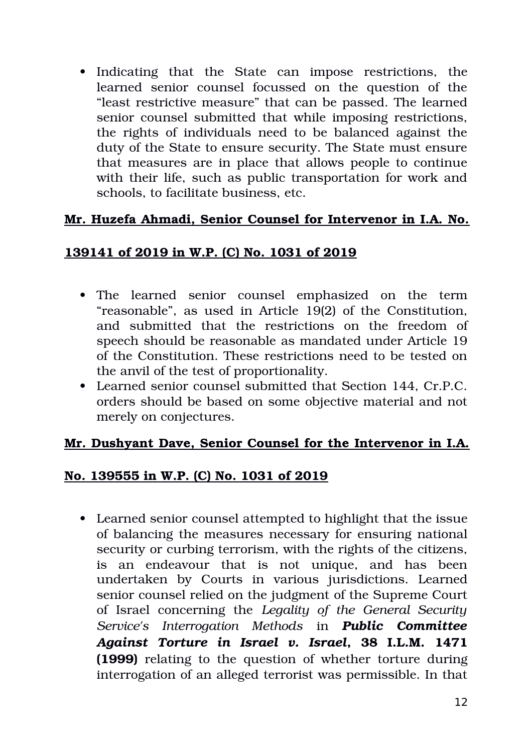• Indicating that the State can impose restrictions, the learned senior counsel focussed on the question of the "least restrictive measure" that can be passed. The learned senior counsel submitted that while imposing restrictions, the rights of individuals need to be balanced against the duty of the State to ensure security. The State must ensure that measures are in place that allows people to continue with their life, such as public transportation for work and schools, to facilitate business, etc.

# **Mr. Huzefa Ahmadi, Senior Counsel for Intervenor in I.A. No.**

## **139141 of 2019 in W.P. (C) No. 1031 of 2019**

- The learned senior counsel emphasized on the term "reasonable", as used in Article 19(2) of the Constitution, and submitted that the restrictions on the freedom of speech should be reasonable as mandated under Article 19 of the Constitution. These restrictions need to be tested on the anvil of the test of proportionality.
- Learned senior counsel submitted that Section 144, Cr.P.C. orders should be based on some objective material and not merely on conjectures.

#### **Mr. Dushyant Dave, Senior Counsel for the Intervenor in I.A.**

#### **No. 139555 in W.P. (C) No. 1031 of 2019**

 Learned senior counsel attempted to highlight that the issue of balancing the measures necessary for ensuring national security or curbing terrorism, with the rights of the citizens, is an endeavour that is not unique, and has been undertaken by Courts in various jurisdictions. Learned senior counsel relied on the judgment of the Supreme Court of Israel concerning the *Legality of the General Security Service's Interrogation Methods* in *Public Committee Against Torture in Israel v. Israel***, 38 I.L.M. 1471 (1999)** relating to the question of whether torture during interrogation of an alleged terrorist was permissible. In that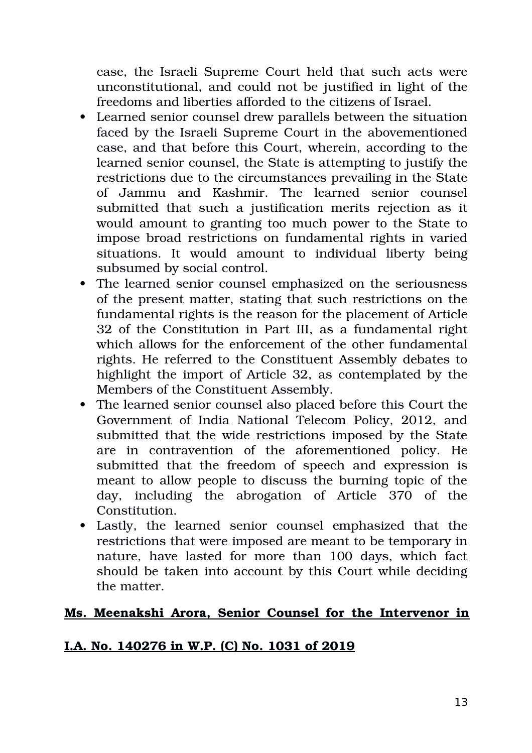case, the Israeli Supreme Court held that such acts were unconstitutional, and could not be justified in light of the freedoms and liberties afforded to the citizens of Israel.

- Learned senior counsel drew parallels between the situation faced by the Israeli Supreme Court in the abovementioned case, and that before this Court, wherein, according to the learned senior counsel, the State is attempting to justify the restrictions due to the circumstances prevailing in the State of Jammu and Kashmir. The learned senior counsel submitted that such a justification merits rejection as it would amount to granting too much power to the State to impose broad restrictions on fundamental rights in varied situations. It would amount to individual liberty being subsumed by social control.
- The learned senior counsel emphasized on the seriousness of the present matter, stating that such restrictions on the fundamental rights is the reason for the placement of Article 32 of the Constitution in Part III, as a fundamental right which allows for the enforcement of the other fundamental rights. He referred to the Constituent Assembly debates to highlight the import of Article 32, as contemplated by the Members of the Constituent Assembly.
- The learned senior counsel also placed before this Court the Government of India National Telecom Policy, 2012, and submitted that the wide restrictions imposed by the State are in contravention of the aforementioned policy. He submitted that the freedom of speech and expression is meant to allow people to discuss the burning topic of the day, including the abrogation of Article 370 of the Constitution.
- Lastly, the learned senior counsel emphasized that the restrictions that were imposed are meant to be temporary in nature, have lasted for more than 100 days, which fact should be taken into account by this Court while deciding the matter.

# **Ms. Meenakshi Arora, Senior Counsel for the Intervenor in**

#### **I.A. No. 140276 inW.P. (C) No. 1031 of 2019**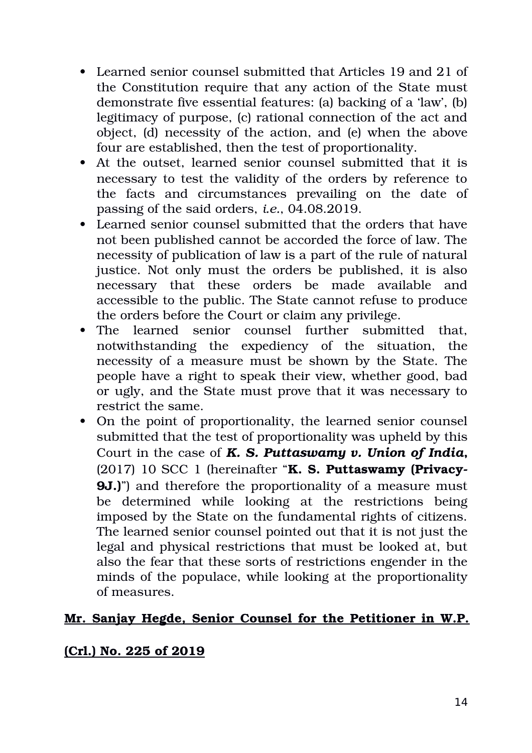- Learned senior counsel submitted that Articles 19 and 21 of the Constitution require that any action of the State must demonstrate five essential features: (a) backing of a 'law', (b) legitimacy of purpose, (c) rational connection of the act and object, (d) necessity of the action, and (e) when the above four are established, then the test of proportionality.
- At the outset, learned senior counsel submitted that it is necessary to test the validity of the orders by reference to the facts and circumstances prevailing on the date of passing of the said orders, *i.e.*, 04.08.2019.
- Learned senior counsel submitted that the orders that have not been published cannot be accorded the force of law. The necessity of publication of law is a part of the rule of natural justice. Not only must the orders be published, it is also necessary that these orders be made available and accessible to the public. The State cannot refuse to produce the orders before the Court or claim any privilege.
- The learned senior counsel further submitted that. notwithstanding the expediency of the situation, the necessity of a measure must be shown by the State. The people have a right to speak their view, whether good, bad or ugly, and the State must prove that it was necessary to restrict the same.
- On the point of proportionality, the learned senior counsel submitted that the test of proportionality was upheld by this Court in the case of *K. S. Puttaswamy v. Union of India***,** (2017) 10 SCC 1 (hereinafter "**K. S. Puttaswamy (Privacy-9J.**)" and therefore the proportionality of a measure must be determined while looking at the restrictions being imposed by the State on the fundamental rights of citizens. The learned senior counsel pointed out that it is not just the legal and physical restrictions that must be looked at, but also the fear that these sorts of restrictions engender in the minds of the populace, while looking at the proportionality of measures.

#### **Mr. Sanjay Hegde, Senior Counsel for the Petitioner in W.P.**

#### **(Crl.) No. 225 of 2019**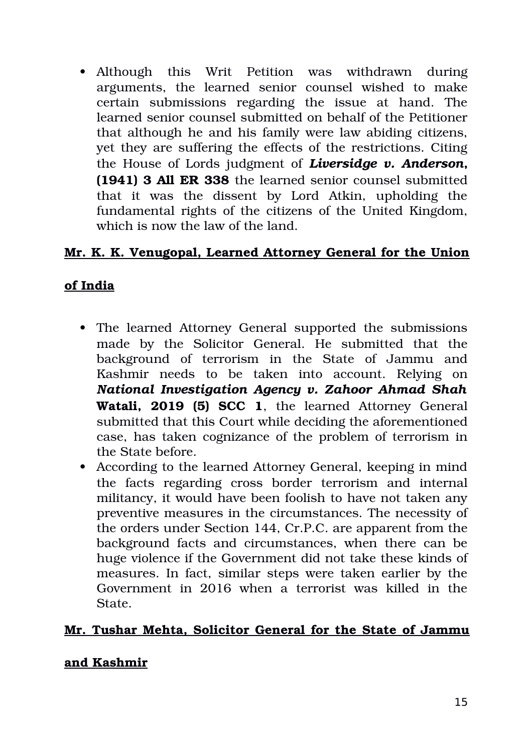• Although this Writ Petition was withdrawn during arguments, the learned senior counsel wished to make certain submissions regarding the issue at hand. The learned senior counsel submitted on behalf of the Petitioner that although he and his family were law abiding citizens, yet they are suffering the effects of the restrictions. Citing the House of Lords judgment of *Liversidge v. Anderson***, (1941) 3 All ER 338** the learned senior counsel submitted that it was the dissent by Lord Atkin, upholding the fundamental rights of the citizens of the United Kingdom, which is now the law of the land.

## **Mr. K. K. Venugopal, Learned Attorney General for the Union**

#### **of India**

- The learned Attorney General supported the submissions made by the Solicitor General. He submitted that the background of terrorism in the State of Jammu and Kashmir needs to be taken into account. Relying on *National Investigation Agency v. Zahoor Ahmad Shah* Watali.  **2019 (5) SCC 1**, the learned Attorney General submitted that this Court while deciding the aforementioned case, has taken cognizance of the problem of terrorism in the State before.
- According to the learned Attorney General, keeping in mind the facts regarding cross border terrorism and internal militancy, it would have been foolish to have not taken any preventive measures in the circumstances. The necessity of the orders under Section 144, Cr.P.C. are apparent from the background facts and circumstances, when there can be huge violence if the Government did not take these kinds of measures. In fact, similar steps were taken earlier by the Government in 2016 when a terrorist was killed in the State.

#### **Mr. Tushar Mehta, Solicitor General for the State of Jammu**

#### **and Kashmir**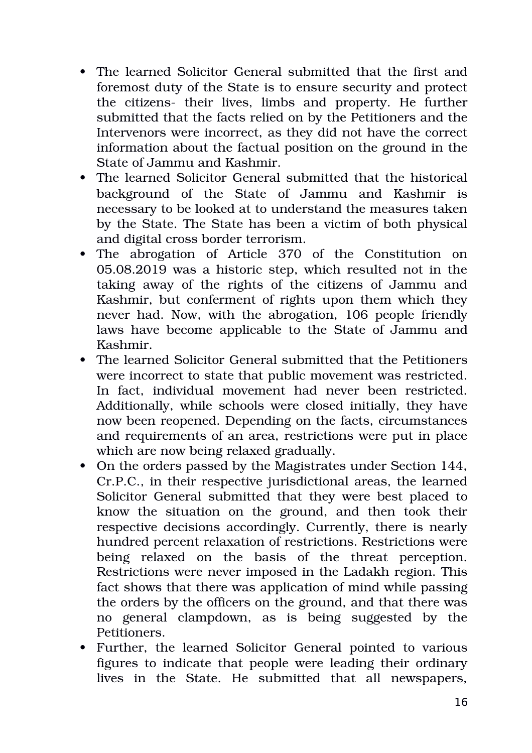- The learned Solicitor General submitted that the first and foremost duty of the State is to ensure security and protect the citizens- their lives, limbs and property. He further submitted that the facts relied on by the Petitioners and the Intervenors were incorrect, as they did not have the correct information about the factual position on the ground in the State of Jammu and Kashmir.
- The learned Solicitor General submitted that the historical background of the State of Jammu and Kashmir is necessary to be looked at to understand the measures taken by the State. The State has been a victim of both physical and digital cross border terrorism.
- The abrogation of Article 370 of the Constitution on 05.08.2019 was a historic step, which resulted not in the taking away of the rights of the citizens of Jammu and Kashmir, but conferment of rights upon them which they never had. Now, with the abrogation, 106 people friendly laws have become applicable to the State of Jammu and Kashmir.
- The learned Solicitor General submitted that the Petitioners were incorrect to state that public movement was restricted. In fact, individual movement had never been restricted. Additionally, while schools were closed initially, they have now been reopened. Depending on the facts, circumstances and requirements of an area, restrictions were put in place which are now being relaxed gradually.
- On the orders passed by the Magistrates under Section 144, Cr.P.C., in their respective jurisdictional areas, the learned Solicitor General submitted that they were best placed to know the situation on the ground, and then took their respective decisions accordingly. Currently, there is nearly hundred percent relaxation of restrictions. Restrictions were being relaxed on the basis of the threat perception. Restrictions were never imposed in the Ladakh region. This fact shows that there was application of mind while passing the orders by the officers on the ground, and that there was no general clampdown, as is being suggested by the Petitioners.
- Further, the learned Solicitor General pointed to various figures to indicate that people were leading their ordinary lives in the State. He submitted that all newspapers,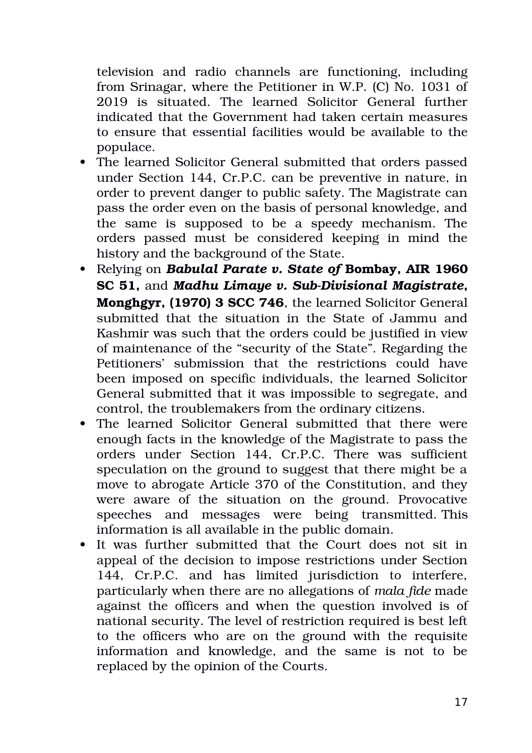television and radio channels are functioning, including from Srinagar, where the Petitioner in W.P. (C) No. 1031 of 2019 is situated. The learned Solicitor General further indicated that the Government had taken certain measures to ensure that essential facilities would be available to the populace.

- The learned Solicitor General submitted that orders passed under Section 144, Cr.P.C. can be preventive in nature, in order to prevent danger to public safety. The Magistrate can pass the order even on the basis of personal knowledge, and the same is supposed to be a speedy mechanism. The orders passed must be considered keeping in mind the history and the background of the State.
- Relying on *Babulal Parate v. State of* **Bombay, AIR 1960 SC 51, and** *Madhu Limaye v. Sub-Divisional Magistrate*, **Monghgyr, (1970) 3 SCC 746**, the learned Solicitor General submitted that the situation in the State of Jammu and Kashmir was such that the orders could be justified in view of maintenance of the "security of the State". Regarding the Petitioners' submission that the restrictions could have been imposed on specific individuals, the learned Solicitor General submitted that it was impossible to segregate, and control, the troublemakers from the ordinary citizens.
- The learned Solicitor General submitted that there were enough facts in the knowledge of the Magistrate to pass the orders under Section 144, Cr.P.C. There was sufficient speculation on the ground to suggest that there might be a move to abrogate Article 370 of the Constitution, and they were aware of the situation on the ground. Provocative speeches and messages were being transmitted. This information is all available in the public domain.
- It was further submitted that the Court does not sit in appeal of the decision to impose restrictions under Section 144, Cr.P.C. and has limited jurisdiction to interfere, particularly when there are no allegations of *mala fide* made against the officers and when the question involved is of national security. The level of restriction required is best left to the officers who are on the ground with the requisite information and knowledge, and the same is not to be replaced by the opinion of the Courts.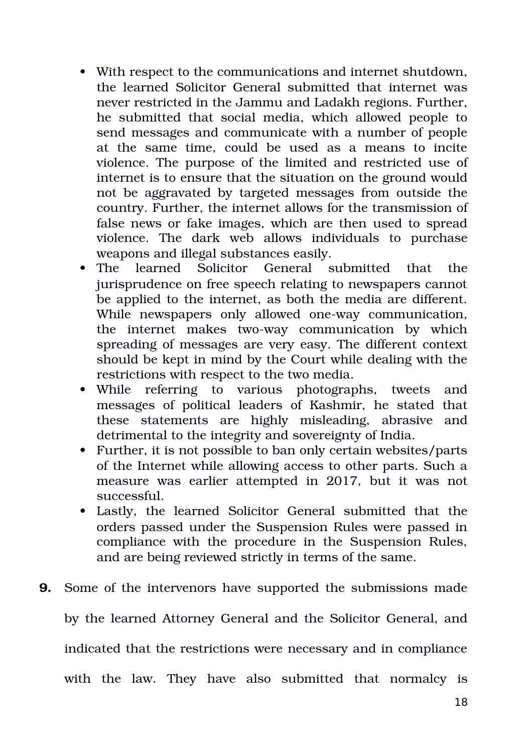- With respect to the communications and internet shutdown, the learned Solicitor General submitted that internet was never restricted in the Jammu and Ladakh regions. Further, he submitted that social media, which allowed people to send messages and communicate with a number of people at the same time, could be used as a means to incite violence. The purpose of the limited and restricted use of internet is to ensure that the situation on the ground would not be aggravated by targeted messages from outside the country. Further, the internet allows for the transmission of false news or fake images, which are then used to spread violence. The dark web allows individuals to purchase weapons and illegal substances easily.
- The learned Solicitor General submitted that the jurisprudence on free speech relating to newspapers cannot be applied to the internet, as both the media are different. While newspapers only allowed one-way communication, the internet makes two-way communication by which spreading of messages are very easy. The different context should be kept in mind by the Court while dealing with the restrictions with respect to the two media.
- While referring to various photographs, tweets and messages of political leaders of Kashmir, he stated that these statements are highly misleading, abrasive and detrimental to the integrity and sovereignty of India.
- Further, it is not possible to ban only certain websites/parts of the Internet while allowing access to other parts. Such a measure was earlier attempted in 2017, but it was not successful.
- Lastly, the learned Solicitor General submitted that the orders passed under the Suspension Rules were passed in compliance with the procedure in the Suspension Rules, and are being reviewed strictly in terms of the same.
- **9.** Some of the intervenors have supported the submissions made by the learned Attorney General and the Solicitor General, and indicated that the restrictions were necessary and in compliance with the law. They have also submitted that normalcy is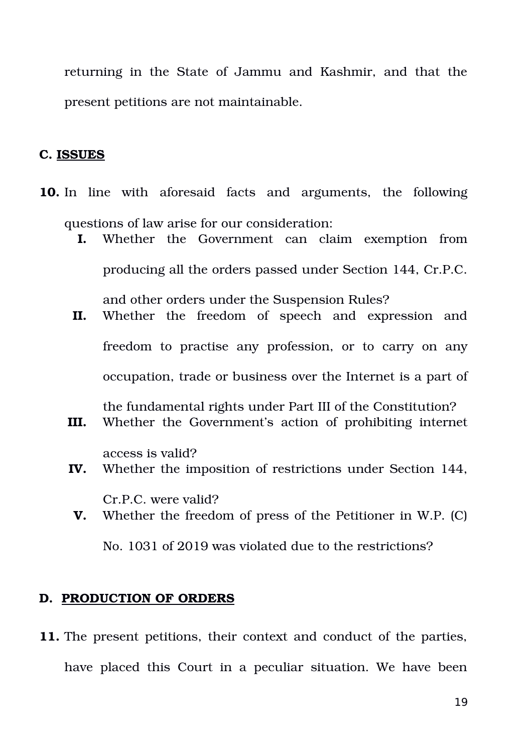returning in the State of Jammu and Kashmir, and that the present petitions are not maintainable.

#### **C. ISSUES**

- **10.** In line with aforesaid facts and arguments, the following questions of law arise for our consideration:
	- **I.** Whether the Government can claim exemption from producing all the orders passed under Section 144, Cr.P.C. and other orders under the Suspension Rules?
	- II. Whether the freedom of speech and expression and freedom to practise any profession, or to carry on any occupation, trade or business over the Internet is a part of the fundamental rights under Part III of the Constitution?
	- **III.** Whether the Government's action of prohibiting internet

access is valid?

- **IV.** Whether the imposition of restrictions under Section 144,
- Cr.P.C. were valid? **V.** Whether the freedom of press of the Petitioner in W.P. (C)

No. 1031 of 2019 was violated due to the restrictions?

#### **D. PRODUCTION OF ORDERS**

**11.** The present petitions, their context and conduct of the parties, have placed this Court in a peculiar situation. We have been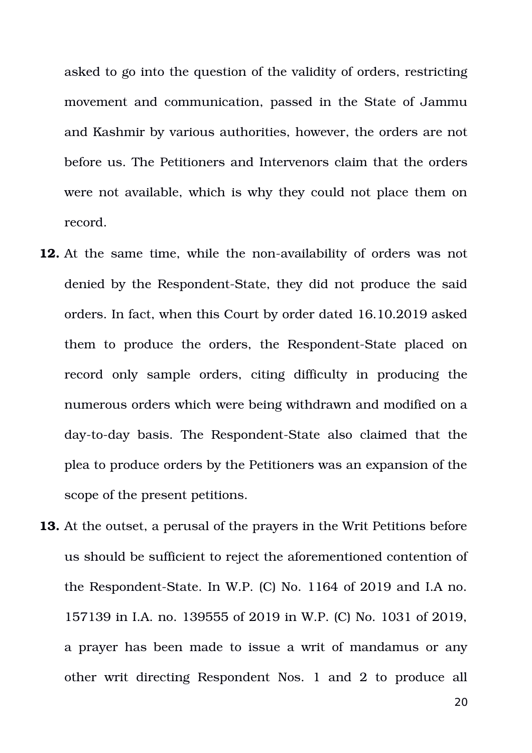asked to go into the question of the validity of orders, restricting movement and communication, passed in the State of Jammu and Kashmir by various authorities, however, the orders are not before us. The Petitioners and Intervenors claim that the orders were not available, which is why they could not place them on record.

- **12.** At the same time, while the non-availability of orders was not denied by the Respondent-State, they did not produce the said orders. In fact, when this Court by order dated 16.10.2019 asked them to produce the orders, the Respondent-State placed on record only sample orders, citing difficulty in producing the numerous orders which were being withdrawn and modified on a day-to-day basis. The Respondent-State also claimed that the plea to produce orders by the Petitioners was an expansion of the scope of the present petitions.
- **13.** At the outset, a perusal of the prayers in the Writ Petitions before us should be sufficient to reject the aforementioned contention of the Respondent-State. In W.P.  $(C)$  No. 1164 of 2019 and I.A no. 157139 in I.A. no. 139555 of 2019 in W.P. (C) No. 1031 of 2019, a prayer has been made to issue a writ of mandamus or any other writ directing Respondent Nos. 1 and 2 to produce all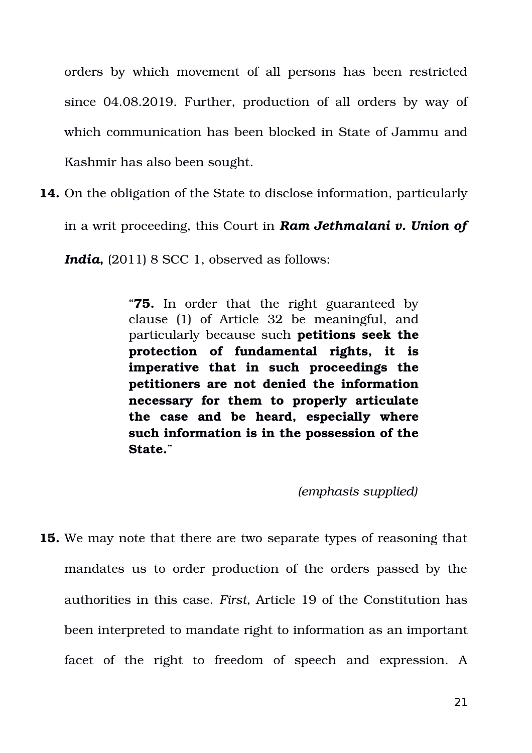orders by which movement of all persons has been restricted since 04.08.2019. Further, production of all orders by way of which communication has been blocked in State of Jammu and Kashmir has also been sought.

**14.** On the obligation of the State to disclose information, particularly in a writ proceeding, this Court in *Ram Jethmalani v. Union of India*, (2011) 8 SCC 1, observed as follows:

> "**75.** In order that the right guaranteed by clause (1) of Article 32 be meaningful, and particularly because such **petitions seek the protection of fundamental rights, it is imperative that in such proceedings the petitioners are not denied the information necessary for them to properly articulate the case and be heard, especially where such information is in the possession of the State.**"

#### *(emphasis supplied)*

**15.** We may note that there are two separate types of reasoning that mandates us to order production of the orders passed by the authorities in this case. *First*, Article 19 of the Constitution has been interpreted to mandate right to information as an important facet of the right to freedom of speech and expression. A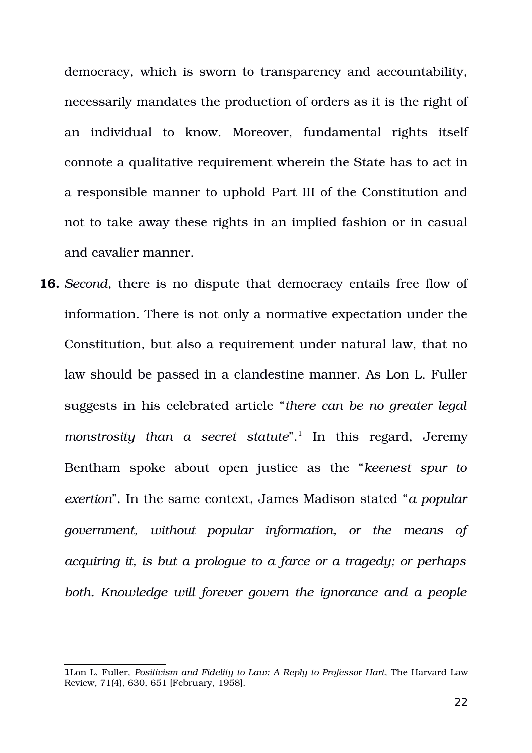democracy, which is sworn to transparency and accountability, necessarily mandates the production of orders as it is the right of an individual to know. Moreover, fundamental rights itself connote a qualitative requirement wherein the State has to act in a responsible manner to uphold Part III of the Constitution and not to take away these rights in an implied fashion or in casual and cavalier manner.

**16.** *Second*, there is no dispute that democracy entails free flow of information. There is not only a normative expectation under the Constitution, but also a requirement under natural law, that no law should be passed in a clandestine manner. As Lon L. Fuller suggests in his celebrated article "*there can be no greater legal* monstrosity than a secret statute".<sup>[1](#page-21-0)</sup> In this regard, Jeremy Bentham spoke about open justice as the "*keenest spur to exertion*". In the same context, James Madison stated "*a popular government, without popular information, or the means of acquiring it, is but a prologue to a farce or a tragedy; or perhaps both. Knowledge will forever govern the ignorance and a people*

<span id="page-21-0"></span><sup>1</sup>Lon L. Fuller, *Positivism and Fidelity to Law: A Reply to Professor Hart*, The Harvard Law Review, 71(4), 630, 651 [February, 1958].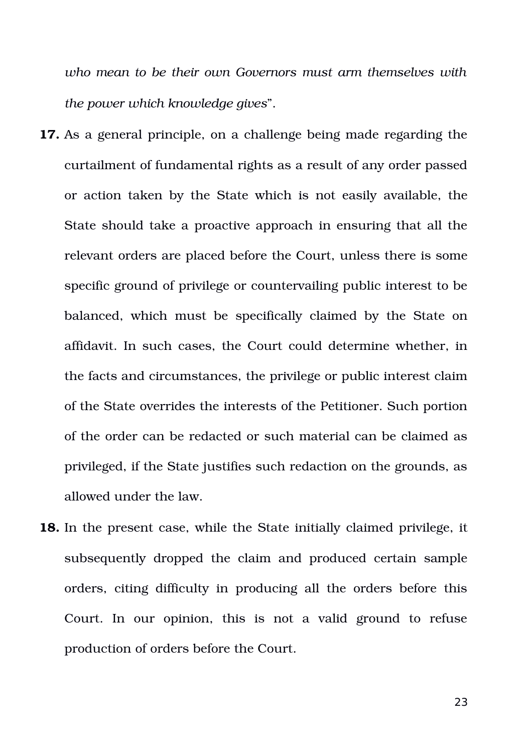*who mean to be their own Governors must arm themselves with the power which knowledge gives*".

- **17.** As a general principle, on a challenge being made regarding the curtailment of fundamental rights as a result of any order passed or action taken by the State which is not easily available, the State should take a proactive approach in ensuring that all the relevant orders are placed before the Court, unless there is some specific ground of privilege or countervailing public interest to be balanced, which must be specifically claimed by the State on affidavit. In such cases, the Court could determine whether, in the facts and circumstances, the privilege or public interest claim of the State overrides the interests of the Petitioner. Such portion of the order can be redacted or such material can be claimed as privileged, if the State justifies such redaction on the grounds, as allowed under the law.
- **18.** In the present case, while the State initially claimed privilege, it subsequently dropped the claim and produced certain sample orders, citing difficulty in producing all the orders before this Court. In our opinion, this is not a valid ground to refuse production of orders before the Court.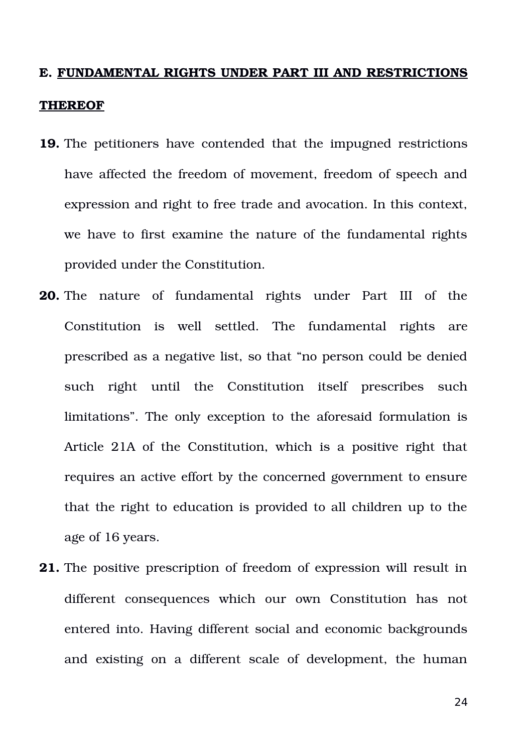# **E. FUNDAMENTAL RIGHTS UNDER PART III AND RESTRICTIONS**

#### **THEREOF**

- **19.** The petitioners have contended that the impugned restrictions have affected the freedom of movement, freedom of speech and expression and right to free trade and avocation. In this context, we have to first examine the nature of the fundamental rights provided under the Constitution.
- **20.** The nature of fundamental rights under Part III of the Constitution is well settled. The fundamental rights are prescribed as a negative list, so that "no person could be denied such right until the Constitution itself prescribes such limitations". The only exception to the aforesaid formulation is Article 21A of the Constitution, which is a positive right that requires an active effort by the concerned government to ensure that the right to education is provided to all children up to the age of 16 years.
- **21.** The positive prescription of freedom of expression will result in different consequences which our own Constitution has not entered into. Having different social and economic backgrounds and existing on a different scale of development, the human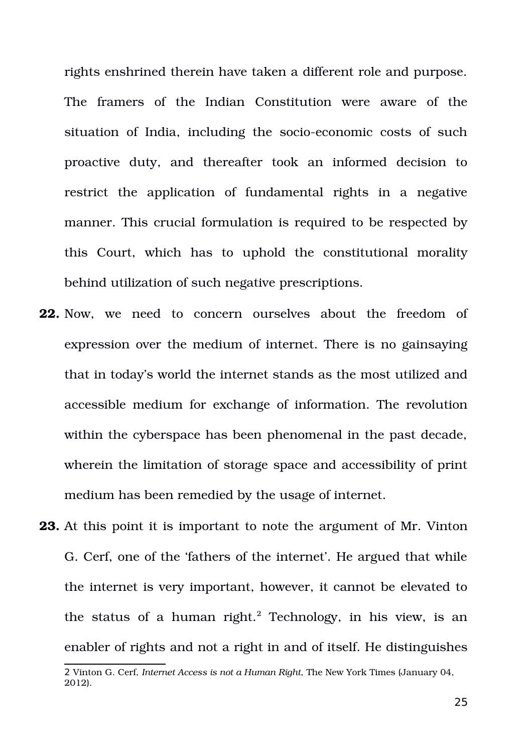rights enshrined therein have taken a different role and purpose. The framers of the Indian Constitution were aware of the situation of India, including the socio-economic costs of such proactive duty, and thereafter took an informed decision to restrict the application of fundamental rights in a negative manner. This crucial formulation is required to be respected by this Court, which has to uphold the constitutional morality behind utilization of such negative prescriptions.

- **22.** Now, we need to concern ourselves about the freedom of expression over the medium of internet. There is no gainsaying that in today's world the internet stands as the most utilized and accessible medium for exchange of information. The revolution within the cyberspace has been phenomenal in the past decade, wherein the limitation of storage space and accessibility of print medium has been remedied by the usage of internet.
- **23.** At this point it is important to note the argument of Mr. Vinton G. Cerf, one of the 'fathers of the internet'. He argued that while the internet is very important, however, it cannot be elevated to the status of a human right. $^2$  $^2$  Technology, in his view, is an enabler of rights and not a right in and of itself. He distinguishes

<span id="page-24-0"></span><sup>2</sup> Vinton G. Cerf, *Internet Access is not a Human Right*, The New York Times (January 04, 2012).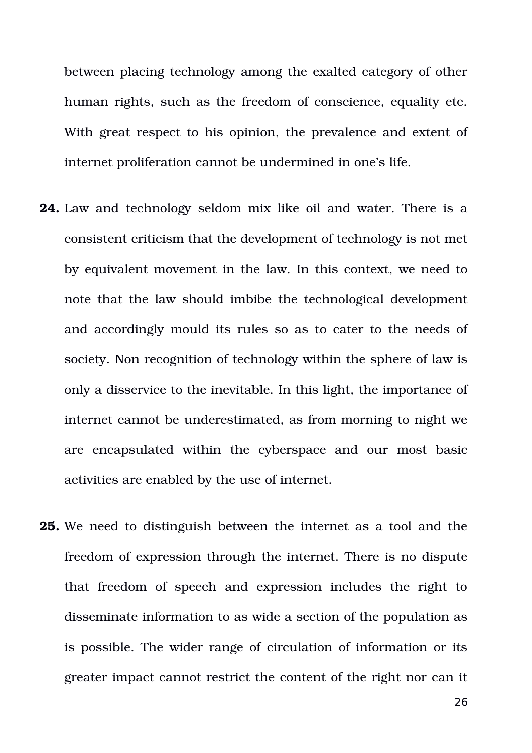between placing technology among the exalted category of other human rights, such as the freedom of conscience, equality etc. With great respect to his opinion, the prevalence and extent of internet proliferation cannot be undermined in one's life.

- **24.** Law and technology seldom mix like oil and water. There is a consistent criticism that the development of technology is not met by equivalent movement in the law. In this context, we need to note that the law should imbibe the technological development and accordingly mould its rules so as to cater to the needs of society. Non recognition of technology within the sphere of law is only a disservice to the inevitable. In this light, the importance of internet cannot be underestimated, as from morning to night we are encapsulated within the cyberspace and our most basic activities are enabled by the use of internet.
- **25.** We need to distinguish between the internet as a tool and the freedom of expression through the internet. There is no dispute that freedom of speech and expression includes the right to disseminate information to as wide a section of the population as is possible. The wider range of circulation of information or its greater impact cannot restrict the content of the right nor can it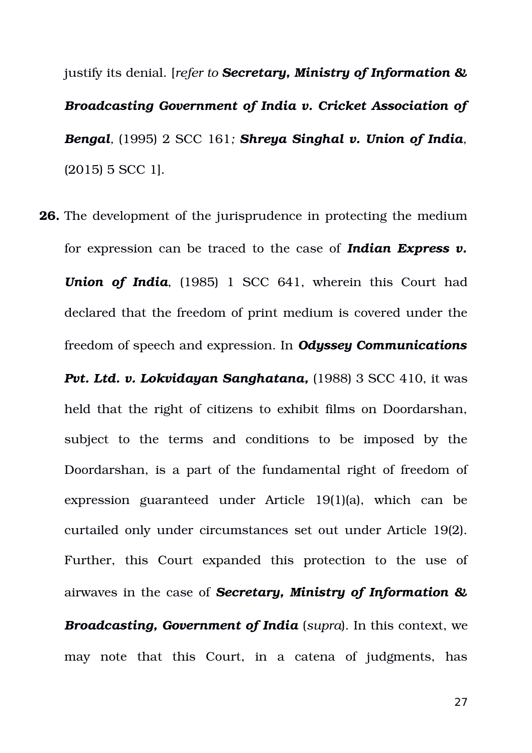justify its denial. [*refer to Secretary, Ministry of Information & Broadcasting Government of India v. Cricket Association of Bengal,* (1995) 2 SCC 161*; Shreya Singhal v. Union of India,* (2015) 5 SCC 1].

**26.** The development of the jurisprudence in protecting the medium for expression can be traced to the case of *Indian Express v. Union of India*, (1985) 1 SCC 641, wherein this Court had declared that the freedom of print medium is covered under the freedom of speech and expression. In *Odyssey Communications*

*Pvt. Ltd. v. Lokvidayan Sanghatana,* (1988) 3 SCC 410, it was held that the right of citizens to exhibit films on Doordarshan, subject to the terms and conditions to be imposed by the Doordarshan, is a part of the fundamental right of freedom of expression guaranteed under Article 19(1)(a), which can be curtailed only under circumstances set out under Article 19(2). Further, this Court expanded this protection to the use of airwaves in the case of *Secretary, Ministry of Information & Broadcasting, Government of India* (*supra*). In this context, we may note that this Court, in a catena of judgments, has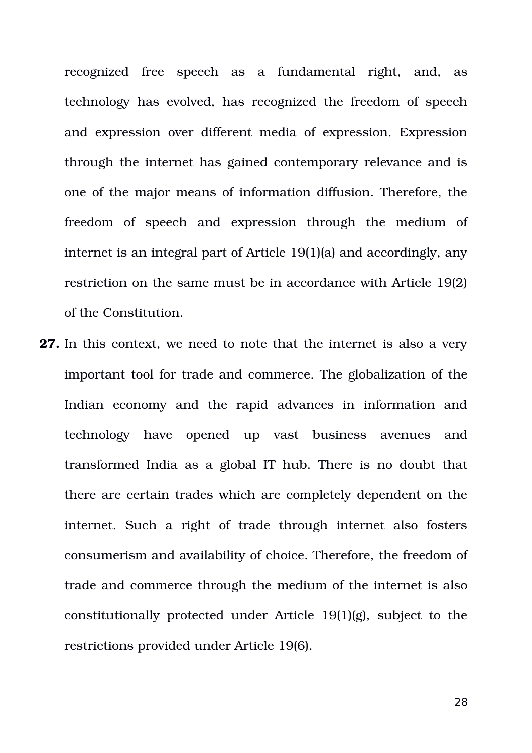recognized free speech as a fundamental right, and, as technology has evolved, has recognized the freedom of speech and expression over different media of expression. Expression through the internet has gained contemporary relevance and is one of the major means of information diffusion. Therefore, the freedom of speech and expression through the medium of internet is an integral part of Article 19(1)(a) and accordingly, any restriction on the same must be in accordance with Article 19(2) of the Constitution.

**27.** In this context, we need to note that the internet is also a very important tool for trade and commerce. The globalization of the Indian economy and the rapid advances in information and technology have opened up vast business avenues and transformed India as a global IT hub. There is no doubt that there are certain trades which are completely dependent on the internet. Such a right of trade through internet also fosters consumerism and availability of choice. Therefore, the freedom of trade and commerce through the medium of the internet is also constitutionally protected under Article 19(1)(g), subject to the restrictions provided under Article 19(6).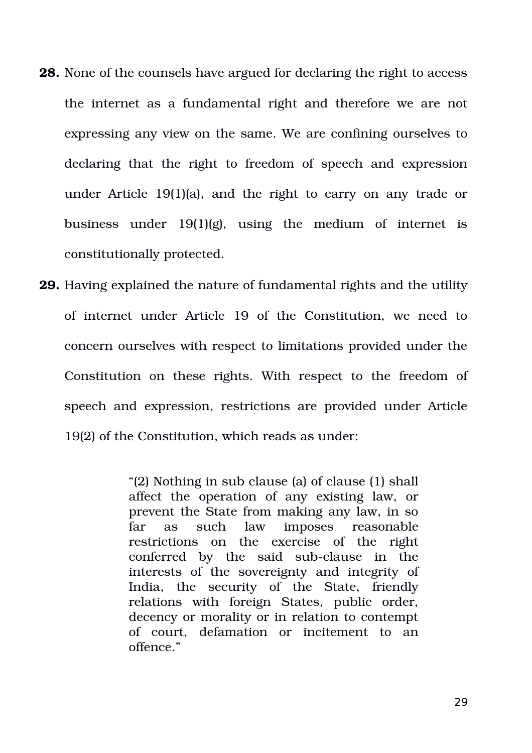- **28.** None of the counsels have argued for declaring the right to access the internet as a fundamental right and therefore we are not expressing any view on the same. We are confining ourselves to declaring that the right to freedom of speech and expression under Article 19(1)(a), and the right to carry on any trade or business under  $19(1)(g)$ , using the medium of internet is constitutionally protected.
- **29.** Having explained the nature of fundamental rights and the utility of internet under Article 19 of the Constitution, we need to concern ourselves with respect to limitations provided under the Constitution on these rights. With respect to the freedom of speech and expression, restrictions are provided under Article 19(2) of the Constitution, which reads as under:

"(2) Nothing in sub clause (a) of clause (1) shall affect the operation of any existing law, or prevent the State from making any law, in so far as such law imposes reasonable restrictions on the exercise of the right conferred by the said sub-clause in the interests of the sovereignty and integrity of India, the security of the State, friendly relations with foreign States, public order, decency or morality or in relation to contempt of court, defamation or incitement to an offence."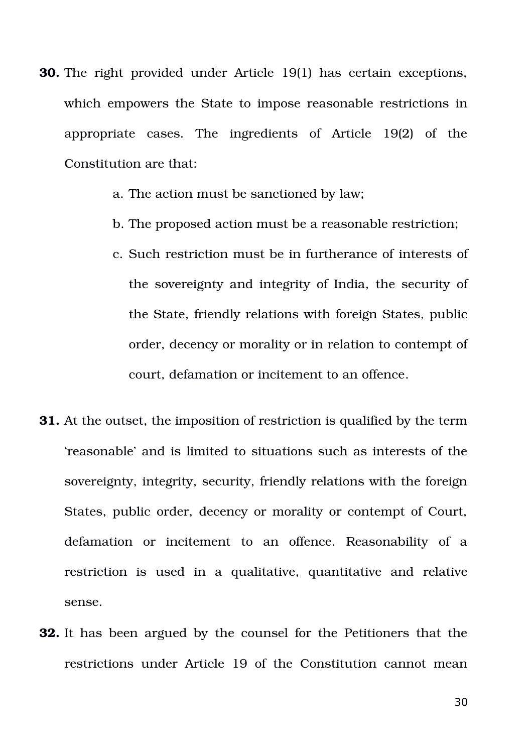- **30.** The right provided under Article 19(1) has certain exceptions, which empowers the State to impose reasonable restrictions in appropriate cases. The ingredients of Article 19(2) of the Constitution are that:
	- a. The action must be sanctioned by law;
	- b. The proposed action must be a reasonable restriction;
	- c. Such restriction must be in furtherance of interests of the sovereignty and integrity of India, the security of the State, friendly relations with foreign States, public order, decency or morality or in relation to contempt of court, defamation or incitement to an offence.
- **31.** At the outset, the imposition of restriction is qualified by the term 'reasonable' and is limited to situations such as interests of the sovereignty, integrity, security, friendly relations with the foreign States, public order, decency or morality or contempt of Court, defamation or incitement to an offence. Reasonability of a restriction is used in a qualitative, quantitative and relative sense.
- **32.** It has been argued by the counsel for the Petitioners that the restrictions under Article 19 of the Constitution cannot mean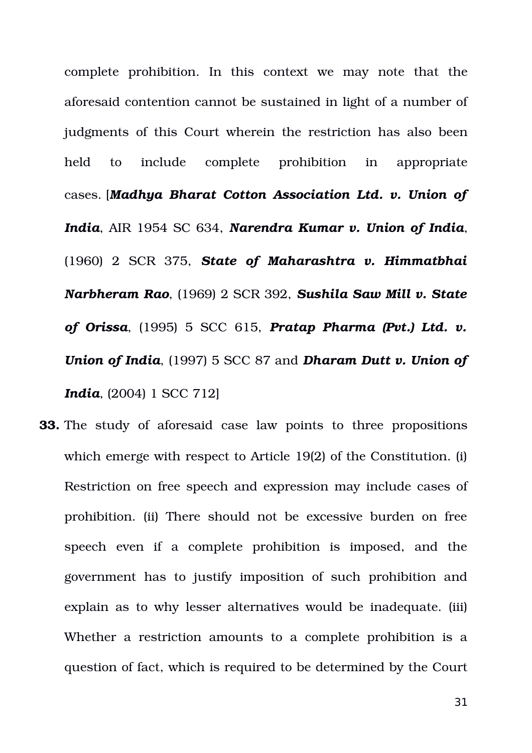complete prohibition. In this context we may note that the aforesaid contention cannot be sustained in light of a number of judgments of this Court wherein the restriction has also been held to include complete prohibition in appropriate cases. [*Madhya Bharat Cotton Association Ltd. v. Union of India*, AIR 1954 SC 634, *Narendra Kumar v. Union of India*, (1960) 2 SCR 375, *State of Maharashtra v. Himmatbhai Narbheram Rao*, (1969) 2 SCR 392, *Sushila Saw Mill v. State of Orissa*, (1995) 5 SCC 615, *Pratap Pharma (Pvt.) Ltd. v. Union of India*, (1997) 5 SCC 87 and *Dharam Dutt v. Union of India*, (2004) 1 SCC 712]

**33.** The study of aforesaid case law points to three propositions which emerge with respect to Article 19(2) of the Constitution. (i) Restriction on free speech and expression may include cases of prohibition. (ii) There should not be excessive burden on free speech even if a complete prohibition is imposed, and the government has to justify imposition of such prohibition and explain as to why lesser alternatives would be inadequate. (iii) Whether a restriction amounts to a complete prohibition is a question of fact, which is required to be determined by the Court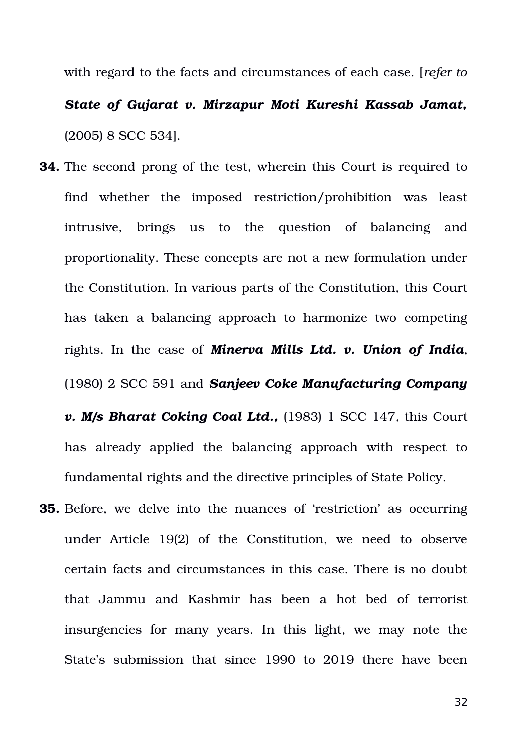with regard to the facts and circumstances of each case. [*refer to State of Gujarat v. Mirzapur Moti Kureshi Kassab Jamat,* (2005) 8 SCC 534].

**34.** The second prong of the test, wherein this Court is required to find whether the imposed restriction/prohibition was least intrusive, brings us to the question of balancing and proportionality. These concepts are not a new formulation under the Constitution. In various parts of the Constitution, this Court has taken a balancing approach to harmonize two competing rights. In the case of *Minerva Mills Ltd. v. Union of India*, (1980) 2 SCC 591 and *Sanjeev Coke Manufacturing Company*

*v. M/s Bharat Coking Coal Ltd., (1983) 1 SCC 147, this Court* has already applied the balancing approach with respect to fundamental rights and the directive principles of State Policy.

**35.** Before, we delve into the nuances of 'restriction' as occurring under Article 19(2) of the Constitution, we need to observe certain facts and circumstances in this case. There is no doubt that Jammu and Kashmir has been a hot bed of terrorist insurgencies for many years. In this light, we may note the State's submission that since 1990 to 2019 there have been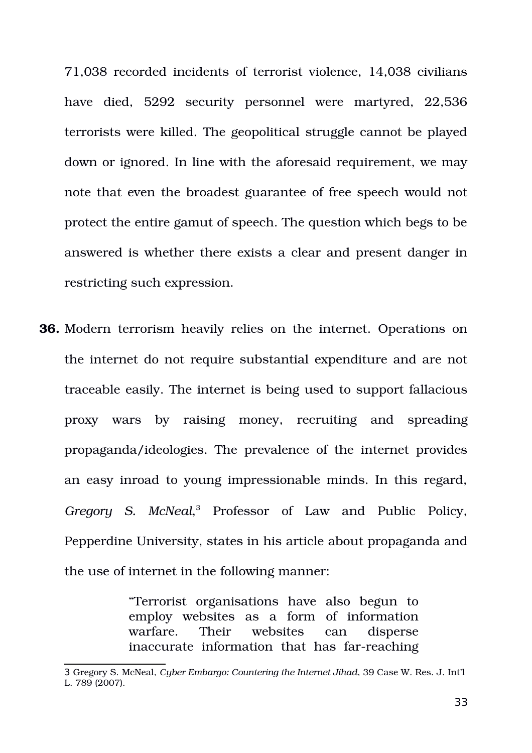71,038 recorded incidents of terrorist violence, 14,038 civilians have died, 5292 security personnel were martyred, 22,536 terrorists were killed. The geopolitical struggle cannot be played down or ignored. In line with the aforesaid requirement, we may note that even the broadest guarantee of free speech would not protect the entire gamut of speech. The question which begs to be answered is whether there exists a clear and present danger in restricting such expression.

**36.** Modern terrorism heavily relies on the internet. Operations on the internet do not require substantial expenditure and are not traceable easily. The internet is being used to support fallacious proxy wars by raising money, recruiting and spreading propaganda/ideologies. The prevalence of the internet provides an easy inroad to young impressionable minds. In this regard, Gregory S. McNeal,<sup>[3](#page-32-0)</sup> Professor of Law and Public Policy, Pepperdine University, states in his article about propaganda and the use of internet in the following manner:

> "Terrorist organisations have also begun to employ websites as a form of information warfare. Their websites can disperse inaccurate information that has far-reaching

<span id="page-32-0"></span><sup>3</sup> Gregory S. McNeal, *Cyber Embargo: Countering the Internet Jihad*, 39 Case W. Res. J. Int'l L. 789 (2007).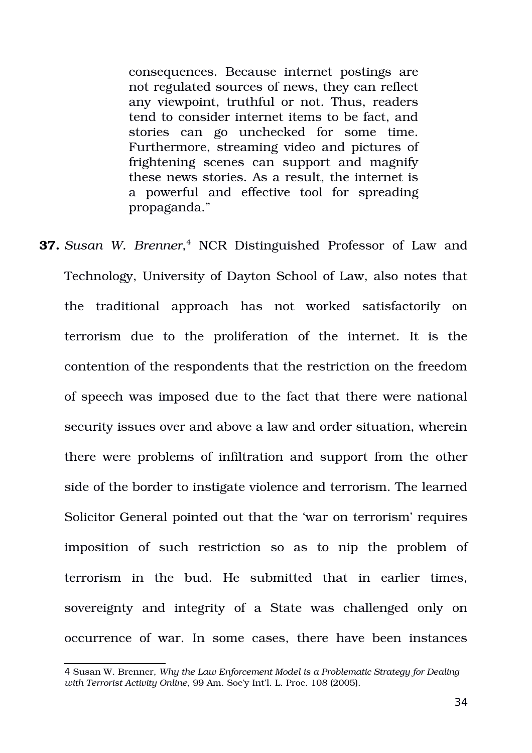consequences. Because internet postings are not regulated sources of news, they can reflect any viewpoint, truthful or not. Thus, readers tend to consider internet items to be fact, and stories can go unchecked for some time. Furthermore, streaming video and pictures of frightening scenes can support and magnify these news stories. As a result, the internet is a powerful and effective tool for spreading propaganda."

**37.** *Susan W. Brenner*,<sup>[4](#page-33-0)</sup> NCR Distinguished Professor of Law and Technology, University of Dayton School of Law, also notes that the traditional approach has not worked satisfactorily on terrorism due to the proliferation of the internet. It is the contention of the respondents that the restriction on the freedom of speech was imposed due to the fact that there were national security issues over and above a law and order situation, wherein there were problems of infiltration and support from the other side of the border to instigate violence and terrorism. The learned Solicitor General pointed out that the 'war on terrorism' requires imposition of such restriction so as to nip the problem of terrorism in the bud. He submitted that in earlier times, sovereignty and integrity of a State was challenged only on occurrence of war. In some cases, there have been instances

<span id="page-33-0"></span><sup>4</sup> Susan W. Brenner, *Why the Law Enforcement Model is a Problematic Strategy for Dealing with Terrorist Activity Online*, 99 Am. Soc'y Int'l. L. Proc. 108 (2005).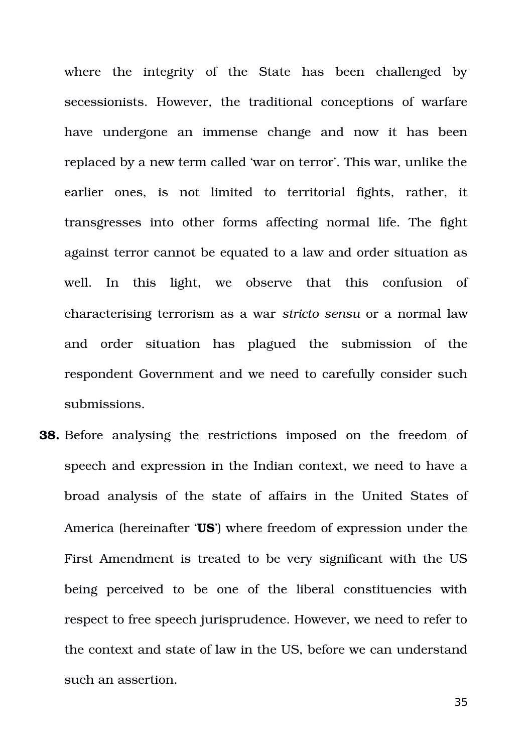where the integrity of the State has been challenged by secessionists. However, the traditional conceptions of warfare have undergone an immense change and now it has been replaced by a new term called 'war on terror'. This war, unlike the earlier ones, is not limited to territorial fights, rather, it transgresses into other forms affecting normal life. The fight against terror cannot be equated to a law and order situation as well. In this light, we observe that this confusion of characterising terrorism as a war *stricto sensu* or a normal law and order situation has plagued the submission of the respondent Government and we need to carefully consider such submissions.

**38.** Before analysing the restrictions imposed on the freedom of speech and expression in the Indian context, we need to have a broad analysis of the state of affairs in the United States of America (hereinafter '**US**') where freedom of expression under the First Amendment is treated to be very significant with the US being perceived to be one of the liberal constituencies with respect to free speech jurisprudence. However, we need to refer to the context and state of law in the US, before we can understand such an assertion.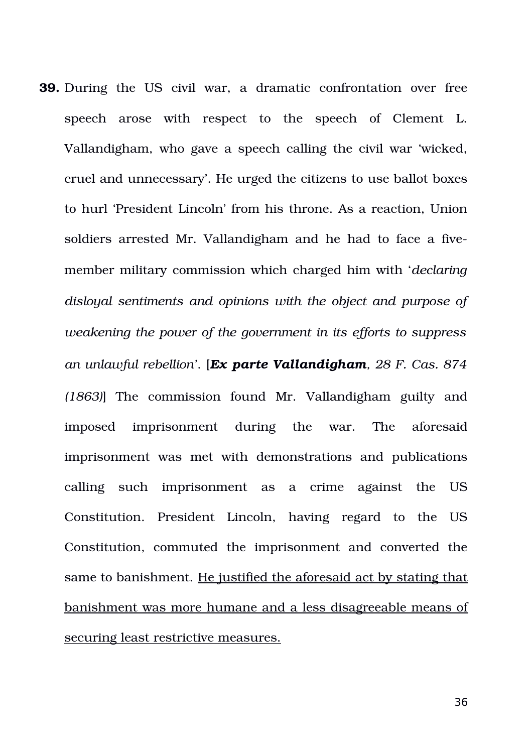**39.** During the US civil war, a dramatic confrontation over free speech arose with respect to the speech of Clement L. Vallandigham, who gave a speech calling the civil war 'wicked, cruel and unnecessary'. He urged the citizens to use ballot boxes to hurl 'President Lincoln' from his throne. As a reaction, Union soldiers arrested Mr. Vallandigham and he had to face a fivemember military commission which charged him with '*declaring disloyal sentiments and opinions with the object and purpose of weakening the power of the government in its efforts to suppress an unlawful rebellion'*. [*Ex parte Vallandigham, 28 F. Cas. 874 (1863)*] The commission found Mr. Vallandigham guilty and imposed imprisonment during the war. The aforesaid imprisonment was met with demonstrations and publications calling such imprisonment as a crime against the US Constitution. President Lincoln, having regard to the US Constitution, commuted the imprisonment and converted the same to banishment. He justified the aforesaid act by stating that banishment was more humane and a less disagreeable means of securing least restrictive measures.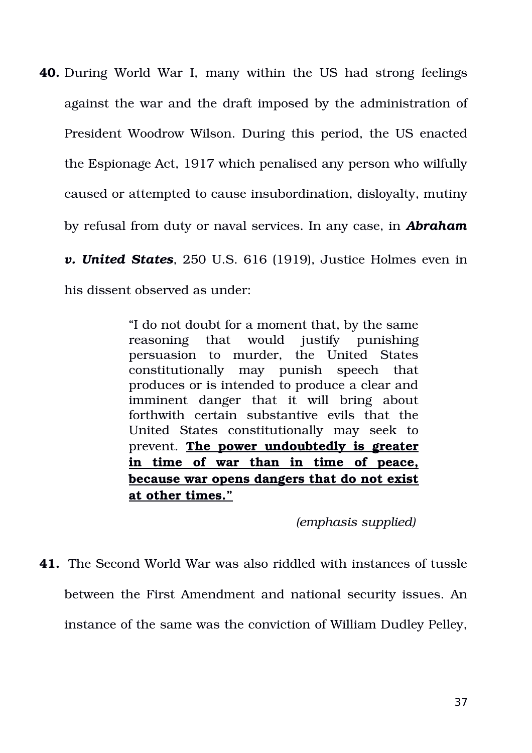**40.** During World War I, many within the US had strong feelings against the war and the draft imposed by the administration of President Woodrow Wilson. During this period, the US enacted the Espionage Act, 1917 which penalised any person who wilfully caused or attempted to cause insubordination, disloyalty, mutiny by refusal from duty or naval services. In any case, in *Abraham v. United States*, 250 U.S. 616 (1919), Justice Holmes even in his dissent observed as under:

> "I do not doubt for a moment that, by the same reasoning that would justify punishing persuasion to murder, the United States constitutionally may punish speech that produces or is intended to produce a clear and imminent danger that it will bring about forthwith certain substantive evils that the United States constitutionally may seek to prevent. **The power undoubtedly is greater in time of war than in time of peace, because war opens dangers that do not exist at other times."**

> > *(emphasis supplied)*

**41.** The Second World War was also riddled with instances of tussle between the First Amendment and national security issues. An instance of the same was the conviction of William Dudley Pelley,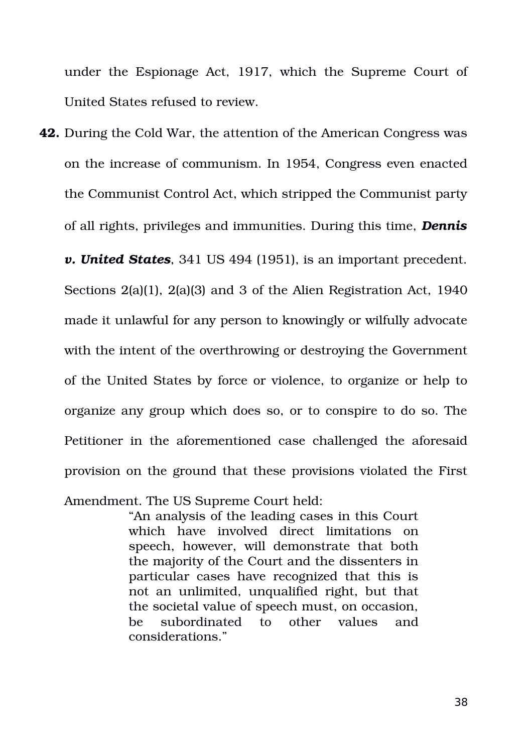under the Espionage Act, 1917, which the Supreme Court of United States refused to review.

**42.** During the Cold War, the attention of the American Congress was on the increase of communism. In 1954, Congress even enacted the Communist Control Act, which stripped the Communist party of all rights, privileges and immunities. During this time, *Dennis v. United States*, 341 US 494 (1951), is an important precedent. Sections 2(a)(1), 2(a)(3) and 3 of the Alien Registration Act, 1940 made it unlawful for any person to knowingly or wilfully advocate with the intent of the overthrowing or destroying the Government of the United States by force or violence, to organize or help to organize any group which does so, or to conspire to do so. The Petitioner in the aforementioned case challenged the aforesaid provision on the ground that these provisions violated the First Amendment. The US Supreme Court held:

> "An analysis of the leading cases in this Court which have involved direct limitations on speech, however, will demonstrate that both the majority of the Court and the dissenters in particular cases have recognized that this is not an unlimited, unqualified right, but that the societal value of speech must, on occasion, be subordinated to other values and considerations."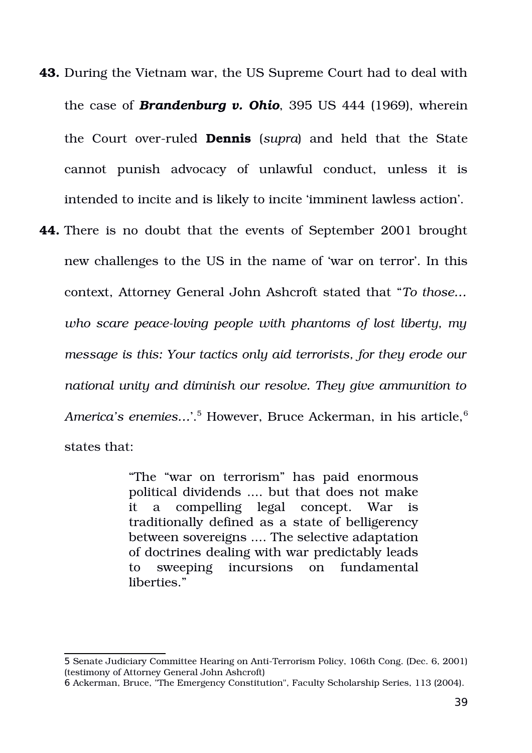- **43.** During the Vietnam war, the US Supreme Court had to deal with the case of *Brandenburg v. Ohio*, 395 US 444 (1969), wherein the Court over-ruled **Dennis** (*supra*) and held that the State cannot punish advocacy of unlawful conduct, unless it is intended to incite and is likely to incite 'imminent lawless action'.
- **44.** There is no doubt that the events of September 2001 brought new challenges to the US in the name of 'war on terror'. In this context, Attorney General John Ashcroft stated that "*To those…* who scare peace-loving people with phantoms of lost liberty, my *message is this: Your tactics only aid terrorists, for they erode our national unity and diminish our resolve. They give ammunition to* A*merica's enemies...*'.<sup>[5](#page-38-0)</sup> However, Bruce Ackerman, in his article,<sup>[6](#page-38-1)</sup> states that:

"The "war on terrorism" has paid enormous political dividends .... but that does not make it a compelling legal concept. War is traditionally defined as a state of belligerency between sovereigns .... The selective adaptation of doctrines dealing with war predictably leads to sweeping incursions on fundamental liberties."

<span id="page-38-0"></span><sup>5</sup> Senate Judiciary Committee Hearing on AntiTerrorism Policy, 106th Cong. (Dec. 6, 2001) (testimony of Attorney General John Ashcroft)

<span id="page-38-1"></span><sup>6</sup> Ackerman, Bruce, "The Emergency Constitution", Faculty Scholarship Series, 113 (2004).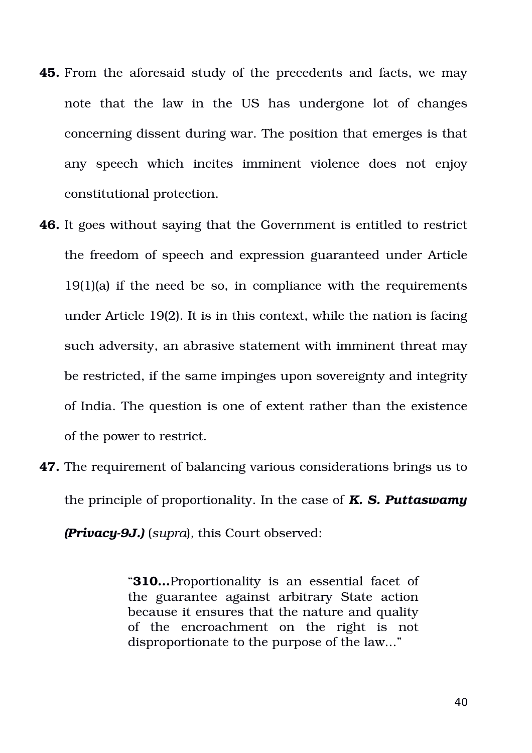- **45.** From the aforesaid study of the precedents and facts, we may note that the law in the US has undergone lot of changes concerning dissent during war. The position that emerges is that any speech which incites imminent violence does not enjoy constitutional protection.
- **46.** It goes without saying that the Government is entitled to restrict the freedom of speech and expression guaranteed under Article 19(1)(a) if the need be so, in compliance with the requirements under Article 19(2). It is in this context, while the nation is facing such adversity, an abrasive statement with imminent threat may be restricted, if the same impinges upon sovereignty and integrity of India. The question is one of extent rather than the existence of the power to restrict.
- **47.** The requirement of balancing various considerations brings us to the principle of proportionality. In the case of *K. S. Puttaswamy*

*(Privacy9J.)* (*supra*)*,* this Court observed:

"**310…**Proportionality is an essential facet of the guarantee against arbitrary State action because it ensures that the nature and quality of the encroachment on the right is not disproportionate to the purpose of the law..."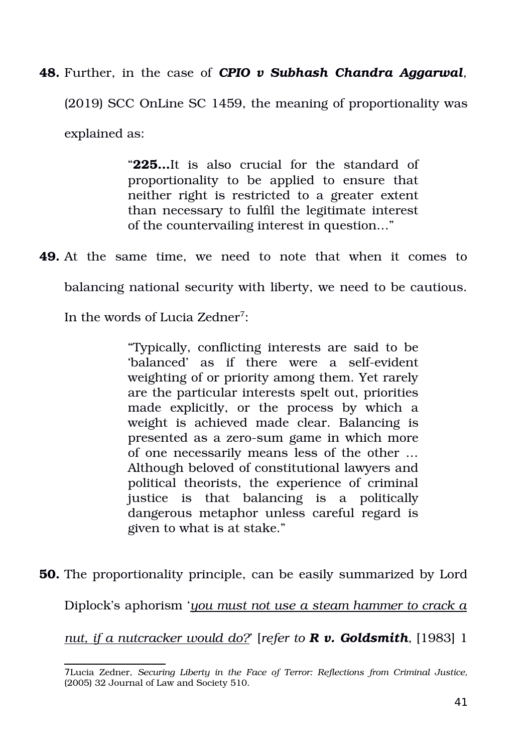**48.** Further, in the case of *CPIO v Subhash Chandra Aggarwal,* (2019) SCC OnLine SC 1459, the meaning of proportionality was explained as:

> "225...It is also crucial for the standard of proportionality to be applied to ensure that neither right is restricted to a greater extent than necessary to fulfil the legitimate interest of the countervailing interest in question…"

**49.** At the same time, we need to note that when it comes to

balancing national security with liberty, we need to be cautious.

In the words of Lucia Zedner<sup>[7](#page-40-0)</sup>:

"Typically, conflicting interests are said to be 'balanced' as if there were a self-evident weighting of or priority among them. Yet rarely are the particular interests spelt out, priorities made explicitly, or the process by which a weight is achieved made clear. Balancing is presented as a zero-sum game in which more of one necessarily means less of the other … Although beloved of constitutional lawyers and political theorists, the experience of criminal justice is that balancing is a politically dangerous metaphor unless careful regard is given to what is at stake."

**50.** The proportionality principle, can be easily summarized by Lord Diplock's aphorism '*you must not use a steam hammer to crack a nut, if a nutcracker would do?*' [*refer to R v. Goldsmith,* [1983] 1

<span id="page-40-0"></span><sup>7</sup>Lucia Zedner, *Securing Liberty in the Face of Terror: Reflections from Criminal Justice,* (2005) 32 Journal of Law and Society 510.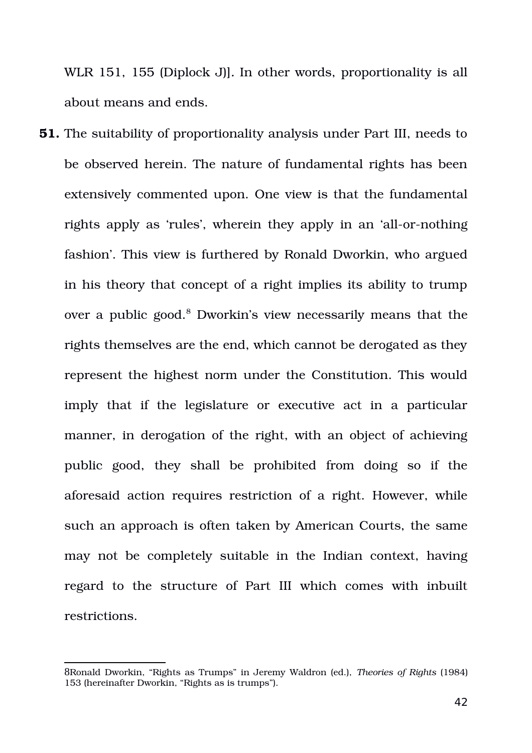WLR 151, 155 (Diplock J)]*.* In other words, proportionality is all about means and ends.

**51.** The suitability of proportionality analysis under Part III, needs to be observed herein. The nature of fundamental rights has been extensively commented upon. One view is that the fundamental rights apply as 'rules', wherein they apply in an 'all-or-nothing fashion'. This view is furthered by Ronald Dworkin, who argued in his theory that concept of a right implies its ability to trump over a public good.<sup>[8](#page-41-0)</sup> Dworkin's view necessarily means that the rights themselves are the end, which cannot be derogated as they represent the highest norm under the Constitution. This would imply that if the legislature or executive act in a particular manner, in derogation of the right, with an object of achieving public good, they shall be prohibited from doing so if the aforesaid action requires restriction of a right. However, while such an approach is often taken by American Courts, the same may not be completely suitable in the Indian context, having regard to the structure of Part III which comes with inbuilt restrictions.

<span id="page-41-0"></span><sup>8</sup>Ronald Dworkin, "Rights as Trumps" in Jeremy Waldron (ed.), *Theories of Rights* (1984) 153 (hereinafter Dworkin, "Rights as is trumps").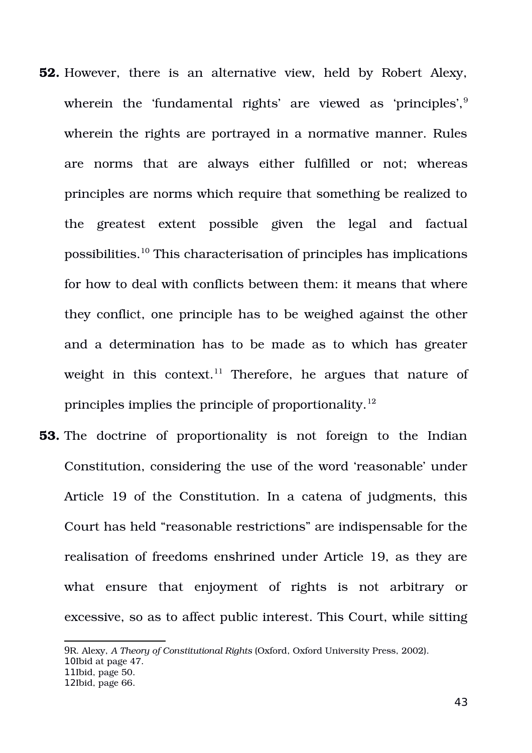- **52.** However, there is an alternative view, held by Robert Alexy, wherein the 'fundamental rights' are viewed as 'principles', <sup>[9](#page-42-0)</sup> wherein the rights are portrayed in a normative manner. Rules are norms that are always either fulfilled or not; whereas principles are norms which require that something be realized to the greatest extent possible given the legal and factual possibilities.[10](#page-42-1) This characterisation of principles has implications for how to deal with conflicts between them: it means that where they conflict, one principle has to be weighed against the other and a determination has to be made as to which has greater weight in this context.<sup>[11](#page-42-2)</sup> Therefore, he argues that nature of principles implies the principle of proportionality.<sup>[12](#page-42-3)</sup>
- **53.** The doctrine of proportionality is not foreign to the Indian Constitution, considering the use of the word 'reasonable' under Article 19 of the Constitution. In a catena of judgments, this Court has held "reasonable restrictions" are indispensable for the realisation of freedoms enshrined under Article 19, as they are what ensure that enjoyment of rights is not arbitrary or excessive, so as to affect public interest. This Court, while sitting

<span id="page-42-1"></span>10Ibid at page 47.

<span id="page-42-0"></span><sup>9</sup>R. Alexy, *A Theory of Constitutional Rights* (Oxford, Oxford University Press, 2002).

<span id="page-42-2"></span><sup>11</sup>Ibid, page 50.

<span id="page-42-3"></span><sup>12</sup>Ibid, page 66.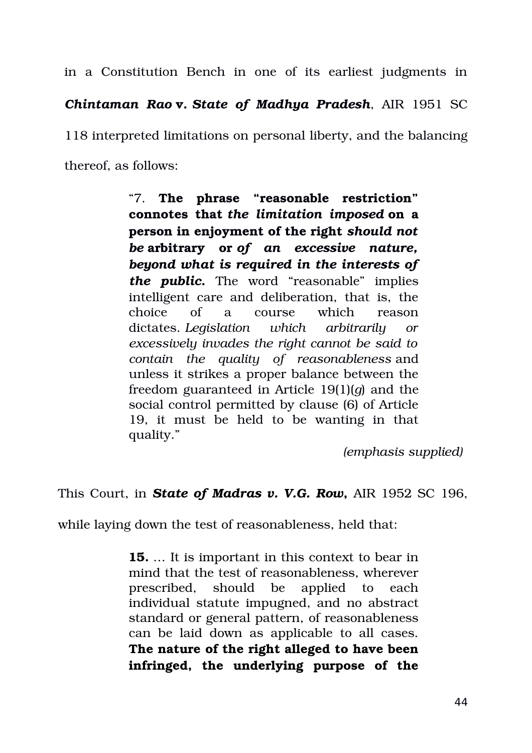in a Constitution Bench in one of its earliest judgments in

*Chintaman Rao* **v.** *State of Madhya Pradesh*, AIR 1951 SC

118 interpreted limitations on personal liberty, and the balancing thereof, as follows:

> "7. **The phrase "reasonable restriction" connotes that** *the limitation imposed* **on a person in enjoyment of the right** *should not be* **arbitrary or** *of an excessive nature, beyond what is required in the interests of the public***.** The word "reasonable" implies intelligent care and deliberation, that is, the choice of a course which reason dictates. *Legislation which arbitrarily or excessively invades the right cannot be said to contain the quality of reasonableness* and unless it strikes a proper balance between the freedom guaranteed in Article 19(1)(*g*) and the social control permitted by clause (6) of Article 19, it must be held to be wanting in that quality."

> > *(emphasis supplied)*

This Court, in **State of Madras v. V.G. Row**, AIR 1952 SC 196,

while laying down the test of reasonableness, held that:

**15.** … It is important in this context to bear in mind that the test of reasonableness, wherever prescribed, should be applied to each individual statute impugned, and no abstract standard or general pattern, of reasonableness can be laid down as applicable to all cases. **The nature of the right alleged to have been infringed, the underlying purpose of the**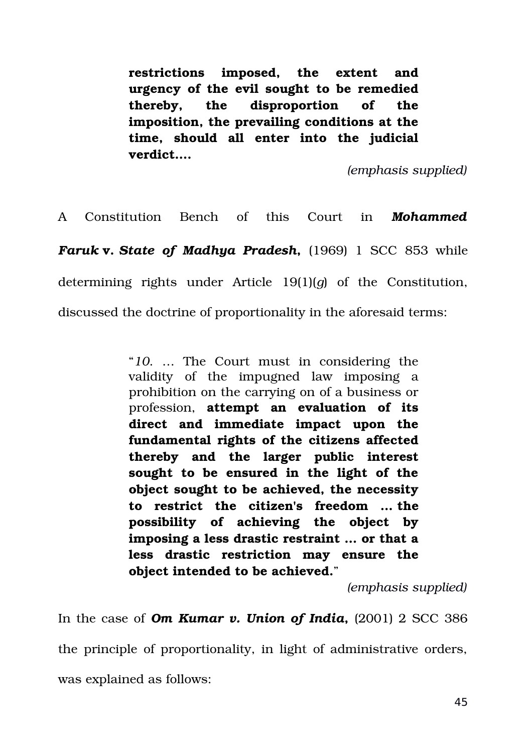**restrictions imposed, the extent and urgency of the evil sought to be remedied thereby, the disproportion of the imposition, the prevailing conditions at the time, should all enter into the judicial verdict….**

*(emphasis supplied)*

A Constitution Bench of this Court in *Mohammed Faruk* **v.** *State of Madhya Pradesh*, (1969) 1 SCC 853 while determining rights under Article 19(1)(*q*) of the Constitution, discussed the doctrine of proportionality in the aforesaid terms:

> "*10*. … The Court must in considering the validity of the impugned law imposing a prohibition on the carrying on of a business or profession, **attempt an evaluation of its direct and immediate impact upon the fundamental rights of the citizens affected thereby and the larger public interest sought to be ensured in the light of the object sought to be achieved, the necessity to restrict the citizen's freedom … the possibility of achieving the object by imposing a less drastic restraint … or that a less drastic restriction may ensure the object intended to be achieved.**"

> > *(emphasis supplied)*

In the case of **Om Kumar v. Union of India**,  $(2001)$  2 SCC 386 the principle of proportionality, in light of administrative orders, was explained as follows: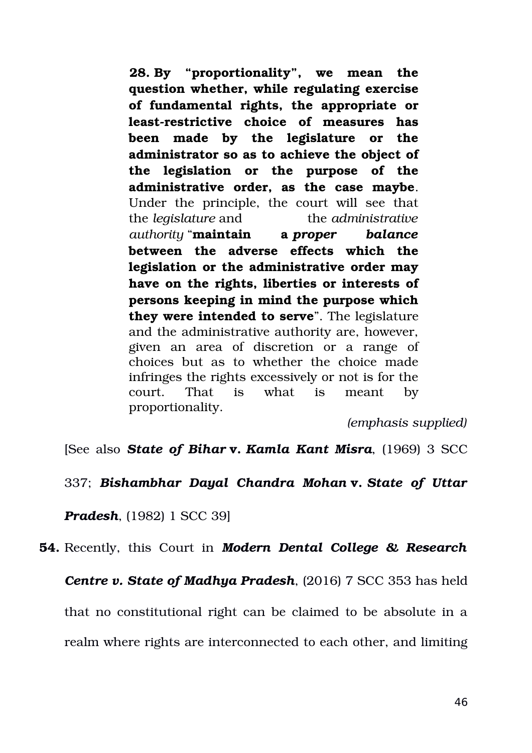**28. By "proportionality", we mean the question whether, while regulating exercise of fundamental rights, the appropriate or least-restrictive choice of measures has been made by the legislature or the administrator so as to achieve the object of the legislation or the purpose of the administrative order, as the case maybe**. Under the principle, the court will see that the *legislature* and the *administrative authority* "**maintain a** *proper balance* **between the adverse effects which the legislation or the administrative order may have on the rights, liberties or interests of persons keeping in mind the purpose which they were intended to serve**". The legislature and the administrative authority are, however, given an area of discretion or a range of choices but as to whether the choice made infringes the rights excessively or not is for the court. That is what is meant by proportionality.

*(emphasis supplied)*

[See also *State of Bihar* **v.** *Kamla Kant Misra*, (1969) 3 SCC

337; *Bishambhar Dayal Chandra Mohan* **v.** *State of Uttar*

*Pradesh*, (1982) 1 SCC 39]

**54.** Recently, this Court in *Modern Dental College & Research*

*Centre v. State of Madhya Pradesh, (2016) 7 SCC 353 has held* 

that no constitutional right can be claimed to be absolute in a

realm where rights are interconnected to each other, and limiting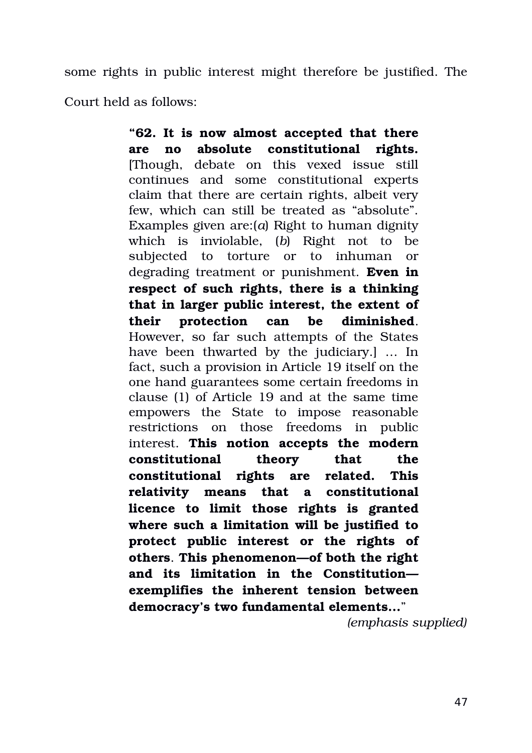some rights in public interest might therefore be justified. The Court held as follows:

> **"62. It is now almost accepted that there are no absolute constitutional rights.** [Though, debate on this vexed issue still continues and some constitutional experts claim that there are certain rights, albeit very few, which can still be treated as "absolute". Examples given are:(*a*) Right to human dignity which is inviolable, (b) Right not to be subjected to torture or to inhuman or degrading treatment or punishment. **Even in respect of such rights, there is a thinking that in larger public interest, the extent of their protection can be diminished**. However, so far such attempts of the States have been thwarted by the judiciary.  $\lfloor$  ... In fact, such a provision in Article 19 itself on the one hand guarantees some certain freedoms in clause (1) of Article 19 and at the same time empowers the State to impose reasonable restrictions on those freedoms in public interest. **This notion accepts the modern constitutional theory that the constitutional rights are related. This relativity means that a constitutional licence to limit those rights is granted where such a limitation will be justified to protect public interest or the rights of others**. **This phenomenon—of both the right and its limitation in the Constitution exemplifies the inherent tension between democracy's two fundamental elements...**"

> > *(emphasis supplied)*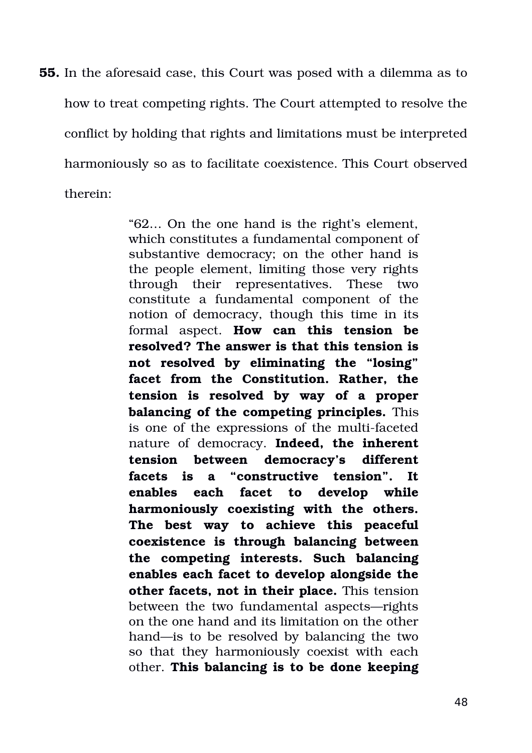**55.** In the aforesaid case, this Court was posed with a dilemma as to how to treat competing rights. The Court attempted to resolve the conflict by holding that rights and limitations must be interpreted harmoniously so as to facilitate coexistence. This Court observed therein:

> "62… On the one hand is the right's element, which constitutes a fundamental component of substantive democracy; on the other hand is the people element, limiting those very rights through their representatives. These two constitute a fundamental component of the notion of democracy, though this time in its formal aspect. **How can this tension be resolved? The answer is that this tension is not resolved by eliminating the "losing" facet from the Constitution. Rather, the tension is resolved by way of a proper balancing of the competing principles.** This is one of the expressions of the multi-faceted nature of democracy. Indeed, the inherent **tension between democracy's different facets is a "constructive tension". It enables each facet to develop while harmoniously coexisting with the others. The best way to achieve this peaceful coexistence is through balancing between the competing interests. Such balancing enables each facet to develop alongside the other facets, not in their place.** This tension between the two fundamental aspects—rights on the one hand and its limitation on the other hand—is to be resolved by balancing the two so that they harmoniously coexist with each other. **This balancing is to be done keeping**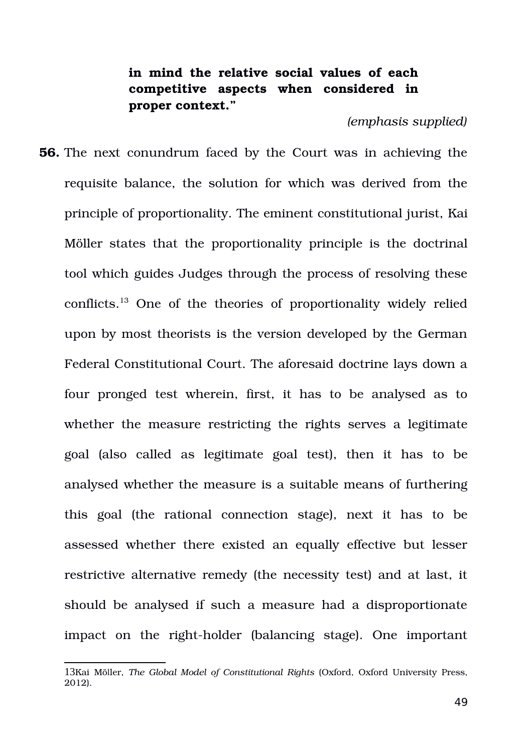# **in mind the relative social values of each competitive aspects when considered in proper context."**

### *(emphasis supplied)*

**56.** The next conundrum faced by the Court was in achieving the requisite balance, the solution for which was derived from the principle of proportionality. The eminent constitutional jurist, Kai Möller states that the proportionality principle is the doctrinal tool which guides Judges through the process of resolving these conflicts. [13](#page-48-0) One of the theories of proportionality widely relied upon by most theorists is the version developed by the German Federal Constitutional Court. The aforesaid doctrine lays down a four pronged test wherein, first, it has to be analysed as to whether the measure restricting the rights serves a legitimate goal (also called as legitimate goal test), then it has to be analysed whether the measure is a suitable means of furthering this goal (the rational connection stage), next it has to be assessed whether there existed an equally effective but lesser restrictive alternative remedy (the necessity test) and at last, it should be analysed if such a measure had a disproportionate impact on the right-holder (balancing stage). One important

<span id="page-48-0"></span><sup>13</sup>Kai Möller, *The Global Model of Constitutional Rights* (Oxford, Oxford University Press, 2012).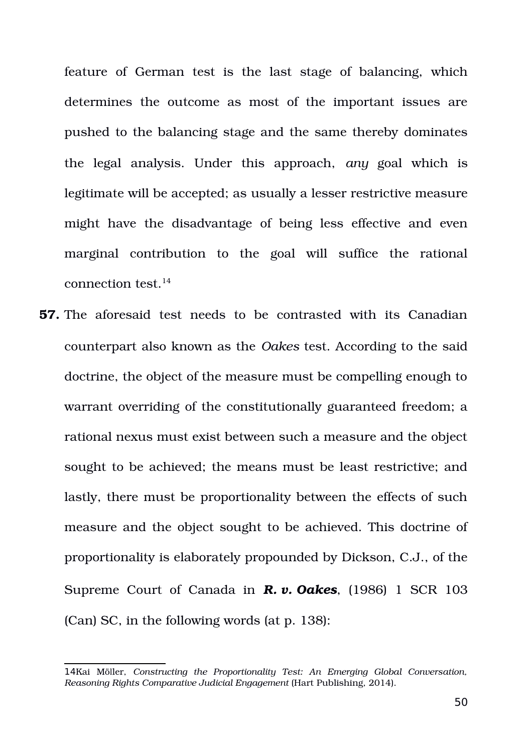feature of German test is the last stage of balancing, which determines the outcome as most of the important issues are pushed to the balancing stage and the same thereby dominates the legal analysis. Under this approach, any goal which is legitimate will be accepted; as usually a lesser restrictive measure might have the disadvantage of being less effective and even marginal contribution to the goal will suffice the rational connection test. $14$ 

**57.** The aforesaid test needs to be contrasted with its Canadian counterpart also known as the *Oakes* test. According to the said doctrine, the object of the measure must be compelling enough to warrant overriding of the constitutionally guaranteed freedom; a rational nexus must exist between such a measure and the object sought to be achieved; the means must be least restrictive; and lastly, there must be proportionality between the effects of such measure and the object sought to be achieved. This doctrine of proportionality is elaborately propounded by Dickson, C.J., of the Supreme Court of Canada in *R. v. Oakes*, (1986) 1 SCR 103 (Can) SC, in the following words (at p. 138):

<span id="page-49-0"></span><sup>14</sup>Kai Möller, *Constructing the Proportionality Test: An Emerging Global Conversation, Reasoning Rights Comparative Judicial Engagement* (Hart Publishing, 2014).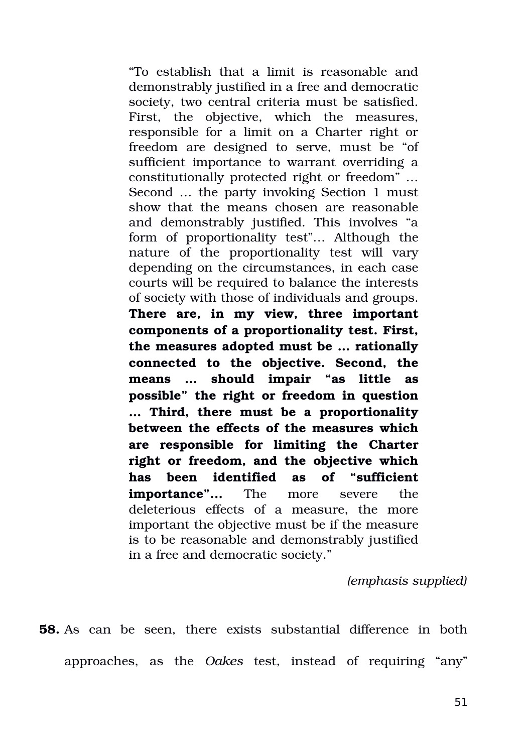"To establish that a limit is reasonable and demonstrably justified in a free and democratic society, two central criteria must be satisfied. First, the objective, which the measures, responsible for a limit on a Charter right or freedom are designed to serve, must be "of sufficient importance to warrant overriding a constitutionally protected right or freedom" … Second … the party invoking Section 1 must show that the means chosen are reasonable and demonstrably justified. This involves "a form of proportionality test"... Although the nature of the proportionality test will vary depending on the circumstances, in each case courts will be required to balance the interests of society with those of individuals and groups. **There are, in my view, three important components of a proportionality test. First, the measures adopted must be … rationally connected to the objective. Second, the means … should impair "as little as possible" the right or freedom in question … Third, there must be a proportionality between the effects of the measures which are responsible for limiting the Charter right or freedom, and the objective which has been identified as of "sufficient importance"...** The more severe the deleterious effects of a measure, the more important the objective must be if the measure is to be reasonable and demonstrably justified in a free and democratic society."

*(emphasis supplied)*

**58.** As can be seen, there exists substantial difference in both approaches, as the *Oakes* test, instead of requiring "any"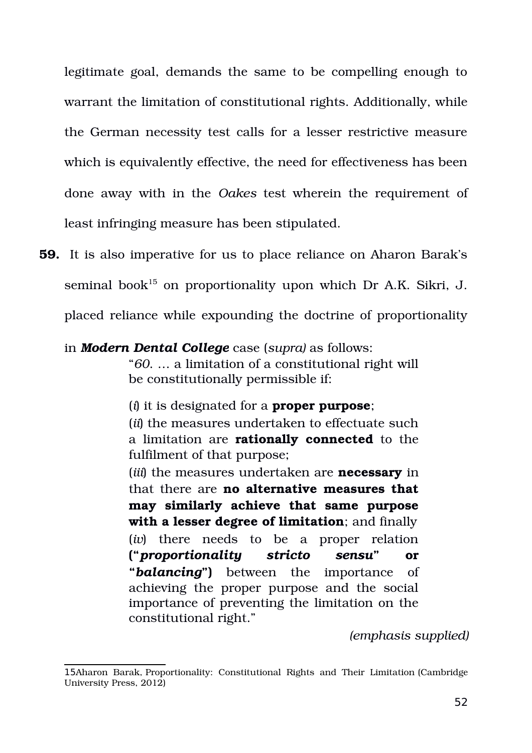legitimate goal, demands the same to be compelling enough to warrant the limitation of constitutional rights. Additionally, while the German necessity test calls for a lesser restrictive measure which is equivalently effective, the need for effectiveness has been done away with in the *Oakes* test wherein the requirement of least infringing measure has been stipulated.

**59.** It is also imperative for us to place reliance on Aharon Barak's seminal book<sup>[15](#page-51-0)</sup> on proportionality upon which Dr A.K. Sikri, J. placed reliance while expounding the doctrine of proportionality

## in *Modern Dental College* case (*supra)* as follows:

"*60*. … a limitation of a constitutional right will be constitutionally permissible if:

(*i*) it is designated for a **proper purpose**;

(*ii*) the measures undertaken to effectuate such a limitation are **rationally connected** to the fulfilment of that purpose;

(*iii*) the measures undertaken are **necessary** in that there are **no alternative measures that may similarly achieve that same purpose with a lesser degree of limitation**; and finally (*iv*) there needs to be a proper relation **("***proportionality stricto sensu***" or "***balancing***")** between the importance of achieving the proper purpose and the social importance of preventing the limitation on the constitutional right."

*(emphasis supplied)*

<span id="page-51-0"></span><sup>15</sup>Aharon Barak, Proportionality: Constitutional Rights and Their Limitation (Cambridge University Press, 2012)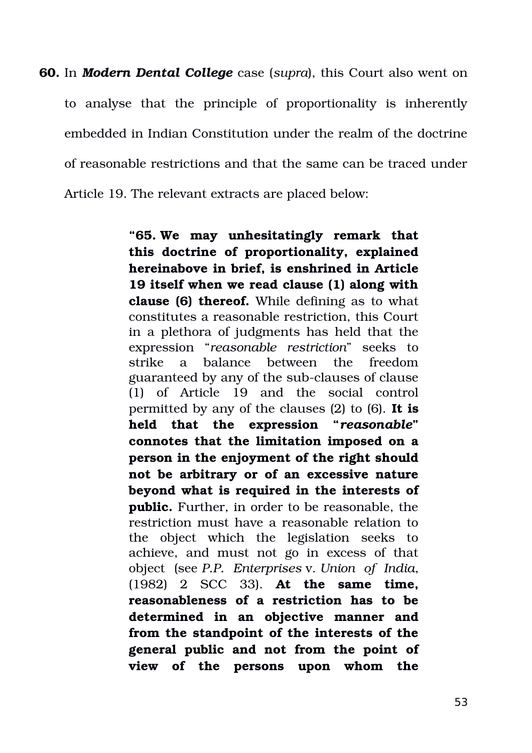**60.** In *Modern Dental College* case (*supra*), this Court also went on to analyse that the principle of proportionality is inherently embedded in Indian Constitution under the realm of the doctrine of reasonable restrictions and that the same can be traced under Article 19. The relevant extracts are placed below:

> **"65. We may unhesitatingly remark that this doctrine of proportionality, explained hereinabove in brief, is enshrined in Article 19 itself when we read clause (1) along with clause (6) thereof.** While defining as to what constitutes a reasonable restriction, this Court in a plethora of judgments has held that the expression "*reasonable restriction*" seeks to strike a balance between the freedom guaranteed by any of the sub-clauses of clause (1) of Article 19 and the social control permitted by any of the clauses (2) to (6). **It is held that the expression "***reasonable***" connotes that the limitation imposed on a person in the enjoyment of the right should not be arbitrary or of an excessive nature beyond what is required in the interests of public.** Further, in order to be reasonable, the restriction must have a reasonable relation to the object which the legislation seeks to achieve, and must not go in excess of that object (see *P.P. Enterprises* v. *Union of India*, (1982) 2 SCC 33). **At the same time, reasonableness of a restriction has to be determined in an objective manner and from the standpoint of the interests of the general public and not from the point of view of the persons upon whom the**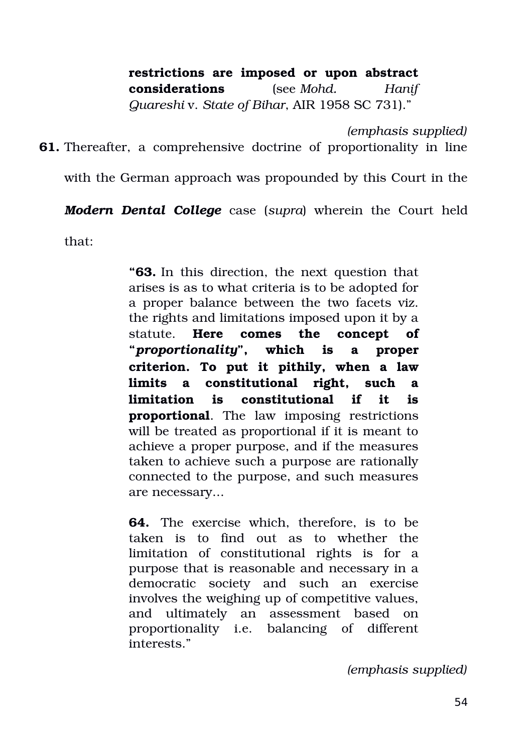# **restrictions are imposed or upon abstract**

**considerations** (see *Mohd. Hanif*

*Quareshi* v. *State of Bihar*, AIR 1958 SC 731)."

*(emphasis supplied)*

**61.** Thereafter, a comprehensive doctrine of proportionality in line

with the German approach was propounded by this Court in the

*Modern Dental College* case (*supra*) wherein the Court held

that:

**"63.** In this direction, the next question that arises is as to what criteria is to be adopted for a proper balance between the two facets viz. the rights and limitations imposed upon it by a statute. **Here comes the concept of "***proportionality***", which is a proper criterion. To put it pithily, when a law limits a constitutional right, such a limitation is constitutional if it is proportional**. The law imposing restrictions will be treated as proportional if it is meant to achieve a proper purpose, and if the measures taken to achieve such a purpose are rationally connected to the purpose, and such measures are necessary...

**64.** The exercise which, therefore, is to be taken is to find out as to whether the limitation of constitutional rights is for a purpose that is reasonable and necessary in a democratic society and such an exercise involves the weighing up of competitive values, and ultimately an assessment based on proportionality i.e. balancing of different interests."

*(emphasis supplied)*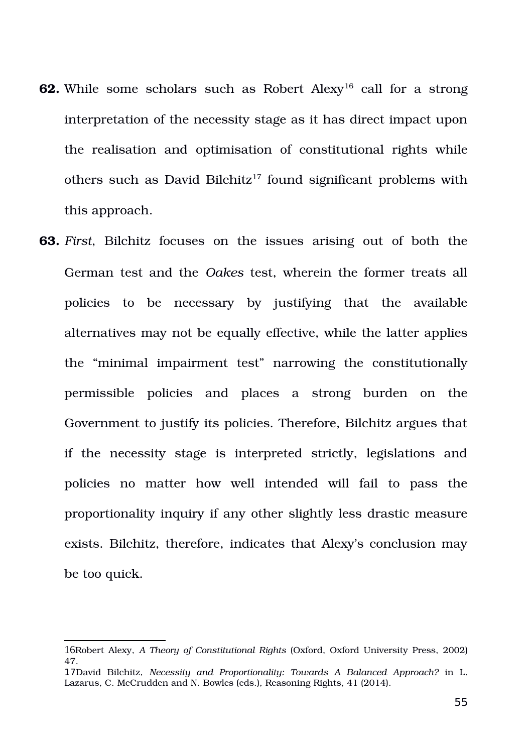- **62.** While some scholars such as Robert Alexy<sup>[16](#page-54-0)</sup> call for a strong interpretation of the necessity stage as it has direct impact upon the realisation and optimisation of constitutional rights while others such as David Bilchitz<sup>[17](#page-54-1)</sup> found significant problems with this approach.
- **63.** *First*, Bilchitz focuses on the issues arising out of both the German test and the *Oakes* test, wherein the former treats all policies to be necessary by justifying that the available alternatives may not be equally effective, while the latter applies the "minimal impairment test" narrowing the constitutionally permissible policies and places a strong burden on the Government to justify its policies. Therefore, Bilchitz argues that if the necessity stage is interpreted strictly, legislations and policies no matter how well intended will fail to pass the proportionality inquiry if any other slightly less drastic measure exists. Bilchitz, therefore, indicates that Alexy's conclusion may be too quick.

<span id="page-54-0"></span><sup>16</sup>Robert Alexy, *A Theory of Constitutional Rights* (Oxford, Oxford University Press, 2002) 47.

<span id="page-54-1"></span><sup>17</sup>David Bilchitz, *Necessity and Proportionality: Towards A Balanced Approach?* in L. Lazarus, C. McCrudden and N. Bowles (eds.), Reasoning Rights, 41 (2014).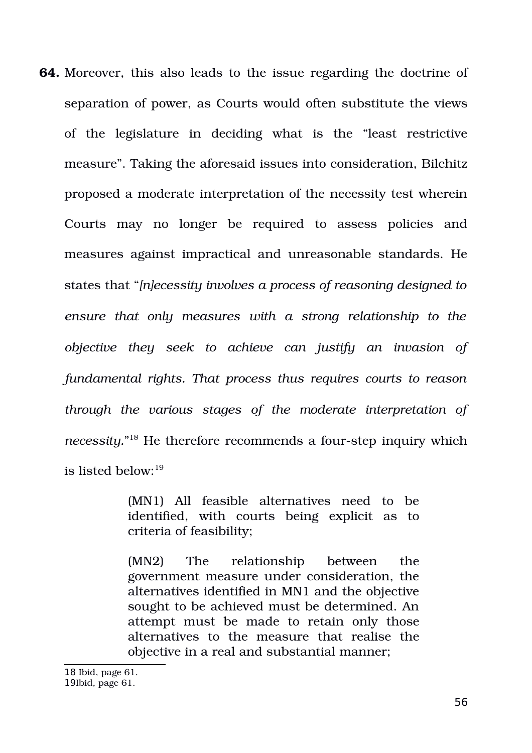**64.** Moreover, this also leads to the issue regarding the doctrine of separation of power, as Courts would often substitute the views of the legislature in deciding what is the "least restrictive measure". Taking the aforesaid issues into consideration, Bilchitz proposed a moderate interpretation of the necessity test wherein Courts may no longer be required to assess policies and measures against impractical and unreasonable standards. He states that "*[n]ecessity involves a process of reasoning designed to ensure that only measures with a strong relationship to the objective they seek to achieve can justify an invasion of fundamental rights. That process thus requires courts to reason through the various stages of the moderate interpretation of* necessity."<sup>[18](#page-55-0)</sup> He therefore recommends a four-step inquiry which is listed below:[19](#page-55-1)

> (MN1) All feasible alternatives need to be identified, with courts being explicit as to criteria of feasibility;

> (MN2) The relationship between the government measure under consideration, the alternatives identified in MN1 and the objective sought to be achieved must be determined. An attempt must be made to retain only those alternatives to the measure that realise the objective in a real and substantial manner;

<span id="page-55-1"></span><span id="page-55-0"></span>18 Ibid, page 61. 19Ibid, page 61.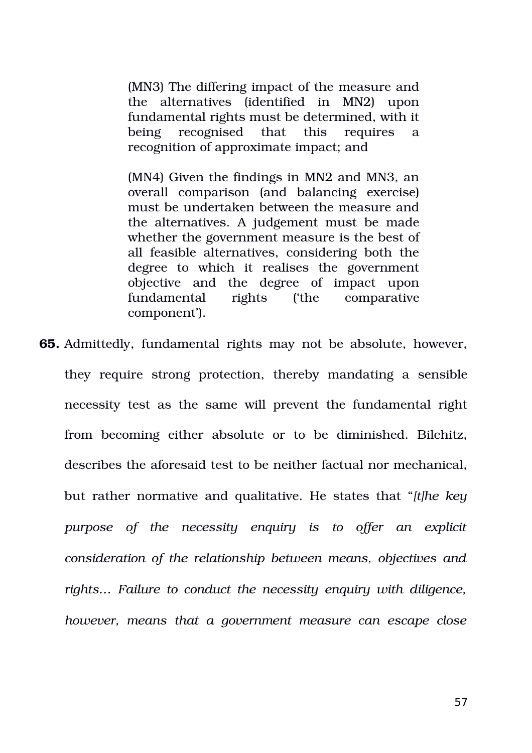(MN3) The differing impact of the measure and the alternatives (identified in MN2) upon fundamental rights must be determined, with it being recognised that this requires a recognition of approximate impact; and

(MN4) Given the findings in MN2 and MN3, an overall comparison (and balancing exercise) must be undertaken between the measure and the alternatives. A judgement must be made whether the government measure is the best of all feasible alternatives, considering both the degree to which it realises the government objective and the degree of impact upon fundamental rights ('the comparative component').

**65.** Admittedly, fundamental rights may not be absolute, however, they require strong protection, thereby mandating a sensible necessity test as the same will prevent the fundamental right from becoming either absolute or to be diminished. Bilchitz, describes the aforesaid test to be neither factual nor mechanical, but rather normative and qualitative. He states that "*[t]he key purpose of the necessity enquiry is to offer an explicit consideration of the relationship between means, objectives and rights… Failure to conduct the necessity enquiry with diligence, however, means that a government measure can escape close*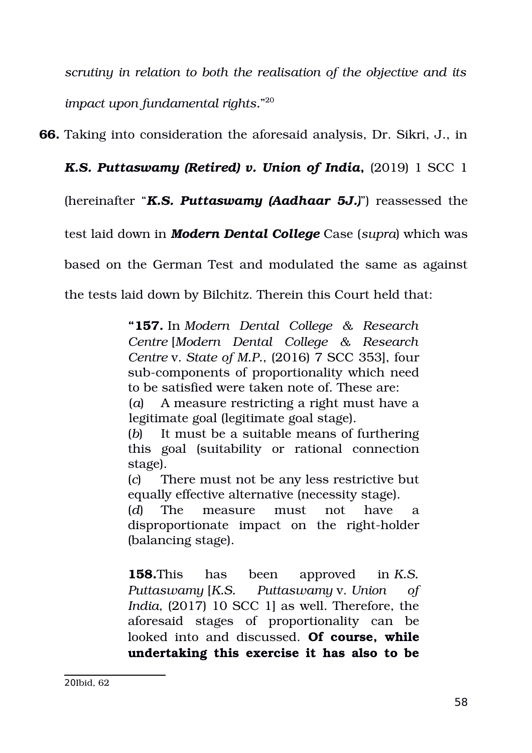*scrutiny in relation to both the realisation of the objective and its impact upon fundamental rights.*" [20](#page-57-0)

**66.** Taking into consideration the aforesaid analysis, Dr. Sikri, J., in

*K.S. Puttaswamy (Retired) v. Union of India*, (2019) 1 SCC 1

(hereinafter "*K.S. Puttaswamy (Aadhaar 5J.)*") reassessed the

test laid down in *Modern Dental College* Case (*supra*) which was

based on the German Test and modulated the same as against

the tests laid down by Bilchitz. Therein this Court held that:

**"157.** In *Modern Dental College & Research Centre* [*Modern Dental College & Research Centre* v. *State of M.P.*, (2016) 7 SCC 353], four sub-components of proportionality which need to be satisfied were taken note of. These are:

(*a*) A measure restricting a right must have a legitimate goal (legitimate goal stage).

(*b*) It must be a suitable means of furthering this goal (suitability or rational connection stage).

(*c*) There must not be any less restrictive but equally effective alternative (necessity stage).

(*d*) The measure must not have a disproportionate impact on the right-holder (balancing stage).

<span id="page-57-0"></span>**158.**This has been approved in *K.S. Puttaswamy* [*K.S. Puttaswamy* v. *Union of India*, (2017) 10 SCC 1] as well. Therefore, the aforesaid stages of proportionality can be looked into and discussed. **Of course, while undertaking this exercise it has also to be**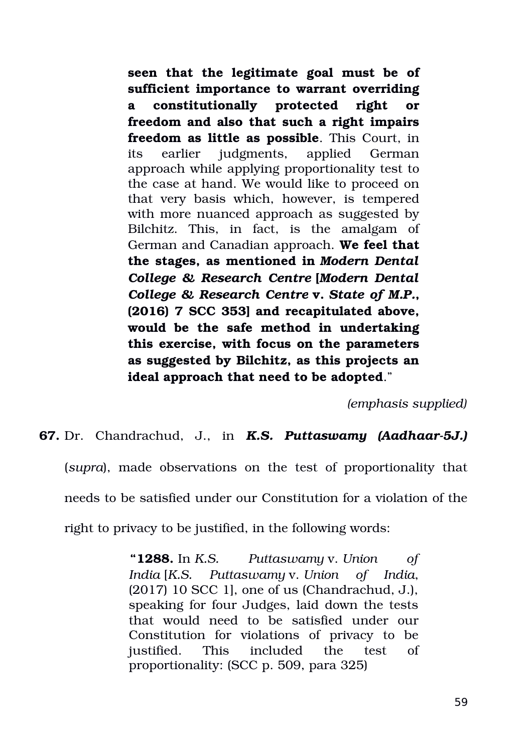**seen that the legitimate goal must be of sufficient importance to warrant overriding a constitutionally protected right or freedom and also that such a right impairs freedom as little as possible**. This Court, in its earlier judgments, applied German approach while applying proportionality test to the case at hand. We would like to proceed on that very basis which, however, is tempered with more nuanced approach as suggested by Bilchitz. This, in fact, is the amalgam of German and Canadian approach. **We feel that the stages, as mentioned in** *Modern Dental College & Research Centre* **[***Modern Dental College & Research Centre* **v.** *State of M.P.***, (2016) 7 SCC 353] and recapitulated above, would be the safe method in undertaking this exercise, with focus on the parameters as suggested by Bilchitz, as this projects an ideal approach that need to be adopted**."

*(emphasis supplied)*

**67.** Dr. Chandrachud, J., in *K.S. Puttaswamy (Aadhaar-5J.)* (*supra*), made observations on the test of proportionality that needs to be satisfied under our Constitution for a violation of the right to privacy to be justified, in the following words:

> **"1288.** In *K.S. Puttaswamy* v. *Union of India* [*K.S. Puttaswamy* v. *Union of India*, (2017) 10 SCC 1], one of us (Chandrachud, J.), speaking for four Judges, laid down the tests that would need to be satisfied under our Constitution for violations of privacy to be justified. This included the test of proportionality: (SCC p. 509, para 325)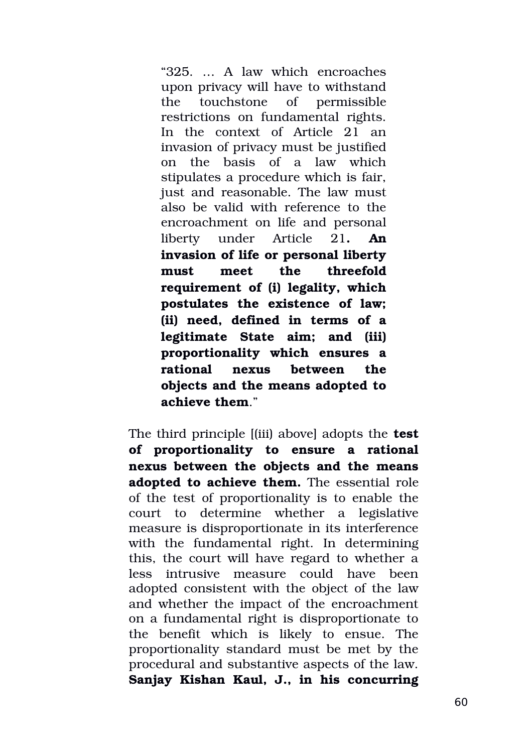"325. … A law which encroaches upon privacy will have to withstand the touchstone of permissible restrictions on fundamental rights. In the context of Article 21 an invasion of privacy must be justified on the basis of a law which stipulates a procedure which is fair, just and reasonable. The law must also be valid with reference to the encroachment on life and personal liberty under Article 21**. An invasion of life or personal liberty must meet the threefold requirement of (i) legality, which postulates the existence of law; (ii) need, defined in terms of a legitimate State aim; and (iii) proportionality which ensures a rational nexus between the objects and the means adopted to achieve them**."

The third principle [(iii) above] adopts the **test of proportionality to ensure a rational nexus between the objects and the means adopted to achieve them.** The essential role of the test of proportionality is to enable the court to determine whether a legislative measure is disproportionate in its interference with the fundamental right. In determining this, the court will have regard to whether a less intrusive measure could have been adopted consistent with the object of the law and whether the impact of the encroachment on a fundamental right is disproportionate to the benefit which is likely to ensue. The proportionality standard must be met by the procedural and substantive aspects of the law. **Sanjay Kishan Kaul, J., in his concurring**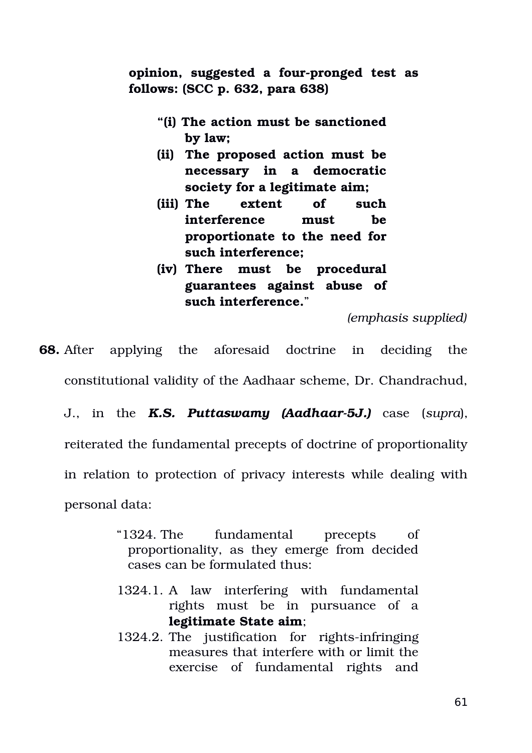**opinion, suggested a four-pronged test as follows: (SCC p. 632, para 638)**

- **"(i) The action must be sanctioned by law;**
- **(ii) The proposed action must be necessary in a democratic society for a legitimate aim;**
- **(iii) The extent of such interference must be proportionate to the need for such interference;**
- **(iv) There must be procedural guarantees against abuse of such interference.**"

*(emphasis supplied)*

**68.** After applying the aforesaid doctrine in deciding the constitutional validity of the Aadhaar scheme, Dr. Chandrachud,

J., in the *K.S. Puttaswamy (Aadhaar-5J.)* case (*supra*),

reiterated the fundamental precepts of doctrine of proportionality

in relation to protection of privacy interests while dealing with

personal data:

- "1324. The fundamental precepts of proportionality, as they emerge from decided cases can be formulated thus:
- 1324.1. A law interfering with fundamental rights must be in pursuance of a **legitimate State aim**;
- 1324.2. The justification for rights-infringing measures that interfere with or limit the exercise of fundamental rights and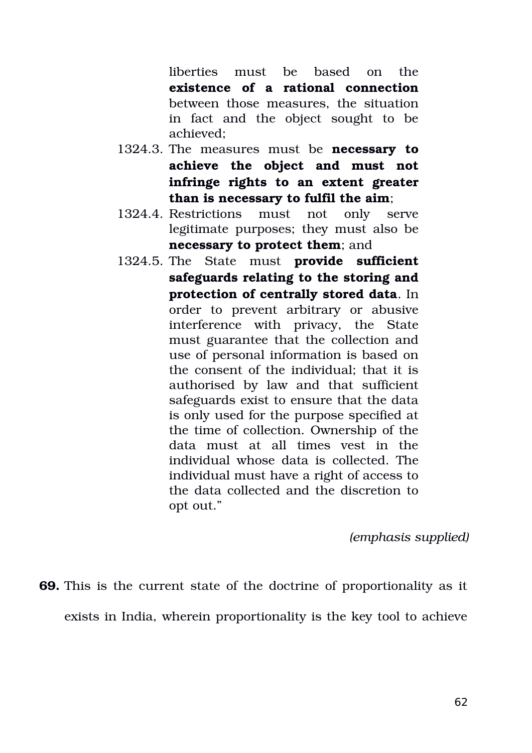liberties must be based on the **existence of a rational connection** between those measures, the situation in fact and the object sought to be achieved;

- 1324.3. The measures must be **necessary to achieve the object and must not infringe rights to an extent greater than is necessary to fulfil the aim**;
- 1324.4. Restrictions must not only serve legitimate purposes; they must also be **necessary to protect them**; and
- 1324.5. The State must **provide sufficient safeguards relating to the storing and protection of centrally stored data**. In order to prevent arbitrary or abusive interference with privacy, the State must guarantee that the collection and use of personal information is based on the consent of the individual; that it is authorised by law and that sufficient safeguards exist to ensure that the data is only used for the purpose specified at the time of collection. Ownership of the data must at all times vest in the individual whose data is collected. The individual must have a right of access to the data collected and the discretion to opt out."

*(emphasis supplied)*

**69.** This is the current state of the doctrine of proportionality as it exists in India, wherein proportionality is the key tool to achieve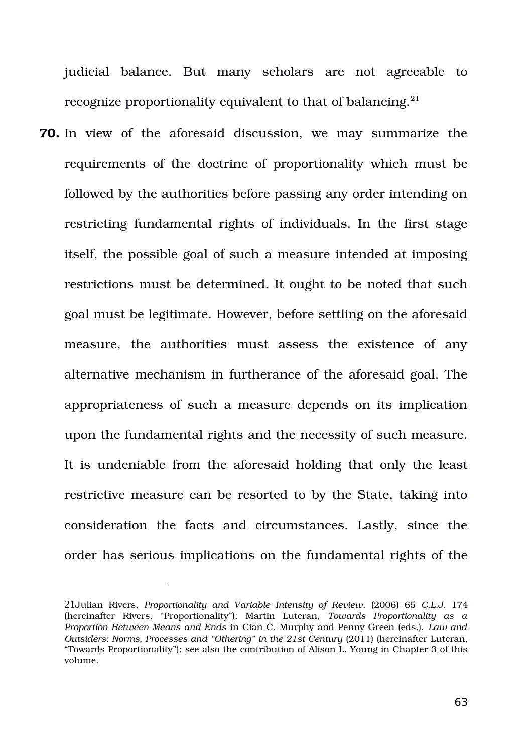judicial balance. But many scholars are not agreeable to recognize proportionality equivalent to that of balancing.<sup>[21](#page-62-0)</sup>

**70.** In view of the aforesaid discussion, we may summarize the requirements of the doctrine of proportionality which must be followed by the authorities before passing any order intending on restricting fundamental rights of individuals. In the first stage itself, the possible goal of such a measure intended at imposing restrictions must be determined. It ought to be noted that such goal must be legitimate. However, before settling on the aforesaid measure, the authorities must assess the existence of any alternative mechanism in furtherance of the aforesaid goal. The appropriateness of such a measure depends on its implication upon the fundamental rights and the necessity of such measure. It is undeniable from the aforesaid holding that only the least restrictive measure can be resorted to by the State, taking into consideration the facts and circumstances. Lastly, since the order has serious implications on the fundamental rights of the

<span id="page-62-0"></span><sup>21</sup>Julian Rivers, *Proportionality and Variable Intensity of Review*, (2006) 65 *C.L.J.* 174 (hereinafter Rivers, "Proportionality"); Martin Luteran, *Towards Proportionality as a Proportion Between Means and Ends* in Cian C. Murphy and Penny Green (eds.), *Law and Outsiders: Norms, Processes and "Othering" in the 21st Century (2011) (hereinafter Luteran,* "Towards Proportionality"); see also the contribution of Alison L. Young in Chapter 3 of this volume.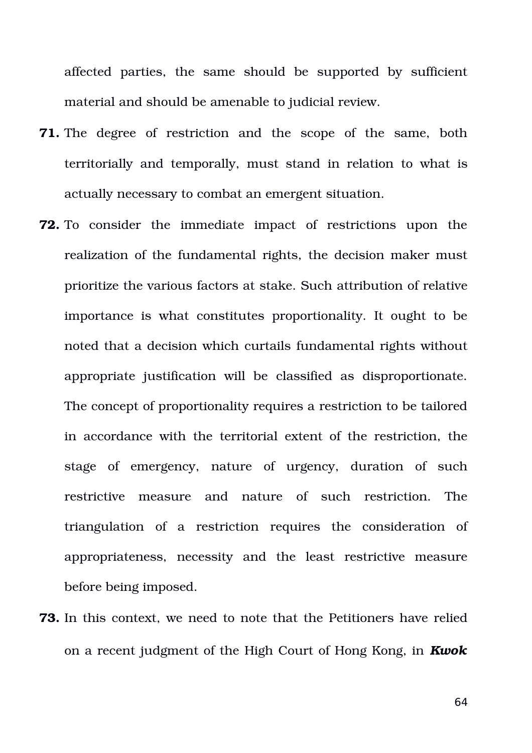affected parties, the same should be supported by sufficient material and should be amenable to judicial review.

- **71.** The degree of restriction and the scope of the same, both territorially and temporally, must stand in relation to what is actually necessary to combat an emergent situation.
- **72.** To consider the immediate impact of restrictions upon the realization of the fundamental rights, the decision maker must prioritize the various factors at stake. Such attribution of relative importance is what constitutes proportionality. It ought to be noted that a decision which curtails fundamental rights without appropriate justification will be classified as disproportionate. The concept of proportionality requires a restriction to be tailored in accordance with the territorial extent of the restriction, the stage of emergency, nature of urgency, duration of such restrictive measure and nature of such restriction. The triangulation of a restriction requires the consideration of appropriateness, necessity and the least restrictive measure before being imposed.
- **73.** In this context, we need to note that the Petitioners have relied on a recent judgment of the High Court of Hong Kong, in *Kwok*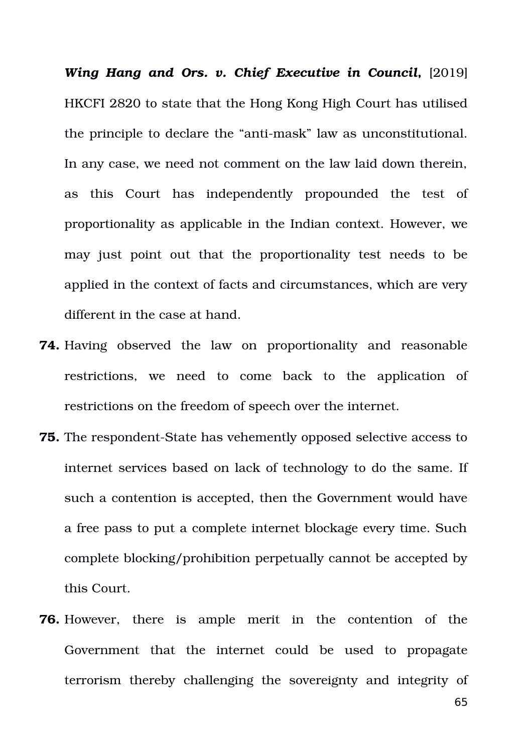*Wing Hang and Ors. v. Chief Executive in Council,* [2019] HKCFI 2820 to state that the Hong Kong High Court has utilised the principle to declare the "anti-mask" law as unconstitutional. In any case, we need not comment on the law laid down therein, as this Court has independently propounded the test of proportionality as applicable in the Indian context. However, we may just point out that the proportionality test needs to be applied in the context of facts and circumstances, which are very different in the case at hand.

- **74.** Having observed the law on proportionality and reasonable restrictions, we need to come back to the application of restrictions on the freedom of speech over the internet.
- **75.** The respondent-State has vehemently opposed selective access to internet services based on lack of technology to do the same. If such a contention is accepted, then the Government would have a free pass to put a complete internet blockage every time. Such complete blocking/prohibition perpetually cannot be accepted by this Court.
- **76.** However, there is ample merit in the contention of the Government that the internet could be used to propagate terrorism thereby challenging the sovereignty and integrity of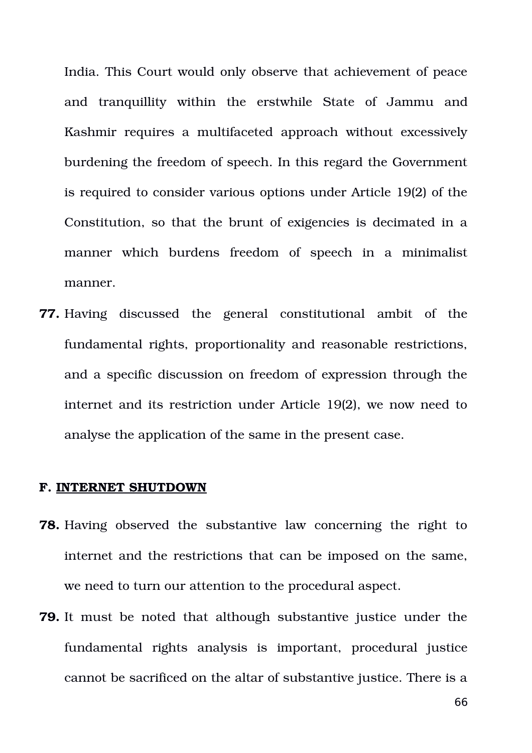India. This Court would only observe that achievement of peace and tranquillity within the erstwhile State of Jammu and Kashmir requires a multifaceted approach without excessively burdening the freedom of speech. In this regard the Government is required to consider various options under Article 19(2) of the Constitution, so that the brunt of exigencies is decimated in a manner which burdens freedom of speech in a minimalist manner.

**77.** Having discussed the general constitutional ambit of the fundamental rights, proportionality and reasonable restrictions, and a specific discussion on freedom of expression through the internet and its restriction under Article 19(2), we now need to analyse the application of the same in the present case.

#### **F. INTERNET SHUTDOWN**

- **78.** Having observed the substantive law concerning the right to internet and the restrictions that can be imposed on the same, we need to turn our attention to the procedural aspect.
- **79.** It must be noted that although substantive justice under the fundamental rights analysis is important, procedural justice cannot be sacrificed on the altar of substantive justice. There is a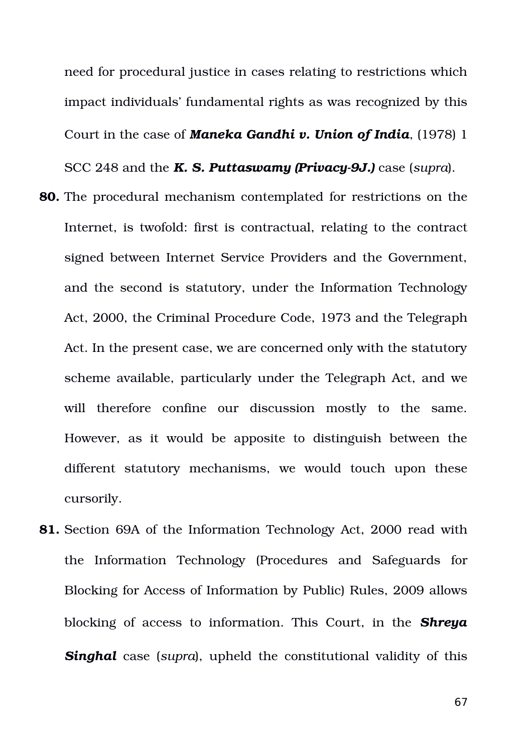need for procedural justice in cases relating to restrictions which impact individuals' fundamental rights as was recognized by this Court in the case of *Maneka Gandhi v. Union of India*, (1978) 1 SCC 248 and the *K. S. Puttaswamy (Privacy-9J.)* case (*supra*).

- **80.** The procedural mechanism contemplated for restrictions on the Internet, is twofold: first is contractual, relating to the contract signed between Internet Service Providers and the Government, and the second is statutory, under the Information Technology Act, 2000, the Criminal Procedure Code, 1973 and the Telegraph Act. In the present case, we are concerned only with the statutory scheme available, particularly under the Telegraph Act, and we will therefore confine our discussion mostly to the same. However, as it would be apposite to distinguish between the different statutory mechanisms, we would touch upon these cursorily.
- **81.** Section 69A of the Information Technology Act, 2000 read with the Information Technology (Procedures and Safeguards for Blocking for Access of Information by Public) Rules, 2009 allows blocking of access to information. This Court, in the *Shreya* **Singhal** case (*supra*), upheld the constitutional validity of this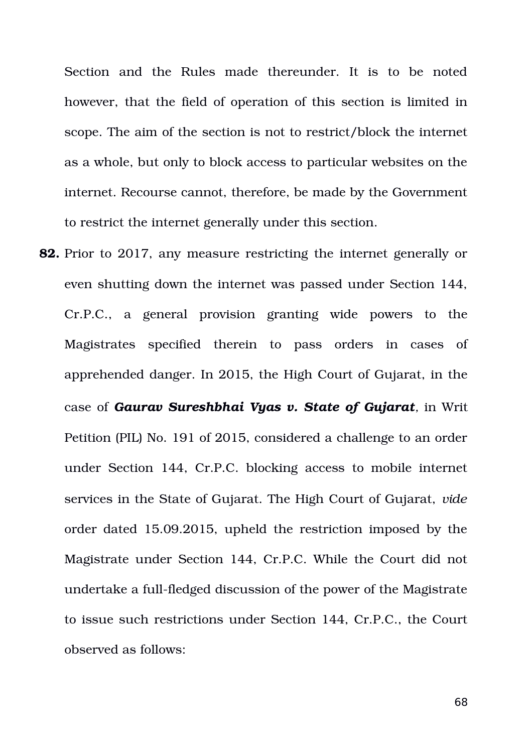Section and the Rules made thereunder. It is to be noted however, that the field of operation of this section is limited in scope. The aim of the section is not to restrict/block the internet as a whole, but only to block access to particular websites on the internet. Recourse cannot, therefore, be made by the Government to restrict the internet generally under this section.

**82.** Prior to 2017, any measure restricting the internet generally or even shutting down the internet was passed under Section 144, Cr.P.C., a general provision granting wide powers to the Magistrates specified therein to pass orders in cases of apprehended danger. In 2015, the High Court of Gujarat, in the case of *Gaurav Sureshbhai Vyas v. State of Gujarat,* in Writ Petition (PIL) No. 191 of 2015, considered a challenge to an order under Section 144, Cr.P.C. blocking access to mobile internet services in the State of Gujarat. The High Court of Gujarat, *vide* order dated 15.09.2015, upheld the restriction imposed by the Magistrate under Section 144, Cr.P.C. While the Court did not undertake a full-fledged discussion of the power of the Magistrate to issue such restrictions under Section 144, Cr.P.C., the Court observed as follows: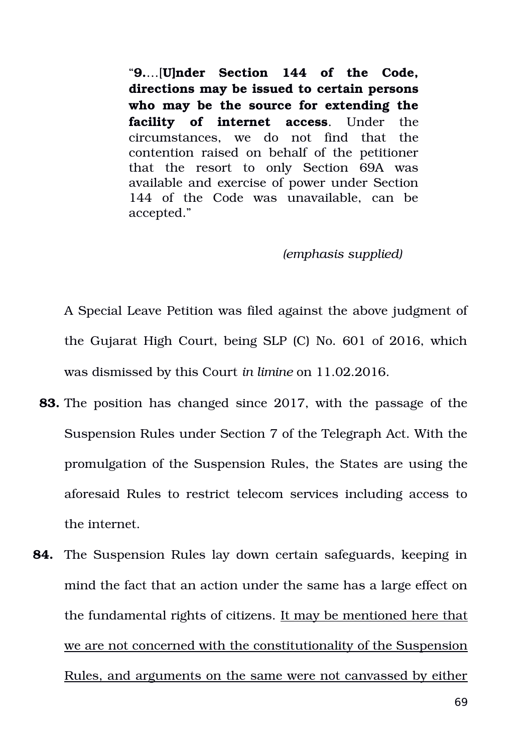"**9.**…[**U]nder Section 144 of the Code, directions may be issued to certain persons who may be the source for extending the facility of internet access**. Under the circumstances, we do not find that the contention raised on behalf of the petitioner that the resort to only Section 69A was available and exercise of power under Section 144 of the Code was unavailable, can be accepted."

### *(emphasis supplied)*

A Special Leave Petition was filed against the above judgment of the Gujarat High Court, being SLP (C) No. 601 of 2016, which was dismissed by this Court *in limine* on 11.02.2016.

- **83.** The position has changed since 2017, with the passage of the Suspension Rules under Section 7 of the Telegraph Act. With the promulgation of the Suspension Rules, the States are using the aforesaid Rules to restrict telecom services including access to the internet.
- **84.** The Suspension Rules lay down certain safeguards, keeping in mind the fact that an action under the same has a large effect on the fundamental rights of citizens. It may be mentioned here that we are not concerned with the constitutionality of the Suspension Rules, and arguments on the same were not canvassed by either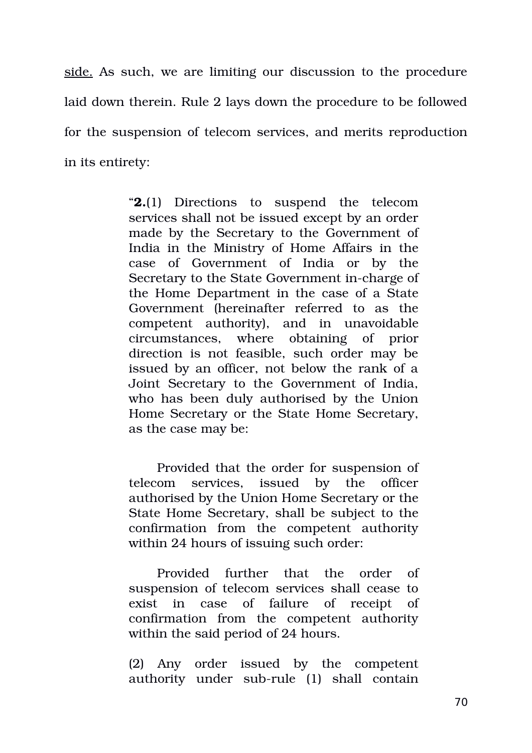side. As such, we are limiting our discussion to the procedure laid down therein. Rule 2 lays down the procedure to be followed for the suspension of telecom services, and merits reproduction in its entirety:

> "**2.**(1) Directions to suspend the telecom services shall not be issued except by an order made by the Secretary to the Government of India in the Ministry of Home Affairs in the case of Government of India or by the Secretary to the State Government in-charge of the Home Department in the case of a State Government (hereinafter referred to as the competent authority), and in unavoidable circumstances, where obtaining of prior direction is not feasible, such order may be issued by an officer, not below the rank of a Joint Secretary to the Government of India, who has been duly authorised by the Union Home Secretary or the State Home Secretary, as the case may be:

> Provided that the order for suspension of telecom services, issued by the officer authorised by the Union Home Secretary or the State Home Secretary, shall be subject to the confirmation from the competent authority within 24 hours of issuing such order:

> Provided further that the order of suspension of telecom services shall cease to exist in case of failure of receipt of confirmation from the competent authority within the said period of 24 hours.

> (2) Any order issued by the competent authority under sub-rule (1) shall contain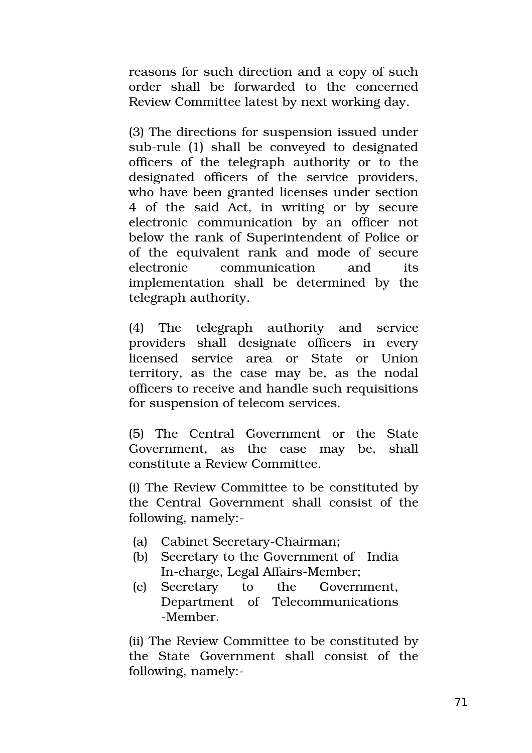reasons for such direction and a copy of such order shall be forwarded to the concerned Review Committee latest by next working day.

(3) The directions for suspension issued under sub-rule (1) shall be conveyed to designated officers of the telegraph authority or to the designated officers of the service providers, who have been granted licenses under section 4 of the said Act, in writing or by secure electronic communication by an officer not below the rank of Superintendent of Police or of the equivalent rank and mode of secure electronic communication and its implementation shall be determined by the telegraph authority.

(4) The telegraph authority and service providers shall designate officers in every licensed service area or State or Union territory, as the case may be, as the nodal officers to receive and handle such requisitions for suspension of telecom services.

(5) The Central Government or the State Government, as the case may be, shall constitute a Review Committee.

(i) The Review Committee to be constituted by the Central Government shall consist of the following, namely:

- (a) Cabinet Secretary-Chairman;
- (b) Secretary to the Government of India In-charge, Legal Affairs-Member;
- (c) Secretary to the Government, Department of Telecommunications Member.

(ii) The Review Committee to be constituted by the State Government shall consist of the following, namely: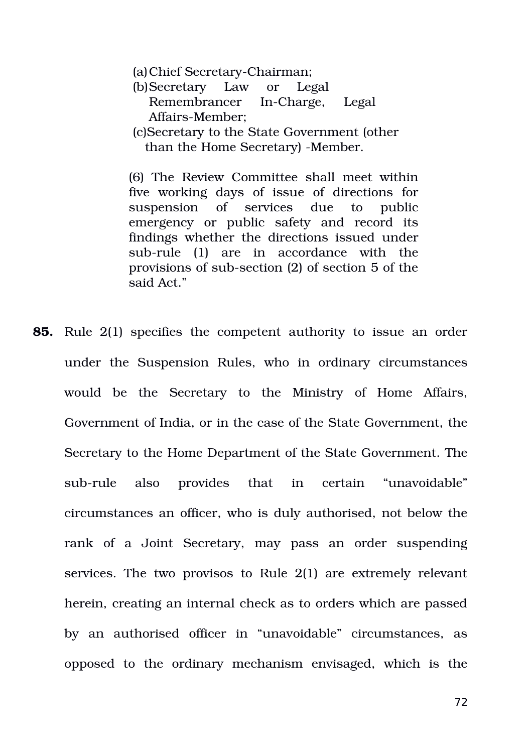(a) Chief Secretary-Chairman;

(b)Secretary Law or Legal Remembrancer In-Charge, Legal Affairs-Member:

(c)Secretary to the State Government (other than the Home Secretary) -Member.

(6) The Review Committee shall meet within five working days of issue of directions for suspension of services due to public emergency or public safety and record its findings whether the directions issued under sub-rule (1) are in accordance with the provisions of sub-section (2) of section 5 of the said Act."

**85.** Rule 2(1) specifies the competent authority to issue an order under the Suspension Rules, who in ordinary circumstances would be the Secretary to the Ministry of Home Affairs, Government of India, or in the case of the State Government, the Secretary to the Home Department of the State Government. The sub-rule also provides that in certain "unavoidable" circumstances an officer, who is duly authorised, not below the rank of a Joint Secretary, may pass an order suspending services. The two provisos to Rule 2(1) are extremely relevant herein, creating an internal check as to orders which are passed by an authorised officer in "unavoidable" circumstances, as opposed to the ordinary mechanism envisaged, which is the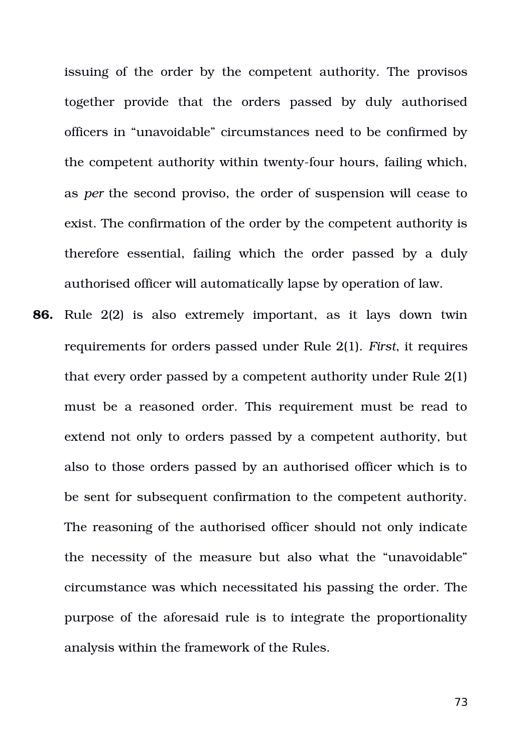issuing of the order by the competent authority. The provisos together provide that the orders passed by duly authorised officers in "unavoidable" circumstances need to be confirmed by the competent authority within twenty-four hours, failing which, as *per* the second proviso, the order of suspension will cease to exist. The confirmation of the order by the competent authority is therefore essential, failing which the order passed by a duly authorised officer will automatically lapse by operation of law.

**86.** Rule 2(2) is also extremely important, as it lays down twin requirements for orders passed under Rule 2(1). *First*, it requires that every order passed by a competent authority under Rule 2(1) must be a reasoned order. This requirement must be read to extend not only to orders passed by a competent authority, but also to those orders passed by an authorised officer which is to be sent for subsequent confirmation to the competent authority. The reasoning of the authorised officer should not only indicate the necessity of the measure but also what the "unavoidable" circumstance was which necessitated his passing the order. The purpose of the aforesaid rule is to integrate the proportionality analysis within the framework of the Rules.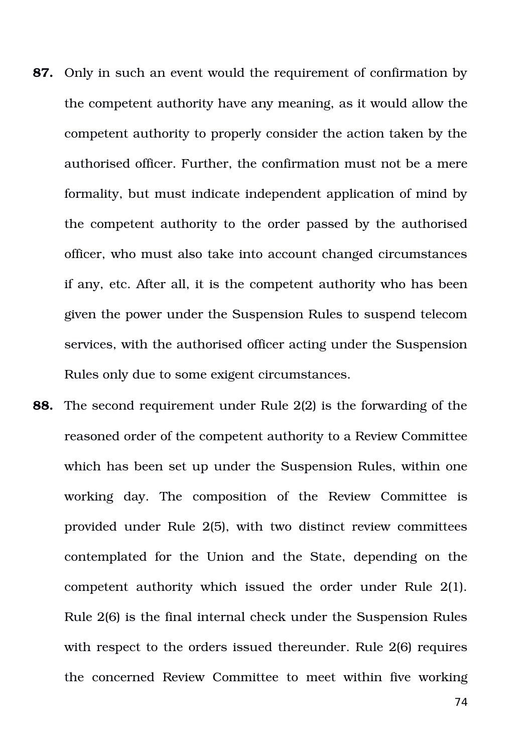- **87.** Only in such an event would the requirement of confirmation by the competent authority have any meaning, as it would allow the competent authority to properly consider the action taken by the authorised officer. Further, the confirmation must not be a mere formality, but must indicate independent application of mind by the competent authority to the order passed by the authorised officer, who must also take into account changed circumstances if any, etc. After all, it is the competent authority who has been given the power under the Suspension Rules to suspend telecom services, with the authorised officer acting under the Suspension Rules only due to some exigent circumstances.
- **88.** The second requirement under Rule 2(2) is the forwarding of the reasoned order of the competent authority to a Review Committee which has been set up under the Suspension Rules, within one working day. The composition of the Review Committee is provided under Rule 2(5), with two distinct review committees contemplated for the Union and the State, depending on the competent authority which issued the order under Rule 2(1). Rule 2(6) is the final internal check under the Suspension Rules with respect to the orders issued thereunder. Rule 2(6) requires the concerned Review Committee to meet within five working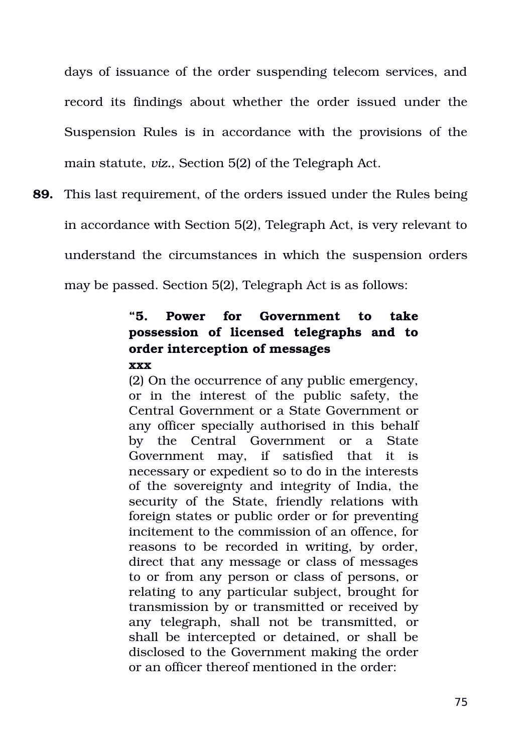days of issuance of the order suspending telecom services, and record its findings about whether the order issued under the Suspension Rules is in accordance with the provisions of the main statute, *viz.*, Section 5(2) of the Telegraph Act.

**89.** This last requirement, of the orders issued under the Rules being in accordance with Section 5(2), Telegraph Act, is very relevant to understand the circumstances in which the suspension orders may be passed. Section 5(2), Telegraph Act is as follows:

# **"5. Power for Government to take possession of licensed telegraphs and to order interception of messages xxx**

(2) On the occurrence of any public emergency, or in the interest of the public safety, the Central Government or a State Government or any officer specially authorised in this behalf by the Central Government or a State Government may, if satisfied that it is necessary or expedient so to do in the interests of the sovereignty and integrity of India, the security of the State, friendly relations with foreign states or public order or for preventing incitement to the commission of an offence, for reasons to be recorded in writing, by order, direct that any message or class of messages to or from any person or class of persons, or relating to any particular subject, brought for transmission by or transmitted or received by any telegraph, shall not be transmitted, or shall be intercepted or detained, or shall be disclosed to the Government making the order or an officer thereof mentioned in the order: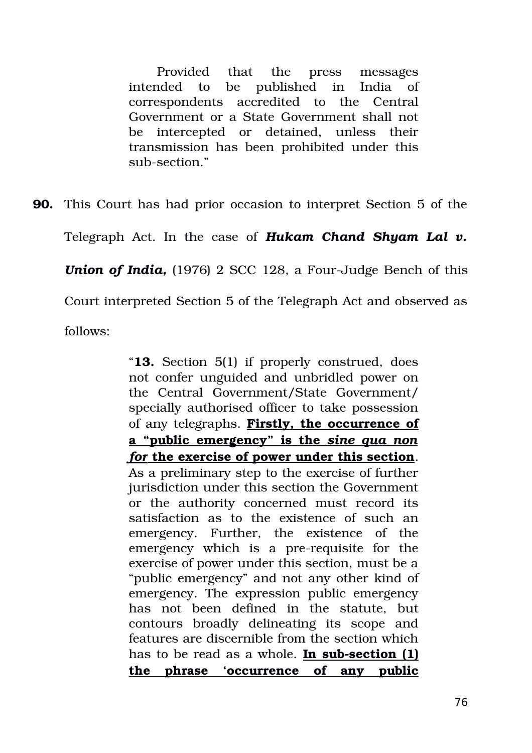Provided that the press messages intended to be published in India of correspondents accredited to the Central Government or a State Government shall not be intercepted or detained, unless their transmission has been prohibited under this sub-section."

**90.** This Court has had prior occasion to interpret Section 5 of the

Telegraph Act. In the case of *Hukam Chand Shyam Lal v.*

*Union of India, (1976) 2 SCC 128, a Four-Judge Bench of this* 

Court interpreted Section 5 of the Telegraph Act and observed as

follows:

"**13.** Section 5(1) if properly construed, does not confer unguided and unbridled power on the Central Government/State Government/ specially authorised officer to take possession of any telegraphs. **Firstly, the occurrence of a "public emergency" is the** *sine qua non for* **the exercise of power under this section**. As a preliminary step to the exercise of further jurisdiction under this section the Government or the authority concerned must record its satisfaction as to the existence of such an emergency. Further, the existence of the emergency which is a pre-requisite for the exercise of power under this section, must be a "public emergency" and not any other kind of emergency. The expression public emergency has not been defined in the statute, but contours broadly delineating its scope and features are discernible from the section which has to be read as a whole. **In sub-section (1) the phrase 'occurrence of any public**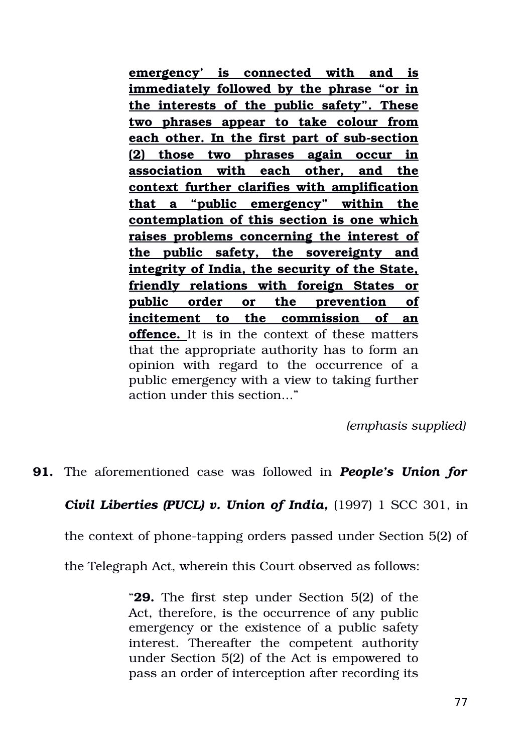**emergency' is connected with and is immediately followed by the phrase "or in the interests of the public safety". These two phrases appear to take colour from** each other. In the first part of sub-section **(2) those two phrases again occur in association with each other, and the context further clarifies with amplification that a "public emergency" within the contemplation of this section is one which raises problems concerning the interest of the public safety, the sovereignty and integrity of India, the security of the State, friendly relations with foreign States or public order or the prevention of incitement to the commission of an offence.** It is in the context of these matters that the appropriate authority has to form an opinion with regard to the occurrence of a public emergency with a view to taking further action under this section..."

*(emphasis supplied)*

**91.** The aforementioned case was followed in *People's Union for*

### *Civil Liberties (PUCL) v. Union of India, (1997) 1 SCC 301, in*

the context of phone-tapping orders passed under Section 5(2) of

the Telegraph Act, wherein this Court observed as follows:

"**29.** The first step under Section 5(2) of the Act, therefore, is the occurrence of any public emergency or the existence of a public safety interest. Thereafter the competent authority under Section 5(2) of the Act is empowered to pass an order of interception after recording its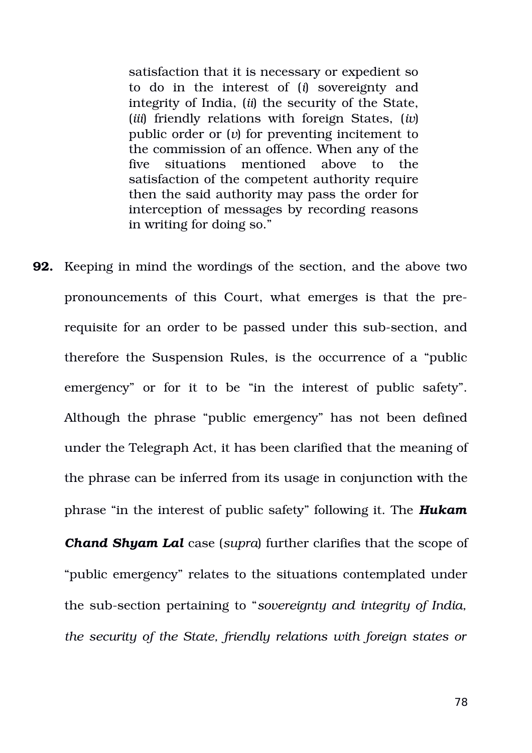satisfaction that it is necessary or expedient so to do in the interest of (*i*) sovereignty and integrity of India, (*ii*) the security of the State, (*iii*) friendly relations with foreign States, (*iv*) public order or (*v*) for preventing incitement to the commission of an offence. When any of the five situations mentioned above to the satisfaction of the competent authority require then the said authority may pass the order for interception of messages by recording reasons in writing for doing so."

**92.** Keeping in mind the wordings of the section, and the above two pronouncements of this Court, what emerges is that the prerequisite for an order to be passed under this sub-section, and therefore the Suspension Rules, is the occurrence of a "public emergency" or for it to be "in the interest of public safety". Although the phrase "public emergency" has not been defined under the Telegraph Act, it has been clarified that the meaning of the phrase can be inferred from its usage in conjunction with the phrase "in the interest of public safety" following it. The *Hukam*

*Chand Shyam Lal* case (*supra*) further clarifies that the scope of "public emergency" relates to the situations contemplated under the sub-section pertaining to "*sovereignty and integrity of India*, *the security of the State, friendly relations with foreign states or*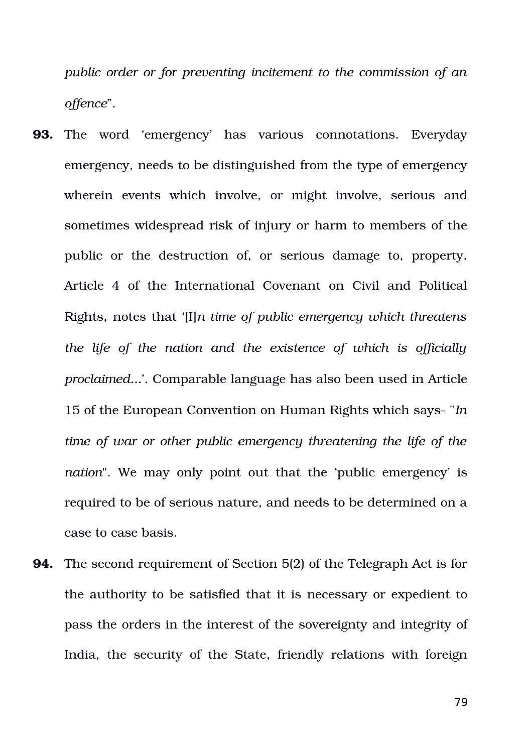*public order or for preventing incitement to the commission of an offence*".

- **93.** The word 'emergency' has various connotations. Everyday emergency, needs to be distinguished from the type of emergency wherein events which involve, or might involve, serious and sometimes widespread risk of injury or harm to members of the public or the destruction of, or serious damage to, property. Article 4 of the International Covenant on Civil and Political Rights, notes that '[I]*n time of public emergency which threatens the life of the nation and the existence of which is officially proclaimed...*'. Comparable language has also been used in Article 15 of the European Convention on Human Rights which says "*In time of war or other public emergency threatening the life of the nation*". We may only point out that the 'public emergency' is required to be of serious nature, and needs to be determined on a case to case basis.
- **94.** The second requirement of Section 5(2) of the Telegraph Act is for the authority to be satisfied that it is necessary or expedient to pass the orders in the interest of the sovereignty and integrity of India, the security of the State, friendly relations with foreign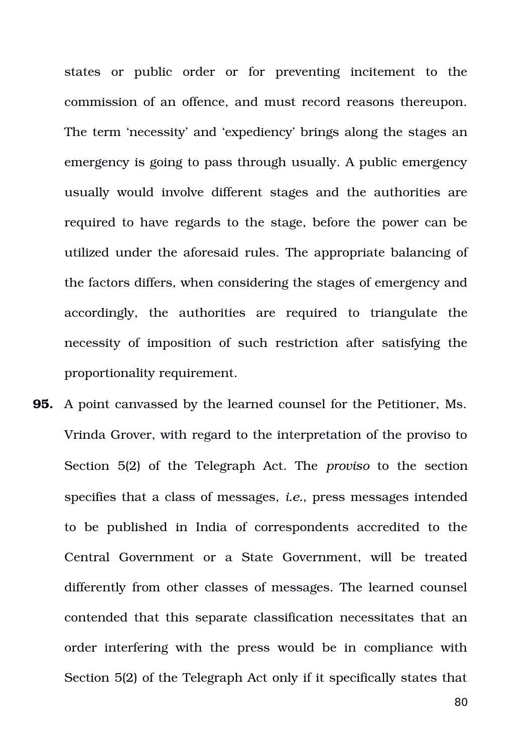states or public order or for preventing incitement to the commission of an offence, and must record reasons thereupon. The term 'necessity' and 'expediency' brings along the stages an emergency is going to pass through usually. A public emergency usually would involve different stages and the authorities are required to have regards to the stage, before the power can be utilized under the aforesaid rules. The appropriate balancing of the factors differs, when considering the stages of emergency and accordingly, the authorities are required to triangulate the necessity of imposition of such restriction after satisfying the proportionality requirement.

**95.** A point canvassed by the learned counsel for the Petitioner, Ms. Vrinda Grover, with regard to the interpretation of the proviso to Section 5(2) of the Telegraph Act. The *proviso* to the section specifies that a class of messages, *i.e.*, press messages intended to be published in India of correspondents accredited to the Central Government or a State Government, will be treated differently from other classes of messages. The learned counsel contended that this separate classification necessitates that an order interfering with the press would be in compliance with Section 5(2) of the Telegraph Act only if it specifically states that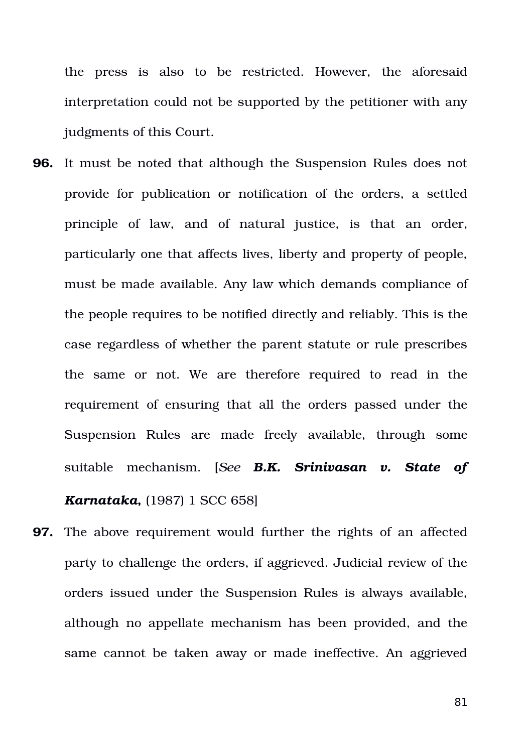the press is also to be restricted. However, the aforesaid interpretation could not be supported by the petitioner with any judgments of this Court.

- **96.** It must be noted that although the Suspension Rules does not provide for publication or notification of the orders, a settled principle of law, and of natural justice, is that an order, particularly one that affects lives, liberty and property of people, must be made available. Any law which demands compliance of the people requires to be notified directly and reliably. This is the case regardless of whether the parent statute or rule prescribes the same or not. We are therefore required to read in the requirement of ensuring that all the orders passed under the Suspension Rules are made freely available, through some suitable mechanism. [*See B.K. Srinivasan v. State of Karnataka***,** (1987) 1 SCC 658]
- **97.** The above requirement would further the rights of an affected party to challenge the orders, if aggrieved. Judicial review of the orders issued under the Suspension Rules is always available, although no appellate mechanism has been provided, and the same cannot be taken away or made ineffective. An aggrieved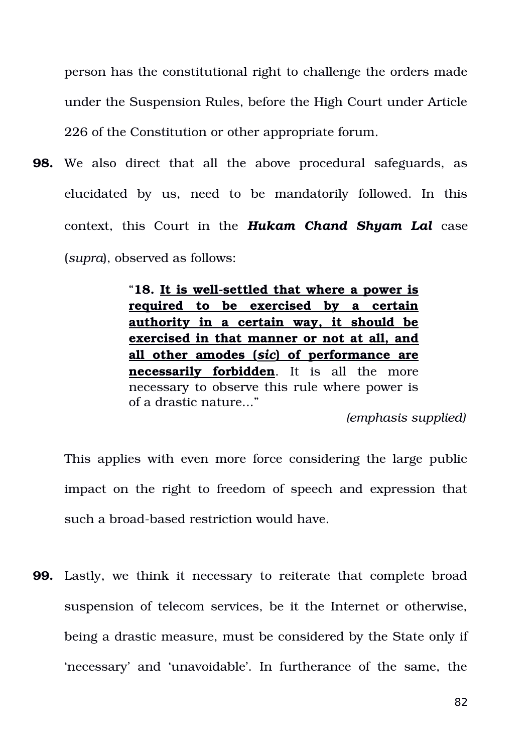person has the constitutional right to challenge the orders made under the Suspension Rules, before the High Court under Article 226 of the Constitution or other appropriate forum.

**98.** We also direct that all the above procedural safeguards, as elucidated by us, need to be mandatorily followed. In this context, this Court in the *Hukam Chand Shyam Lal* case (*supra*), observed as follows:

> "18. It is well-settled that where a power is **required to be exercised by a certain authority in a certain way, it should be exercised in that manner or not at all, and all other amodes (** *sic***) of performance are necessarily forbidden**. It is all the more necessary to observe this rule where power is of a drastic nature..."

*(emphasis supplied)*

This applies with even more force considering the large public impact on the right to freedom of speech and expression that such a broad-based restriction would have.

**99.** Lastly, we think it necessary to reiterate that complete broad suspension of telecom services, be it the Internet or otherwise, being a drastic measure, must be considered by the State only if 'necessary' and 'unavoidable'. In furtherance of the same, the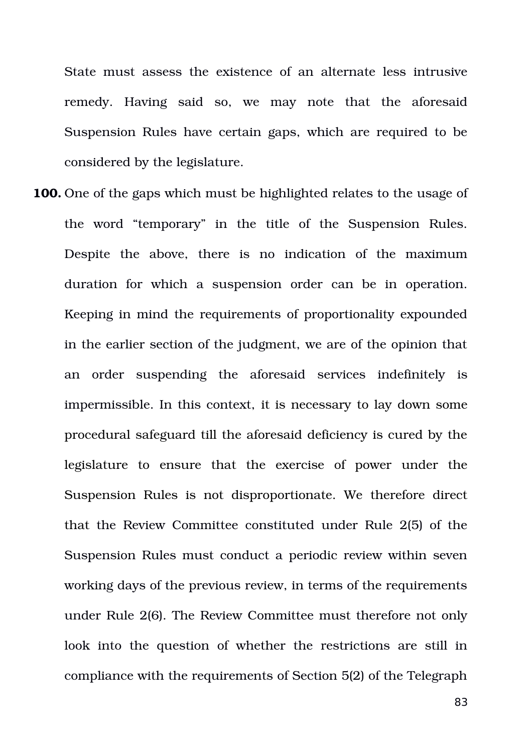State must assess the existence of an alternate less intrusive remedy. Having said so, we may note that the aforesaid Suspension Rules have certain gaps, which are required to be considered by the legislature.

**100.** One of the gaps which must be highlighted relates to the usage of the word "temporary" in the title of the Suspension Rules. Despite the above, there is no indication of the maximum duration for which a suspension order can be in operation. Keeping in mind the requirements of proportionality expounded in the earlier section of the judgment, we are of the opinion that an order suspending the aforesaid services indefinitely is impermissible. In this context, it is necessary to lay down some procedural safeguard till the aforesaid deficiency is cured by the legislature to ensure that the exercise of power under the Suspension Rules is not disproportionate. We therefore direct that the Review Committee constituted under Rule 2(5) of the Suspension Rules must conduct a periodic review within seven working days of the previous review, in terms of the requirements under Rule 2(6). The Review Committee must therefore not only look into the question of whether the restrictions are still in compliance with the requirements of Section 5(2) of the Telegraph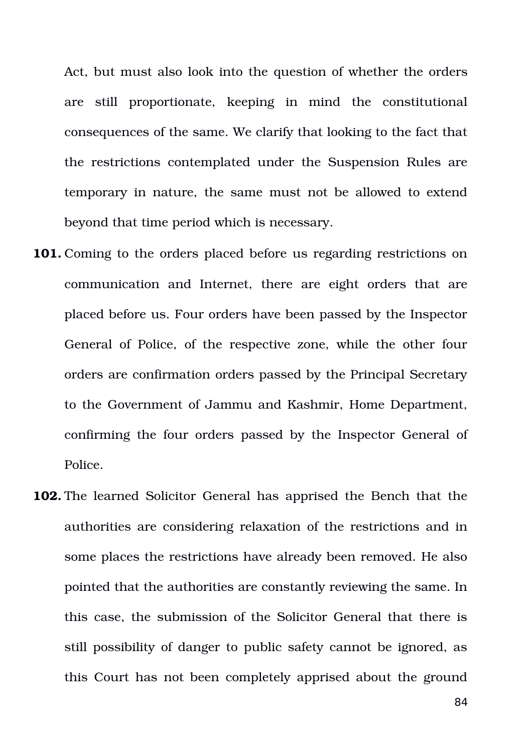Act, but must also look into the question of whether the orders are still proportionate, keeping in mind the constitutional consequences of the same. We clarify that looking to the fact that the restrictions contemplated under the Suspension Rules are temporary in nature, the same must not be allowed to extend beyond that time period which is necessary.

- **101.** Coming to the orders placed before us regarding restrictions on communication and Internet, there are eight orders that are placed before us. Four orders have been passed by the Inspector General of Police, of the respective zone, while the other four orders are confirmation orders passed by the Principal Secretary to the Government of Jammu and Kashmir, Home Department, confirming the four orders passed by the Inspector General of Police.
- **102.** The learned Solicitor General has apprised the Bench that the authorities are considering relaxation of the restrictions and in some places the restrictions have already been removed. He also pointed that the authorities are constantly reviewing the same. In this case, the submission of the Solicitor General that there is still possibility of danger to public safety cannot be ignored, as this Court has not been completely apprised about the ground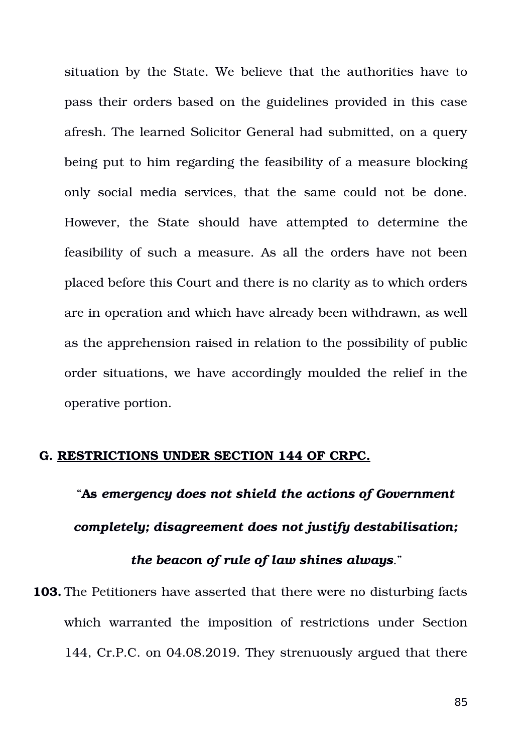situation by the State. We believe that the authorities have to pass their orders based on the guidelines provided in this case afresh. The learned Solicitor General had submitted, on a query being put to him regarding the feasibility of a measure blocking only social media services, that the same could not be done. However, the State should have attempted to determine the feasibility of such a measure. As all the orders have not been placed before this Court and there is no clarity as to which orders are in operation and which have already been withdrawn, as well as the apprehension raised in relation to the possibility of public order situations, we have accordingly moulded the relief in the operative portion.

#### **G. RESTRICTIONS UNDER SECTION 144 OF CRPC.**

"**As** *emergency does not shield the actions of Government completely; disagreement does not justify destabilisation;*

## *the beacon of rule of law shines always*."

**103.** The Petitioners have asserted that there were no disturbing facts which warranted the imposition of restrictions under Section 144, Cr.P.C. on 04.08.2019. They strenuously argued that there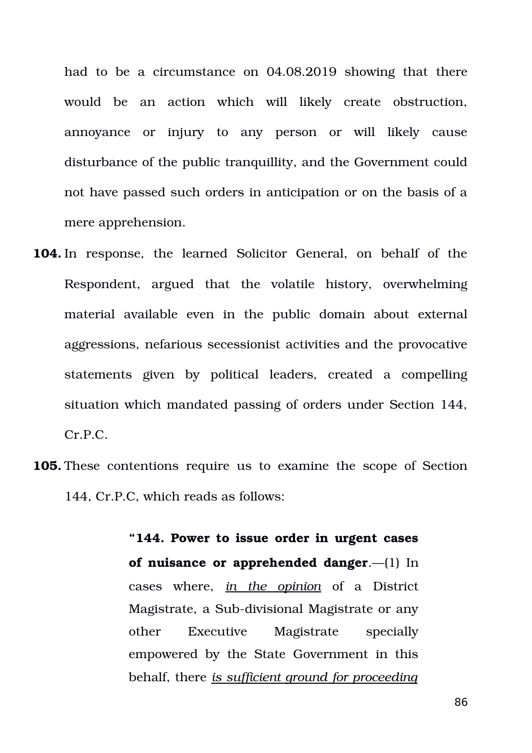had to be a circumstance on 04.08.2019 showing that there would be an action which will likely create obstruction, annoyance or injury to any person or will likely cause disturbance of the public tranquillity, and the Government could not have passed such orders in anticipation or on the basis of a mere apprehension.

- **104.** In response, the learned Solicitor General, on behalf of the Respondent, argued that the volatile history, overwhelming material available even in the public domain about external aggressions, nefarious secessionist activities and the provocative statements given by political leaders, created a compelling situation which mandated passing of orders under Section 144, Cr.P.C.
- **105.** These contentions require us to examine the scope of Section 144, Cr.P.C, which reads as follows:

**"144. Power to issue order in urgent cases of nuisance or apprehended danger**.—(1) In cases where, *in the opinion* of a District Magistrate, a Sub-divisional Magistrate or any other Executive Magistrate specially empowered by the State Government in this behalf, there *is sufficient ground for proceeding*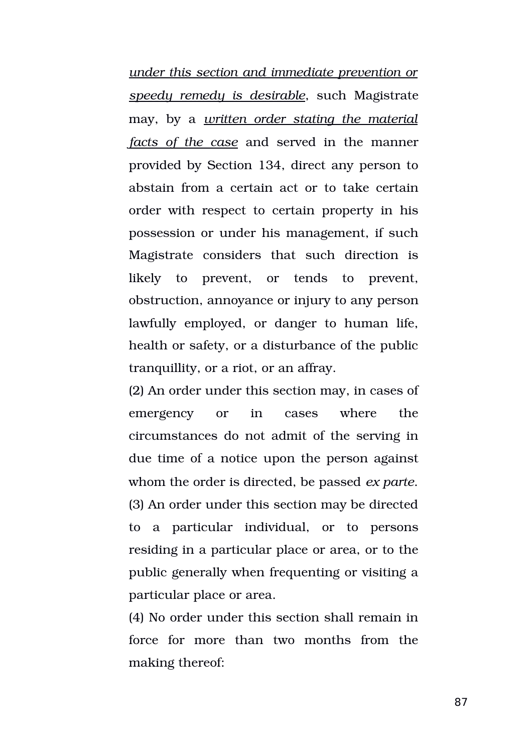*under this section and immediate prevention or speedy remedy is desirable*, such Magistrate may, by a *written order stating the material facts of the case* and served in the manner provided by Section 134, direct any person to abstain from a certain act or to take certain order with respect to certain property in his possession or under his management, if such Magistrate considers that such direction is likely to prevent, or tends to prevent, obstruction, annoyance or injury to any person lawfully employed, or danger to human life, health or safety, or a disturbance of the public tranquillity, or a riot, or an affray.

(2) An order under this section may, in cases of emergency or in cases where the circumstances do not admit of the serving in due time of a notice upon the person against whom the order is directed, be passed *ex parte*. (3) An order under this section may be directed to a particular individual, or to persons residing in a particular place or area, or to the public generally when frequenting or visiting a particular place or area.

(4) No order under this section shall remain in force for more than two months from the making thereof: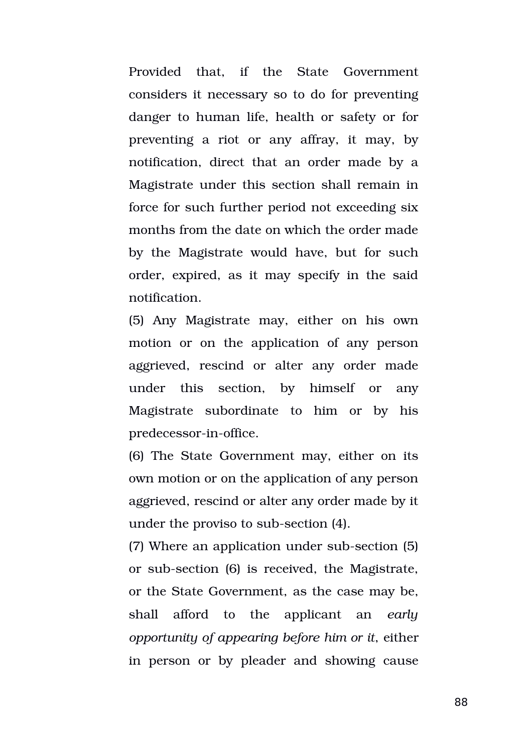Provided that, if the State Government considers it necessary so to do for preventing danger to human life, health or safety or for preventing a riot or any affray, it may, by notification, direct that an order made by a Magistrate under this section shall remain in force for such further period not exceeding six months from the date on which the order made by the Magistrate would have, but for such order, expired, as it may specify in the said notification.

(5) Any Magistrate may, either on his own motion or on the application of any person aggrieved, rescind or alter any order made under this section, by himself or any Magistrate subordinate to him or by his predecessor-in-office.

(6) The State Government may, either on its own motion or on the application of any person aggrieved, rescind or alter any order made by it under the proviso to sub-section (4).

(7) Where an application under sub-section (5) or sub-section (6) is received, the Magistrate, or the State Government, as the case may be, shall afford to the applicant an *early opportunity of appearing before him or it*, either in person or by pleader and showing cause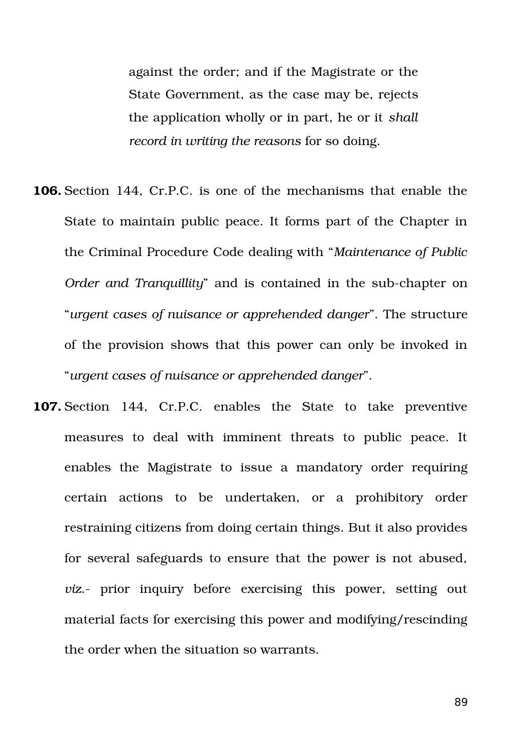against the order; and if the Magistrate or the State Government, as the case may be, rejects the application wholly or in part, he or it *shall record in writing the reasons* for so doing.

- **106.** Section 144, Cr.P.C. is one of the mechanisms that enable the State to maintain public peace. It forms part of the Chapter in the Criminal Procedure Code dealing with "*Maintenance of Public Order and Tranquillity*" and is contained in the sub-chapter on "*urgent cases of nuisance or apprehended danger*". The structure of the provision shows that this power can only be invoked in "*urgent cases of nuisance or apprehended danger*".
- **107.** Section 144, Cr.P.C. enables the State to take preventive measures to deal with imminent threats to public peace. It enables the Magistrate to issue a mandatory order requiring certain actions to be undertaken, or a prohibitory order restraining citizens from doing certain things. But it also provides for several safeguards to ensure that the power is not abused, *viz.*- prior inquiry before exercising this power, setting out material facts for exercising this power and modifying/rescinding the order when the situation so warrants.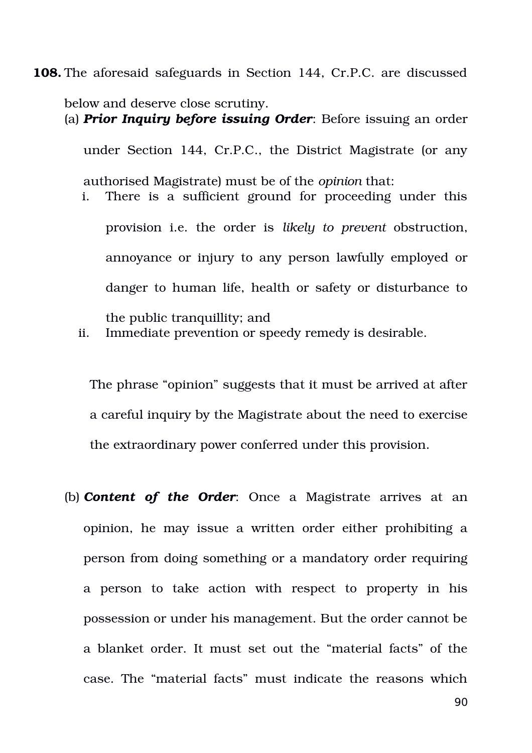**108.** The aforesaid safeguards in Section 144, Cr.P.C. are discussed

below and deserve close scrutiny. (a) *Prior Inquiry before issuing Order*: Before issuing an order under Section 144, Cr.P.C., the District Magistrate (or any authorised Magistrate) must be of the *opinion* that: i. There is a sufficient ground for proceeding under this provision i.e. the order is *likely to prevent* obstruction, annoyance or injury to any person lawfully employed or danger to human life, health or safety or disturbance to the public tranquillity; and

ii. Immediate prevention or speedy remedy is desirable.

The phrase "opinion" suggests that it must be arrived at after a careful inquiry by the Magistrate about the need to exercise the extraordinary power conferred under this provision.

(b) **Content of the Order**: Once a Magistrate arrives at an opinion, he may issue a written order either prohibiting a person from doing something or a mandatory order requiring a person to take action with respect to property in his possession or under his management. But the order cannot be a blanket order. It must set out the "material facts" of the case. The "material facts" must indicate the reasons which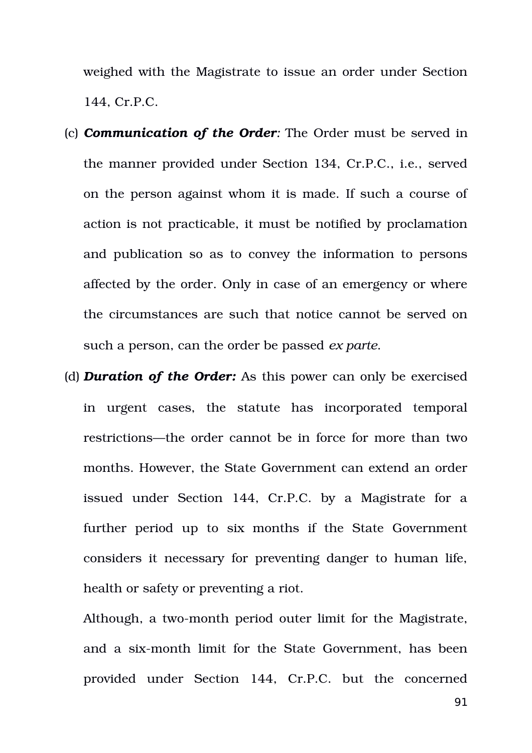weighed with the Magistrate to issue an order under Section 144, Cr.P.C.

- (c) *Communication of the Order:* The Order must be served in the manner provided under Section 134, Cr.P.C., i.e., served on the person against whom it is made. If such a course of action is not practicable, it must be notified by proclamation and publication so as to convey the information to persons affected by the order. Only in case of an emergency or where the circumstances are such that notice cannot be served on such a person, can the order be passed *ex parte*.
- (d) **Duration of the Order:** As this power can only be exercised in urgent cases, the statute has incorporated temporal restrictions—the order cannot be in force for more than two months. However, the State Government can extend an order issued under Section 144, Cr.P.C. by a Magistrate for a further period up to six months if the State Government considers it necessary for preventing danger to human life, health or safety or preventing a riot.

Although, a two-month period outer limit for the Magistrate, and a six-month limit for the State Government, has been provided under Section 144, Cr.P.C. but the concerned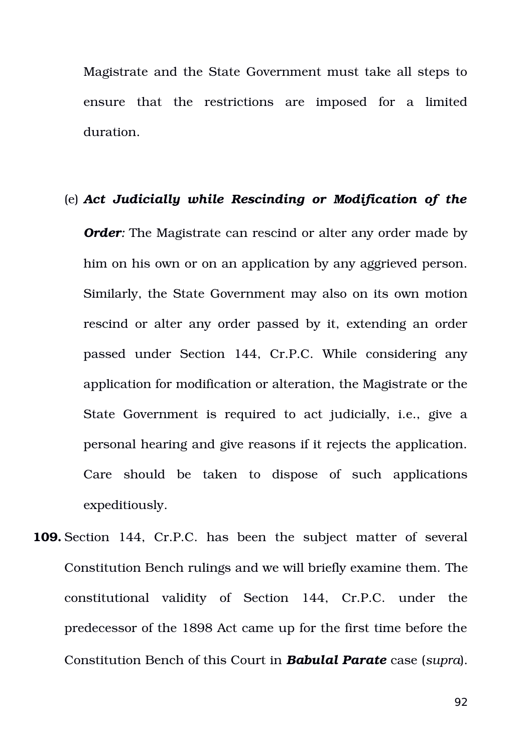Magistrate and the State Government must take all steps to ensure that the restrictions are imposed for a limited duration.

#### (e) *Act Judicially while Rescinding or Modification of the*

*Order:* The Magistrate can rescind or alter any order made by him on his own or on an application by any aggrieved person. Similarly, the State Government may also on its own motion rescind or alter any order passed by it, extending an order passed under Section 144, Cr.P.C. While considering any application for modification or alteration, the Magistrate or the State Government is required to act judicially, i.e., give a personal hearing and give reasons if it rejects the application. Care should be taken to dispose of such applications expeditiously.

**109.** Section 144, Cr.P.C. has been the subject matter of several Constitution Bench rulings and we will briefly examine them. The constitutional validity of Section 144, Cr.P.C. under the predecessor of the 1898 Act came up for the first time before the Constitution Bench of this Court in *Babulal Parate* case (*supra*).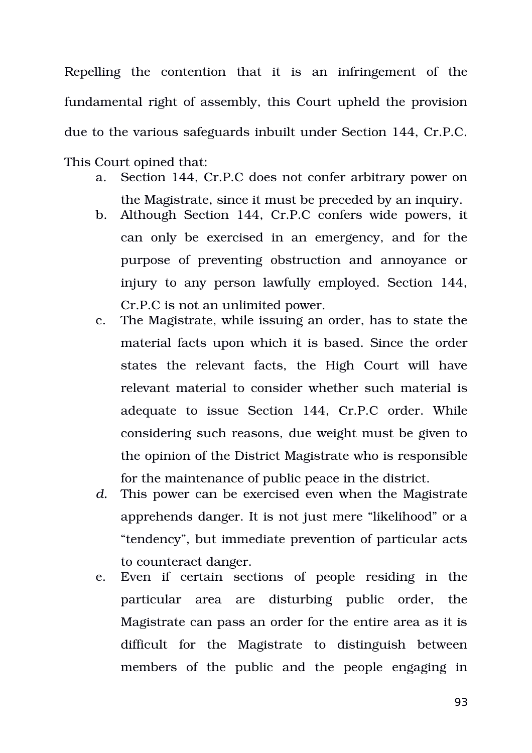Repelling the contention that it is an infringement of the fundamental right of assembly, this Court upheld the provision due to the various safeguards inbuilt under Section 144, Cr.P.C. This Court opined that:

- a. Section 144, Cr.P.C does not confer arbitrary power on the Magistrate, since it must be preceded by an inquiry.
- b. Although Section 144, Cr.P.C confers wide powers, it can only be exercised in an emergency, and for the purpose of preventing obstruction and annoyance or injury to any person lawfully employed. Section 144, Cr.P.C is not an unlimited power.
- c. The Magistrate, while issuing an order, has to state the material facts upon which it is based. Since the order states the relevant facts, the High Court will have relevant material to consider whether such material is adequate to issue Section 144, Cr.P.C order. While considering such reasons, due weight must be given to the opinion of the District Magistrate who is responsible for the maintenance of public peace in the district.
- *d.* This power can be exercised even when the Magistrate apprehends danger. It is not just mere "likelihood" or a "tendency", but immediate prevention of particular acts to counteract danger.
- e. Even if certain sections of people residing in the particular area are disturbing public order, the Magistrate can pass an order for the entire area as it is difficult for the Magistrate to distinguish between members of the public and the people engaging in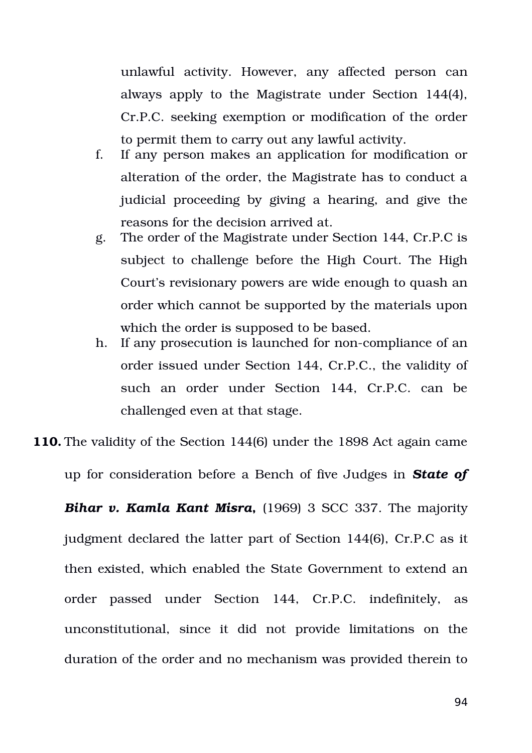unlawful activity. However, any affected person can always apply to the Magistrate under Section 144(4), Cr.P.C. seeking exemption or modification of the order to permit them to carry out any lawful activity.

- f. If any person makes an application for modification or alteration of the order, the Magistrate has to conduct a judicial proceeding by giving a hearing, and give the reasons for the decision arrived at.
- g. The order of the Magistrate under Section 144, Cr.P.C is subject to challenge before the High Court. The High Court's revisionary powers are wide enough to quash an order which cannot be supported by the materials upon which the order is supposed to be based.
- h. If any prosecution is launched for non-compliance of an order issued under Section 144, Cr.P.C., the validity of such an order under Section 144, Cr.P.C. can be challenged even at that stage.

**110.** The validity of the Section 144(6) under the 1898 Act again came

up for consideration before a Bench of five Judges in *State of*

**Bihar v. Kamla Kant Misra,** (1969) 3 SCC 337. The majority judgment declared the latter part of Section 144(6), Cr.P.C as it then existed, which enabled the State Government to extend an order passed under Section 144, Cr.P.C. indefinitely, as unconstitutional, since it did not provide limitations on the duration of the order and no mechanism was provided therein to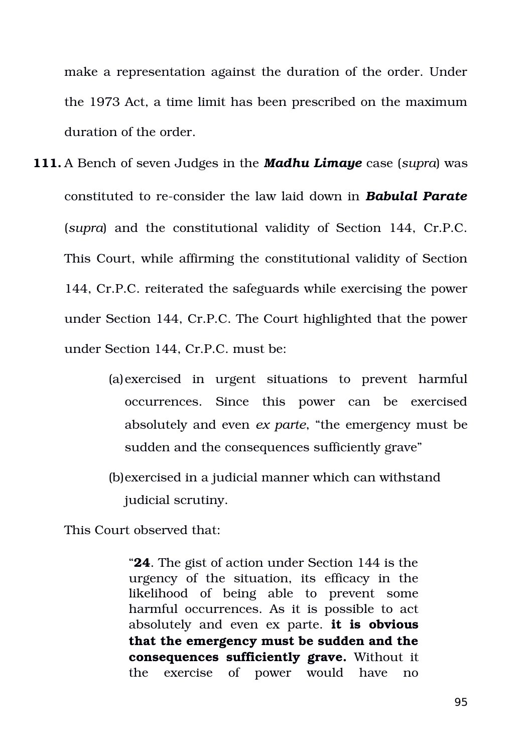make a representation against the duration of the order. Under the 1973 Act, a time limit has been prescribed on the maximum duration of the order.

- **111.** A Bench of seven Judges in the *Madhu Limaye* case (*supra*) was constituted to reconsider the law laid down in *Babulal Parate* (*supra*) and the constitutional validity of Section 144, Cr.P.C. This Court, while affirming the constitutional validity of Section 144, Cr.P.C. reiterated the safeguards while exercising the power under Section 144, Cr.P.C. The Court highlighted that the power under Section 144, Cr.P.C. must be:
	- (a)exercised in urgent situations to prevent harmful occurrences. Since this power can be exercised absolutely and even *ex parte*, "the emergency must be sudden and the consequences sufficiently grave"
	- (b)exercised in a judicial manner which can withstand judicial scrutiny.

This Court observed that:

"**24**. The gist of action under Section 144 is the urgency of the situation, its efficacy in the likelihood of being able to prevent some harmful occurrences. As it is possible to act absolutely and even ex parte. **it is obvious that the emergency must be sudden and the consequences sufficiently grave.** Without it the exercise of power would have no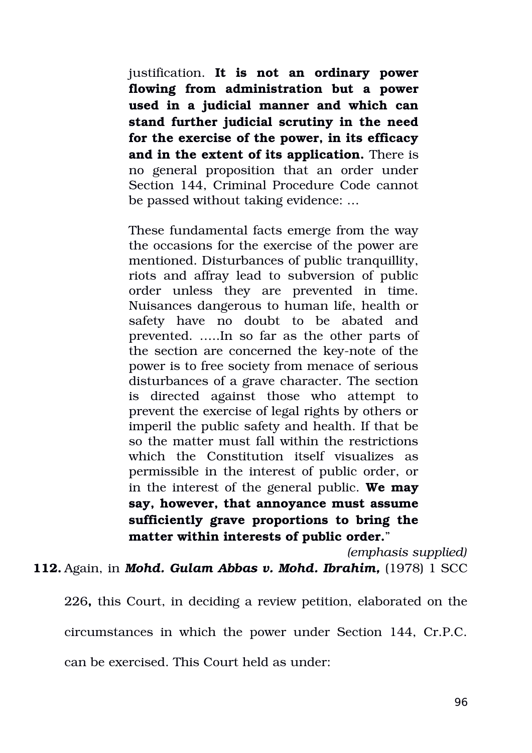justification. **It is not an ordinary power flowing from administration but a power used in a judicial manner and which can stand further judicial scrutiny in the need for the exercise of the power, in its efficacy and in the extent of its application.** There is no general proposition that an order under Section 144, Criminal Procedure Code cannot be passed without taking evidence: …

These fundamental facts emerge from the way the occasions for the exercise of the power are mentioned. Disturbances of public tranquillity, riots and affray lead to subversion of public order unless they are prevented in time. Nuisances dangerous to human life, health or safety have no doubt to be abated and prevented. …..In so far as the other parts of the section are concerned the key-note of the power is to free society from menace of serious disturbances of a grave character. The section is directed against those who attempt to prevent the exercise of legal rights by others or imperil the public safety and health. If that be so the matter must fall within the restrictions which the Constitution itself visualizes as permissible in the interest of public order, or in the interest of the general public. **We may say, however, that annoyance must assume** sufficiently grave proportions to bring the **matter within interests of public order.**"

*(emphasis supplied)*

**112.** Again, in *Mohd. Gulam Abbas v. Mohd. Ibrahim,* (1978) 1 SCC

226**,** this Court, in deciding a review petition, elaborated on the circumstances in which the power under Section 144, Cr.P.C. can be exercised. This Court held as under: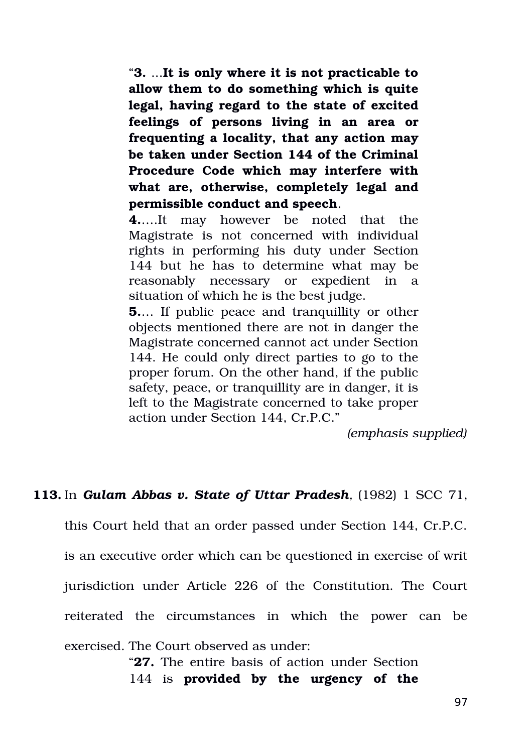"**3.** ...**It is only where it is not practicable to allow them to do something which is quite legal, having regard to the state of excited feelings of persons living in an area or frequenting a locality, that any action may be taken under Section 144 of the Criminal Procedure Code which may interfere with what are, otherwise, completely legal and permissible conduct and speech**.

**4.**….It may however be noted that the Magistrate is not concerned with individual rights in performing his duty under Section 144 but he has to determine what may be reasonably necessary or expedient in a situation of which he is the best judge.

**5.**... If public peace and tranquillity or other objects mentioned there are not in danger the Magistrate concerned cannot act under Section 144. He could only direct parties to go to the proper forum. On the other hand, if the public safety, peace, or tranquillity are in danger, it is left to the Magistrate concerned to take proper action under Section 144, Cr.P.C."

*(emphasis supplied)*

# **113.** In *Gulam Abbas v. State of Uttar Pradesh,* (1982) 1 SCC 71,

this Court held that an order passed under Section 144, Cr.P.C. is an executive order which can be questioned in exercise of writ jurisdiction under Article 226 of the Constitution. The Court reiterated the circumstances in which the power can be exercised. The Court observed as under:

> "**27.** The entire basis of action under Section 144 is **provided by the urgency of the**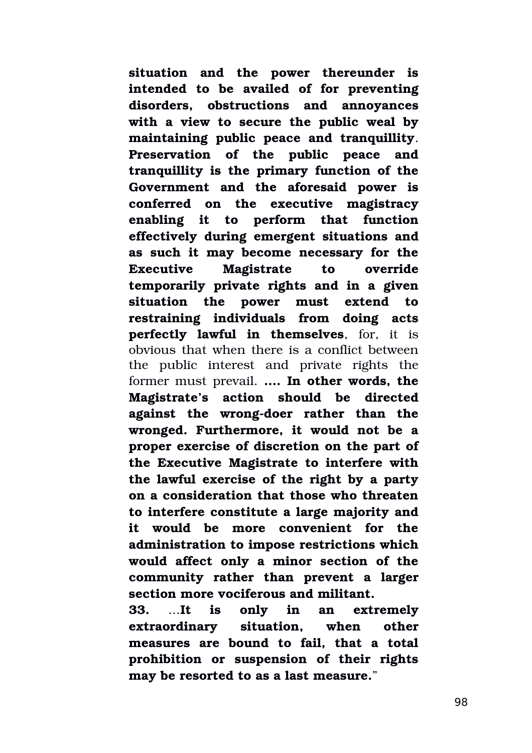**situation and the power thereunder is intended to be availed of for preventing disorders, obstructions and annoyances** with a view to secure the public weal by **maintaining public peace and tranquillity**. Preservation of the public peace and **tranquillity is the primary function of the Government and the aforesaid power is conferred on the executive magistracy enabling it to perform that function effectively during emergent situations and as such it may become necessary for the Executive Magistrate to override temporarily private rights and in a given situation the power must extend to restraining individuals from doing acts perfectly lawful in themselves**, for, it is obvious that when there is a conflict between the public interest and private rights the former must prevail. **…. In other words, the Magistrate's action should be directed** against the wrong-doer rather than the **wronged. Furthermore, it would not be a proper exercise of discretion on the part of the Executive Magistrate to interfere with the lawful exercise of the right by a party on a consideration that those who threaten to interfere constitute a large majority and it would be more convenient for the administration to impose restrictions which would affect only a minor section of the community rather than prevent a larger section more vociferous and militant.**

**33.** ...**It is only in an extremely extraordinary situation, when other measures are bound to fail, that a total prohibition or suspension of their rights may be resorted to as a last measure.**"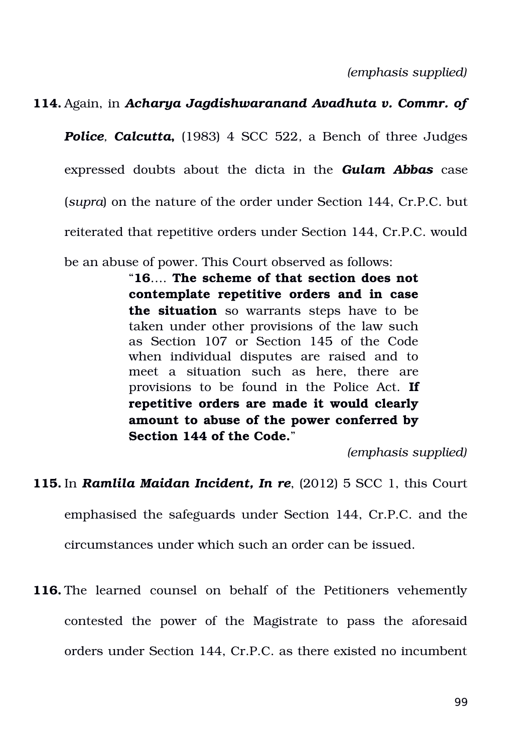*(emphasis supplied)*

### **114.** Again, in *Acharya Jagdishwaranand Avadhuta v. Commr. of*

**Police**, **Calcutta**, (1983) 4 SCC 522, a Bench of three Judges expressed doubts about the dicta in the *Gulam Abbas* case (*supra*) on the nature of the order under Section 144, Cr.P.C. but reiterated that repetitive orders under Section 144, Cr.P.C. would

be an abuse of power. This Court observed as follows:

"**16**…. **The scheme of that section does not contemplate repetitive orders and in case** the situation so warrants steps have to be taken under other provisions of the law such as Section 107 or Section 145 of the Code when individual disputes are raised and to meet a situation such as here, there are provisions to be found in the Police Act. **If repetitive orders are made it would clearly amount to abuse of the power conferred by Section 144 of the Code.**"

*(emphasis supplied)*

**115.** In *Ramlila Maidan Incident, In re*, (2012) 5 SCC 1, this Court

emphasised the safeguards under Section 144, Cr.P.C. and the

circumstances under which such an order can be issued.

116. The learned counsel on behalf of the Petitioners vehemently contested the power of the Magistrate to pass the aforesaid orders under Section 144, Cr.P.C. as there existed no incumbent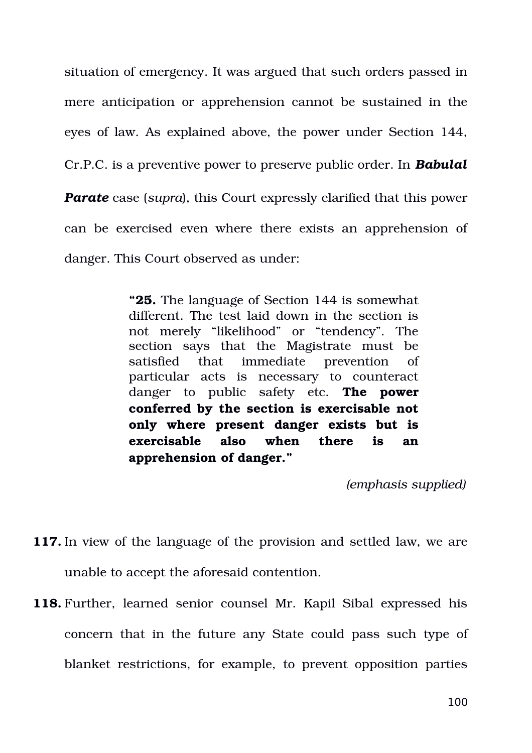situation of emergency. It was argued that such orders passed in mere anticipation or apprehension cannot be sustained in the eyes of law. As explained above, the power under Section 144, Cr.P.C. is a preventive power to preserve public order. In *Babulal Parate* case (*supra*), this Court expressly clarified that this power can be exercised even where there exists an apprehension of danger. This Court observed as under:

> **"25.** The language of Section 144 is somewhat different. The test laid down in the section is not merely "likelihood" or "tendency". The section says that the Magistrate must be satisfied that immediate prevention of particular acts is necessary to counteract danger to public safety etc. **The power conferred by the section is exercisable not only where present danger exists but is exercisable also when there is an apprehension of danger."**

> > *(emphasis supplied)*

- **117.** In view of the language of the provision and settled law, we are unable to accept the aforesaid contention.
- **118.** Further, learned senior counsel Mr. Kapil Sibal expressed his concern that in the future any State could pass such type of blanket restrictions, for example, to prevent opposition parties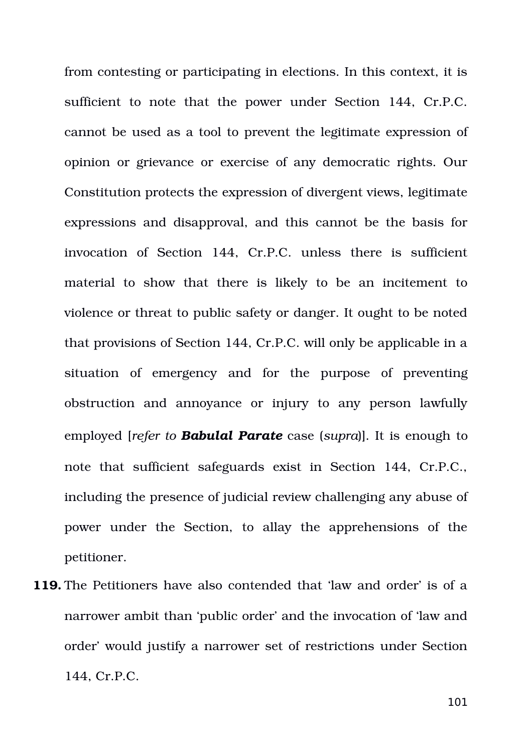from contesting or participating in elections. In this context, it is sufficient to note that the power under Section 144, Cr.P.C. cannot be used as a tool to prevent the legitimate expression of opinion or grievance or exercise of any democratic rights. Our Constitution protects the expression of divergent views, legitimate expressions and disapproval, and this cannot be the basis for invocation of Section 144, Cr.P.C. unless there is sufficient material to show that there is likely to be an incitement to violence or threat to public safety or danger. It ought to be noted that provisions of Section 144, Cr.P.C. will only be applicable in a situation of emergency and for the purpose of preventing obstruction and annoyance or injury to any person lawfully employed [*refer to Babulal Parate* case (*supra*)]. It is enough to note that sufficient safeguards exist in Section 144, Cr.P.C., including the presence of judicial review challenging any abuse of power under the Section, to allay the apprehensions of the petitioner.

**119.** The Petitioners have also contended that 'law and order' is of a narrower ambit than 'public order' and the invocation of 'law and order' would justify a narrower set of restrictions under Section 144, Cr.P.C.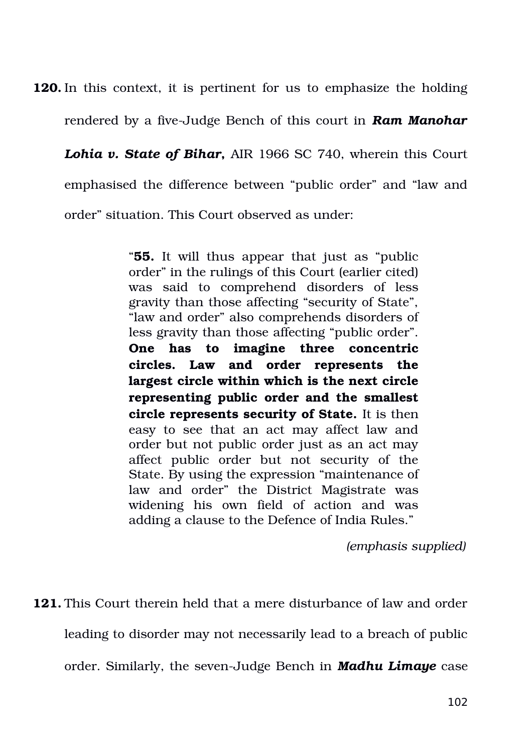**120.** In this context, it is pertinent for us to emphasize the holding

rendered by a five-Judge Bench of this court in **Ram Manohar** 

*Lohia v. State of Bihar*, AIR 1966 SC 740, wherein this Court emphasised the difference between "public order" and "law and order" situation. This Court observed as under:

> "**55.** It will thus appear that just as "public order" in the rulings of this Court (earlier cited) was said to comprehend disorders of less gravity than those affecting "security of State", "law and order" also comprehends disorders of less gravity than those affecting "public order". **One has to imagine three concentric circles. Law and order represents the largest circle within which is the next circle representing public order and the smallest circle represents security of State.** It is then easy to see that an act may affect law and order but not public order just as an act may affect public order but not security of the State. By using the expression "maintenance of law and order" the District Magistrate was widening his own field of action and was adding a clause to the Defence of India Rules."

> > *(emphasis supplied)*

**121.** This Court therein held that a mere disturbance of law and order

leading to disorder may not necessarily lead to a breach of public

order. Similarly, the seven-Judge Bench in **Madhu Limaye** case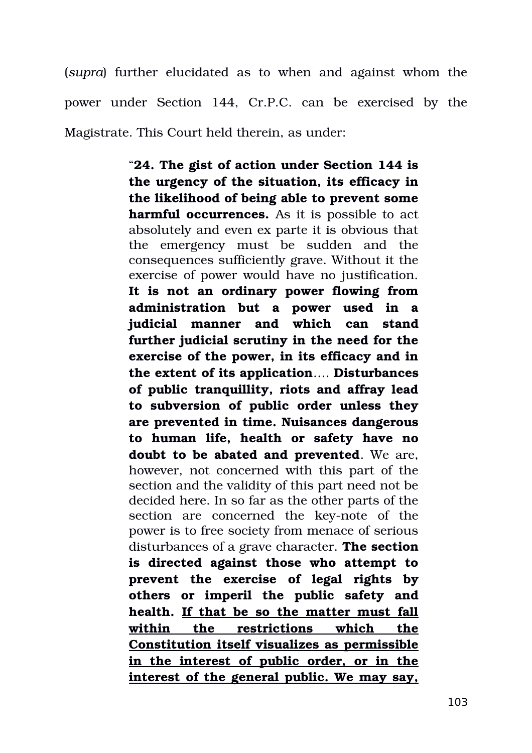(*supra*) further elucidated as to when and against whom the power under Section 144, Cr.P.C. can be exercised by the Magistrate. This Court held therein, as under:

> "**24. The gist of action under Section 144 is the urgency of the situation, its efficacy in the likelihood of being able to prevent some harmful occurrences.** As it is possible to act absolutely and even ex parte it is obvious that the emergency must be sudden and the consequences sufficiently grave. Without it the exercise of power would have no justification. **It is not an ordinary power flowing from administration but a power used in a judicial manner and which can stand further judicial scrutiny in the need for the exercise of the power, in its efficacy and in the extent of its application**…. **Disturbances of public tranquillity, riots and affray lead to subversion of public order unless they are prevented in time. Nuisances dangerous to human life, health or safety have no doubt to be abated and prevented**. We are, however, not concerned with this part of the section and the validity of this part need not be decided here. In so far as the other parts of the section are concerned the key-note of the power is to free society from menace of serious disturbances of a grave character. **The section is directed against those who attempt to prevent the exercise of legal rights by others or imperil the public safety and** health. If that be so the matter must fall **within the restrictions which the Constitution itself visualizes as permissible** in the interest of public order, or in the **interest of the general public. We may say,**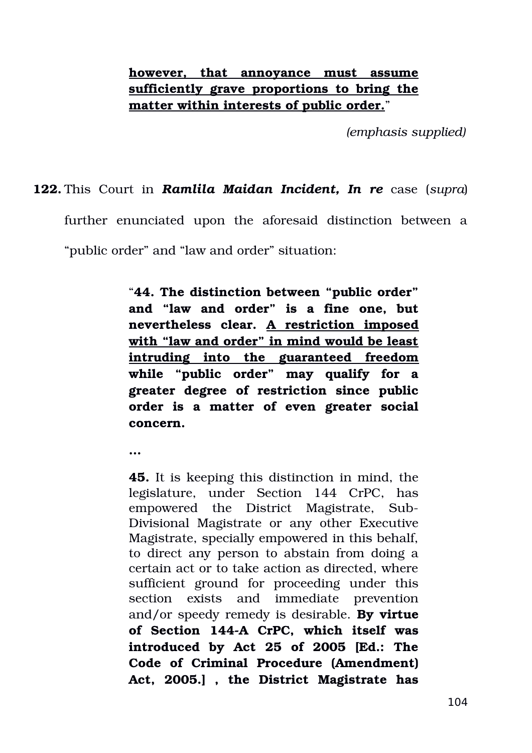# **however, that annoyance must assume sufficiently grave proportions to bring the matter within interests of public order.**"

*(emphasis supplied)*

### **122.** This Court in *Ramlila Maidan Incident, In re* case (*supra*)

further enunciated upon the aforesaid distinction between a

"public order" and "law and order" situation:

**…**

"**44. The distinction between "public order" and "law and order" is a fine one, but nevertheless clear. A restriction imposed with "law and order" in mind would be least intruding into the guaranteed freedom while "public order" may qualify for a greater degree of restriction since public order is a matter of even greater social concern.**

**45.** It is keeping this distinction in mind, the legislature, under Section 144 CrPC, has empowered the District Magistrate, Sub-Divisional Magistrate or any other Executive Magistrate, specially empowered in this behalf, to direct any person to abstain from doing a certain act or to take action as directed, where sufficient ground for proceeding under this section exists and immediate prevention and/or speedy remedy is desirable. **By virtue of Section 144A CrPC, which itself was introduced by Act 25 of 2005 [Ed.: The Code of Criminal Procedure (Amendment) Act, 2005.] , the District Magistrate has**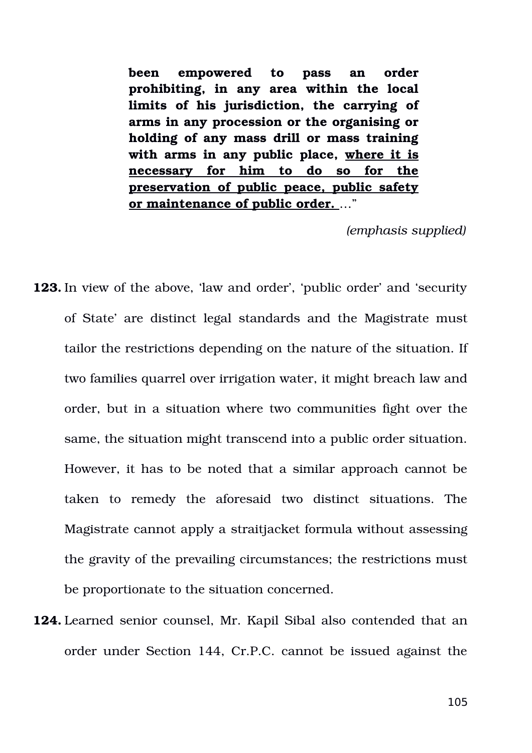**been empowered to pass an order prohibiting, in any area within the local limits of his jurisdiction, the carrying of arms in any procession or the organising or holding of any mass drill or mass training** with arms in any public place, where it is **necessary for him to do so for the preservation of public peace, public safety or maintenance of public order.** …"

*(emphasis supplied)*

- **123.** In view of the above, 'law and order', 'public order' and 'security of State' are distinct legal standards and the Magistrate must tailor the restrictions depending on the nature of the situation. If two families quarrel over irrigation water, it might breach law and order, but in a situation where two communities fight over the same, the situation might transcend into a public order situation. However, it has to be noted that a similar approach cannot be taken to remedy the aforesaid two distinct situations. The Magistrate cannot apply a straitjacket formula without assessing the gravity of the prevailing circumstances; the restrictions must be proportionate to the situation concerned.
- **124.** Learned senior counsel, Mr. Kapil Sibal also contended that an order under Section 144, Cr.P.C. cannot be issued against the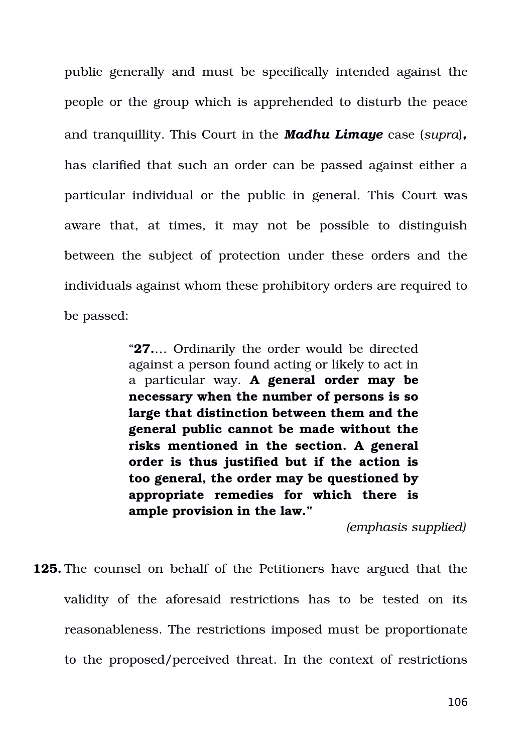public generally and must be specifically intended against the people or the group which is apprehended to disturb the peace and tranquillity. This Court in the *Madhu Limaye* case (*supra*)*,* has clarified that such an order can be passed against either a particular individual or the public in general. This Court was aware that, at times, it may not be possible to distinguish between the subject of protection under these orders and the individuals against whom these prohibitory orders are required to be passed:

> "**27.**… Ordinarily the order would be directed against a person found acting or likely to act in a particular way. **A general order may be necessary when the number of persons is so large that distinction between them and the general public cannot be made without the risks mentioned in the section. A general order is thus justified but if the action is too general, the order may be questioned by appropriate remedies for which there is ample provision in the law."**

> > *(emphasis supplied)*

**125.** The counsel on behalf of the Petitioners have argued that the validity of the aforesaid restrictions has to be tested on its reasonableness. The restrictions imposed must be proportionate to the proposed/perceived threat. In the context of restrictions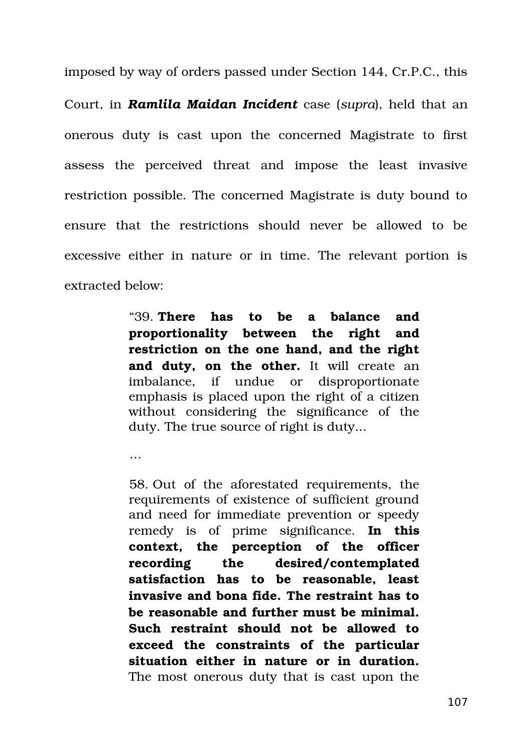imposed by way of orders passed under Section 144, Cr.P.C., this Court, in *Ramlila Maidan Incident* case (*supra*), held that an onerous duty is cast upon the concerned Magistrate to first assess the perceived threat and impose the least invasive restriction possible. The concerned Magistrate is duty bound to ensure that the restrictions should never be allowed to be excessive either in nature or in time. The relevant portion is extracted below:

> "39. **There has to be a balance and proportionality between the right and restriction on the one hand, and the right** and duty, on the other. It will create an imbalance, if undue or disproportionate emphasis is placed upon the right of a citizen without considering the significance of the duty. The true source of right is duty...

…

58. Out of the aforestated requirements, the requirements of existence of sufficient ground and need for immediate prevention or speedy remedy is of prime significance. In this **context, the perception of the officer recording the desired/contemplated satisfaction has to be reasonable, least invasive and bona fide. The restraint has to be reasonable and further must be minimal. Such restraint should not be allowed to exceed the constraints of the particular situation either in nature or in duration.** The most onerous duty that is cast upon the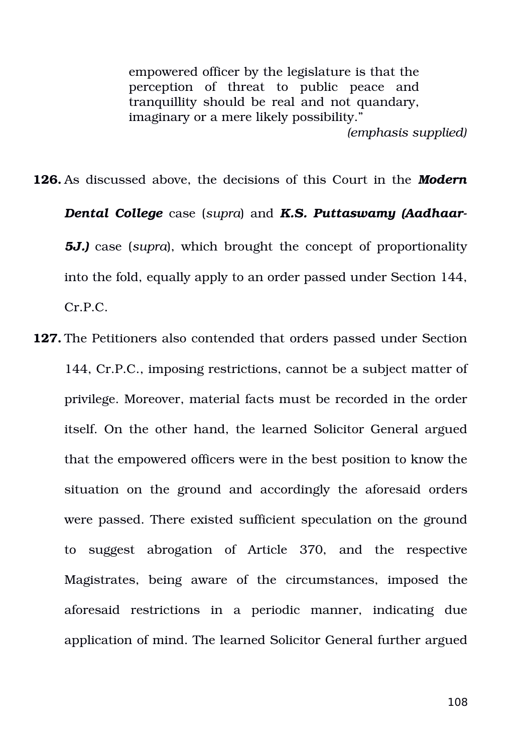empowered officer by the legislature is that the perception of threat to public peace and tranquillity should be real and not quandary, imaginary or a mere likely possibility." *(emphasis supplied)*

**126.** As discussed above, the decisions of this Court in the *Modern Dental College* case (*supra*) and *K.S. Puttaswamy (Aadhaar-***5J.)** case (*supra*), which brought the concept of proportionality into the fold, equally apply to an order passed under Section 144, Cr.P.C.

**127.** The Petitioners also contended that orders passed under Section 144, Cr.P.C., imposing restrictions, cannot be a subject matter of privilege. Moreover, material facts must be recorded in the order itself. On the other hand, the learned Solicitor General argued that the empowered officers were in the best position to know the situation on the ground and accordingly the aforesaid orders were passed. There existed sufficient speculation on the ground to suggest abrogation of Article 370, and the respective Magistrates, being aware of the circumstances, imposed the aforesaid restrictions in a periodic manner, indicating due application of mind. The learned Solicitor General further argued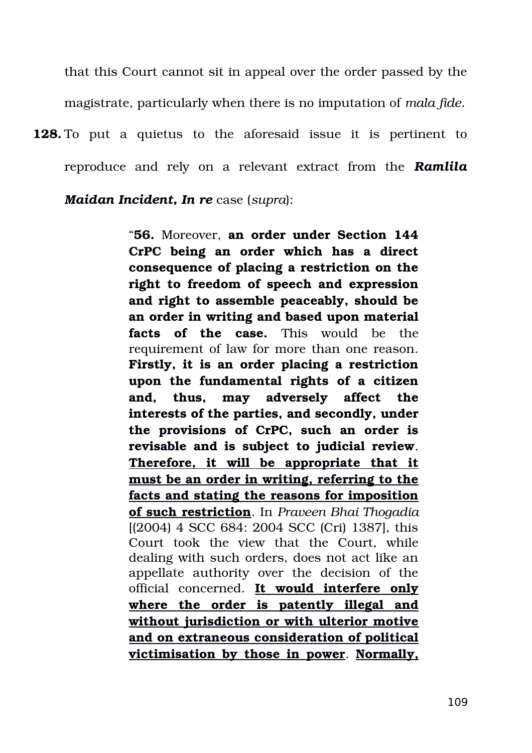that this Court cannot sit in appeal over the order passed by the magistrate, particularly when there is no imputation of *mala fide.*

**128.** To put a quietus to the aforesaid issue it is pertinent to reproduce and rely on a relevant extract from the **Ramlila** 

*Maidan Incident, In re* case (*supra*):

"**56.** Moreover, **an order under Section 144 CrPC being an order which has a direct consequence of placing a restriction on the right to freedom of speech and expression and right to assemble peaceably, should be an order in writing and based upon material facts** of the case. This would be the requirement of law for more than one reason. **Firstly, it is an order placing a restriction upon the fundamental rights of a citizen and, thus, may adversely affect the interests of the parties, and secondly, under the provisions of CrPC, such an order is revisable and is subject to judicial review**. **Therefore, it will be appropriate that it must be an order in writing, referring to the facts and stating the reasons for imposition of such restriction**. In *Praveen Bhai Thogadia* [(2004) 4 SCC 684: 2004 SCC (Cri) 1387], this Court took the view that the Court, while dealing with such orders, does not act like an appellate authority over the decision of the official concerned. **It would interfere only where the order is patently illegal and without jurisdiction or with ulterior motive and on extraneous consideration of political victimisation by those in power**. **Normally,**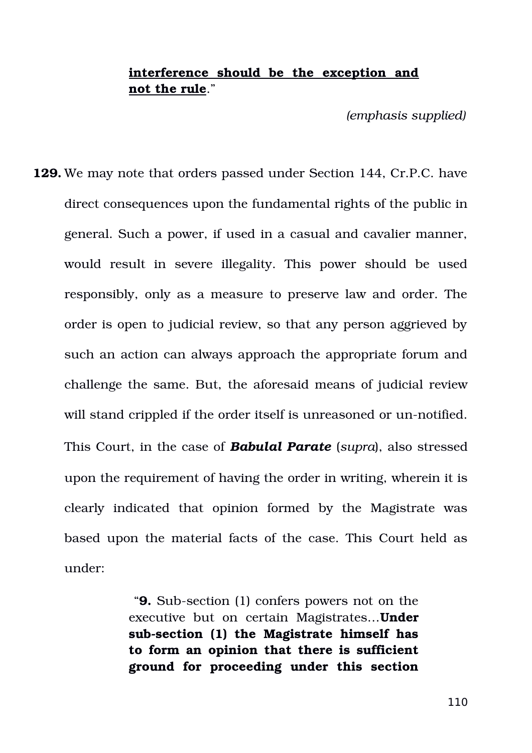## **interference should be the exception and not the rule**."

*(emphasis supplied)*

**129.** We may note that orders passed under Section 144, Cr.P.C. have direct consequences upon the fundamental rights of the public in general. Such a power, if used in a casual and cavalier manner, would result in severe illegality. This power should be used responsibly, only as a measure to preserve law and order. The order is open to judicial review, so that any person aggrieved by such an action can always approach the appropriate forum and challenge the same. But, the aforesaid means of judicial review will stand crippled if the order itself is unreasoned or un-notified. This Court, in the case of *Babulal Parate* (*supra*), also stressed upon the requirement of having the order in writing, wherein it is clearly indicated that opinion formed by the Magistrate was based upon the material facts of the case. This Court held as under:

> "9. Sub-section (1) confers powers not on the executive but on certain Magistrates…**Under** sub-section (1) the Magistrate himself has **to form an opinion that there is sufficient ground for proceeding under this section**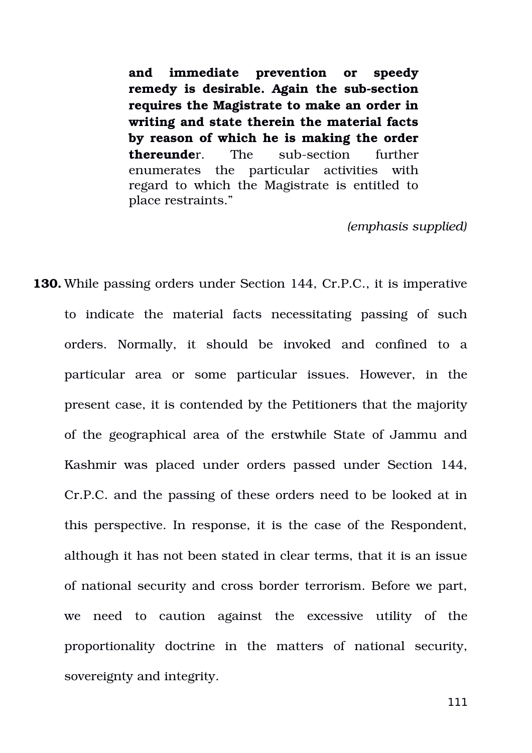**and immediate prevention or speedy** remedy is desirable. Again the sub-section **requires the Magistrate to make an order in writing and state therein the material facts by reason of which he is making the order thereunde**r. The sub-section further enumerates the particular activities with regard to which the Magistrate is entitled to place restraints."

*(emphasis supplied)*

**130.** While passing orders under Section 144, Cr.P.C., it is imperative to indicate the material facts necessitating passing of such orders. Normally, it should be invoked and confined to a particular area or some particular issues. However, in the present case, it is contended by the Petitioners that the majority of the geographical area of the erstwhile State of Jammu and Kashmir was placed under orders passed under Section 144, Cr.P.C. and the passing of these orders need to be looked at in this perspective. In response, it is the case of the Respondent, although it has not been stated in clear terms, that it is an issue of national security and cross border terrorism. Before we part, we need to caution against the excessive utility of the proportionality doctrine in the matters of national security, sovereignty and integrity.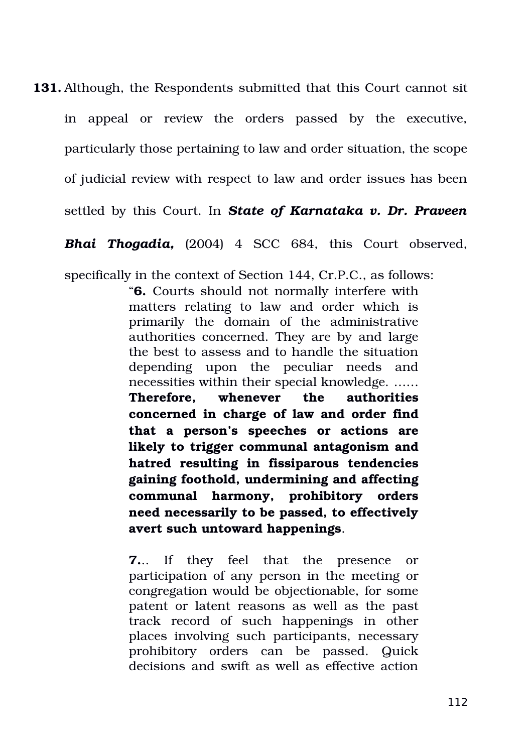**131.** Although, the Respondents submitted that this Court cannot sit in appeal or review the orders passed by the executive, particularly those pertaining to law and order situation, the scope of judicial review with respect to law and order issues has been settled by this Court. In *State of Karnataka v. Dr. Praveen*

**Bhai Thogadia,** (2004) 4 SCC 684, this Court observed,

specifically in the context of Section 144, Cr.P.C., as follows:

"**6.** Courts should not normally interfere with matters relating to law and order which is primarily the domain of the administrative authorities concerned. They are by and large the best to assess and to handle the situation depending upon the peculiar needs and necessities within their special knowledge. …… **Therefore, whenever the authorities concerned in charge of law and order find that a person's speeches or actions are likely to trigger communal antagonism and hatred resulting in fissiparous tendencies gaining foothold, undermining and affecting communal harmony, prohibitory orders need necessarily to be passed, to effectively avert such untoward happenings**.

**7.**.. If they feel that the presence or participation of any person in the meeting or congregation would be objectionable, for some patent or latent reasons as well as the past track record of such happenings in other places involving such participants, necessary prohibitory orders can be passed. Quick decisions and swift as well as effective action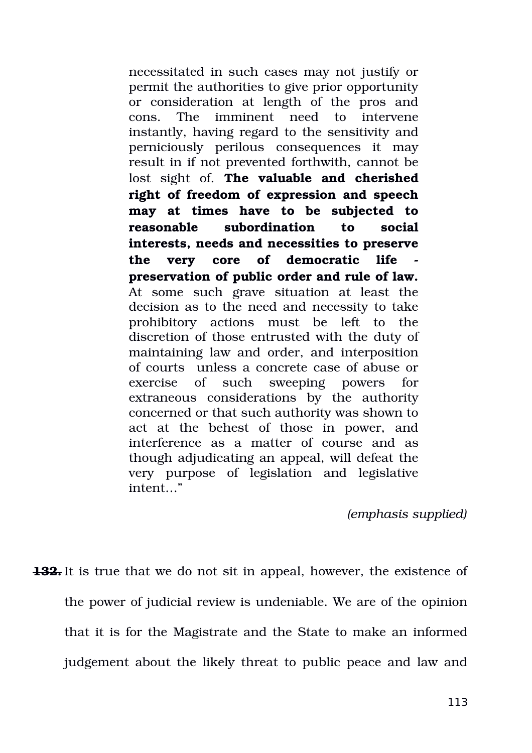necessitated in such cases may not justify or permit the authorities to give prior opportunity or consideration at length of the pros and cons. The imminent need to intervene instantly, having regard to the sensitivity and perniciously perilous consequences it may result in if not prevented forthwith, cannot be lost sight of. The valuable and cherished **right of freedom of expression and speech may at times have to be subjected to reasonable subordination to social interests, needs and necessities to preserve the very core of democratic life preservation of public order and rule of law.** At some such grave situation at least the decision as to the need and necessity to take prohibitory actions must be left to the discretion of those entrusted with the duty of maintaining law and order, and interposition of courts unless a concrete case of abuse or exercise of such sweeping powers for extraneous considerations by the authority concerned or that such authority was shown to act at the behest of those in power, and interference as a matter of course and as though adjudicating an appeal, will defeat the very purpose of legislation and legislative intent…"

*(emphasis supplied)*

**132.** It is true that we do not sit in appeal, however, the existence of the power of judicial review is undeniable. We are of the opinion that it is for the Magistrate and the State to make an informed judgement about the likely threat to public peace and law and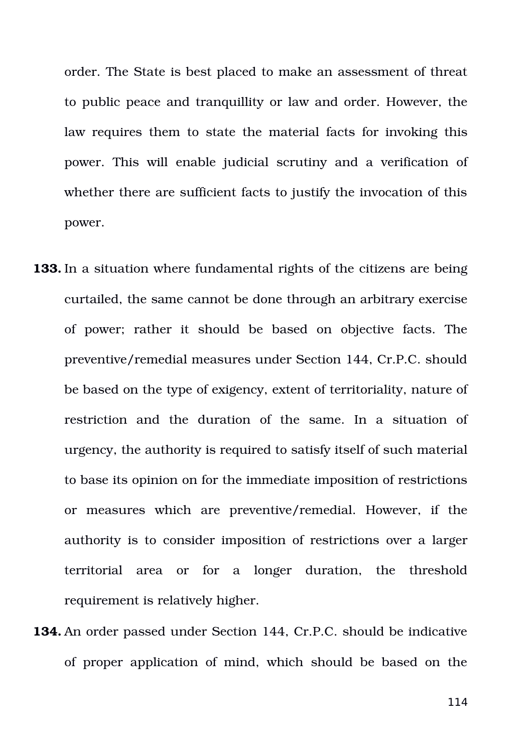order. The State is best placed to make an assessment of threat to public peace and tranquillity or law and order. However, the law requires them to state the material facts for invoking this power. This will enable judicial scrutiny and a verification of whether there are sufficient facts to justify the invocation of this power.

- **133.** In a situation where fundamental rights of the citizens are being curtailed, the same cannot be done through an arbitrary exercise of power; rather it should be based on objective facts. The preventive/remedial measures under Section 144, Cr.P.C. should be based on the type of exigency, extent of territoriality, nature of restriction and the duration of the same. In a situation of urgency, the authority is required to satisfy itself of such material to base its opinion on for the immediate imposition of restrictions or measures which are preventive/remedial. However, if the authority is to consider imposition of restrictions over a larger territorial area or for a longer duration, the threshold requirement is relatively higher.
- **134.** An order passed under Section 144, Cr.P.C. should be indicative of proper application of mind, which should be based on the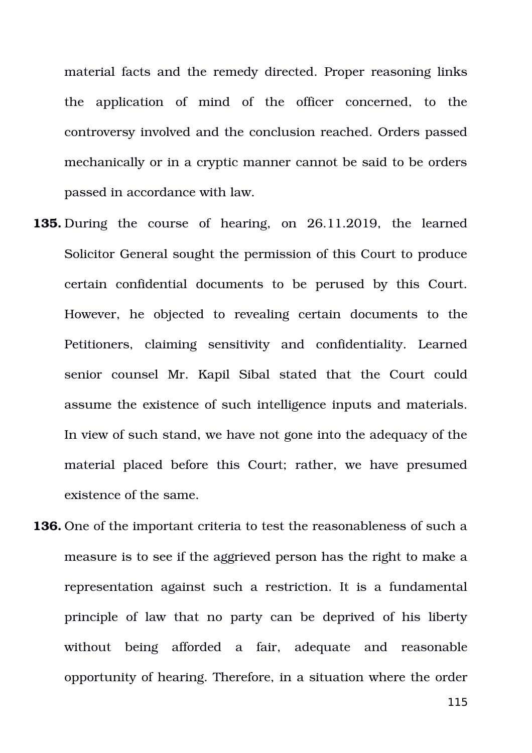material facts and the remedy directed. Proper reasoning links the application of mind of the officer concerned, to the controversy involved and the conclusion reached. Orders passed mechanically or in a cryptic manner cannot be said to be orders passed in accordance with law.

- **135.** During the course of hearing, on 26.11.2019, the learned Solicitor General sought the permission of this Court to produce certain confidential documents to be perused by this Court. However, he objected to revealing certain documents to the Petitioners, claiming sensitivity and confidentiality. Learned senior counsel Mr. Kapil Sibal stated that the Court could assume the existence of such intelligence inputs and materials. In view of such stand, we have not gone into the adequacy of the material placed before this Court; rather, we have presumed existence of the same.
- **136.** One of the important criteria to test the reasonableness of such a measure is to see if the aggrieved person has the right to make a representation against such a restriction. It is a fundamental principle of law that no party can be deprived of his liberty without being afforded a fair, adequate and reasonable opportunity of hearing. Therefore, in a situation where the order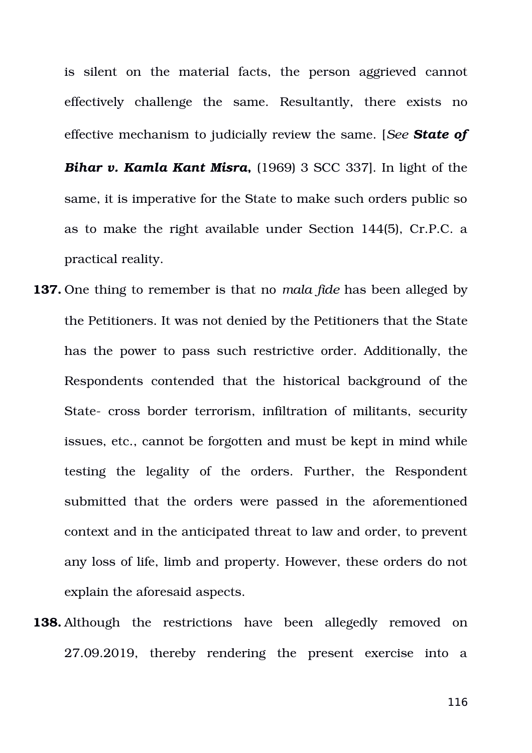is silent on the material facts, the person aggrieved cannot effectively challenge the same. Resultantly, there exists no effective mechanism to judicially review the same. [*See State of Bihar v. Kamla Kant Misra,* (1969) 3 SCC 337]. In light of the same, it is imperative for the State to make such orders public so as to make the right available under Section 144(5), Cr.P.C. a practical reality.

- **137.** One thing to remember is that no *mala fide* has been alleged by the Petitioners. It was not denied by the Petitioners that the State has the power to pass such restrictive order. Additionally, the Respondents contended that the historical background of the State- cross border terrorism, infiltration of militants, security issues, etc., cannot be forgotten and must be kept in mind while testing the legality of the orders. Further, the Respondent submitted that the orders were passed in the aforementioned context and in the anticipated threat to law and order, to prevent any loss of life, limb and property. However, these orders do not explain the aforesaid aspects.
- **138.** Although the restrictions have been allegedly removed on 27.09.2019, thereby rendering the present exercise into a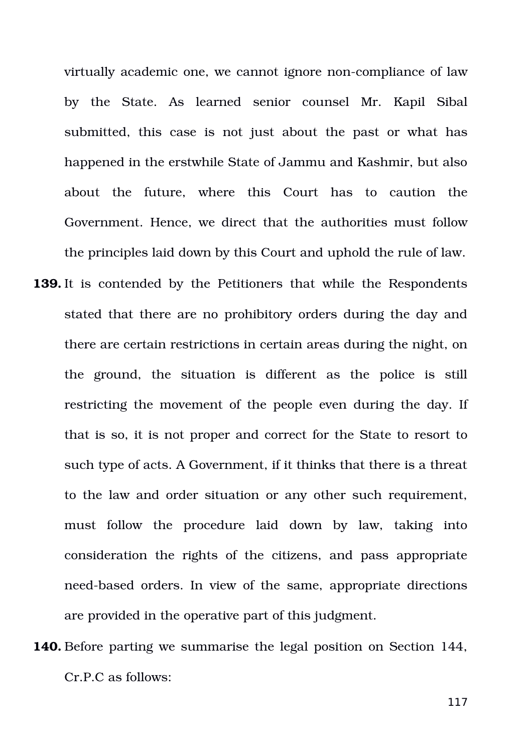virtually academic one, we cannot ignore non-compliance of law by the State. As learned senior counsel Mr. Kapil Sibal submitted, this case is not just about the past or what has happened in the erstwhile State of Jammu and Kashmir, but also about the future, where this Court has to caution the Government. Hence, we direct that the authorities must follow the principles laid down by this Court and uphold the rule of law.

- **139.** It is contended by the Petitioners that while the Respondents stated that there are no prohibitory orders during the day and there are certain restrictions in certain areas during the night, on the ground, the situation is different as the police is still restricting the movement of the people even during the day. If that is so, it is not proper and correct for the State to resort to such type of acts. A Government, if it thinks that there is a threat to the law and order situation or any other such requirement, must follow the procedure laid down by law, taking into consideration the rights of the citizens, and pass appropriate need-based orders. In view of the same, appropriate directions are provided in the operative part of this judgment.
- **140.** Before parting we summarise the legal position on Section 144, Cr.P.C as follows: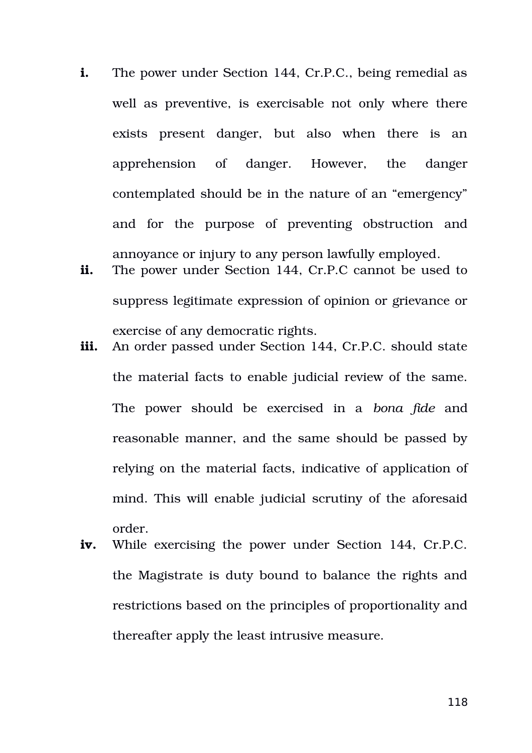- **i.** The power under Section 144, Cr.P.C., being remedial as well as preventive, is exercisable not only where there exists present danger, but also when there is an apprehension of danger. However, the danger contemplated should be in the nature of an "emergency" and for the purpose of preventing obstruction and annoyance or injury to any person lawfully employed.
- **ii.** The power under Section 144, Cr.P.C cannot be used to suppress legitimate expression of opinion or grievance or exercise of any democratic rights.
- **iii.** An order passed under Section 144, Cr.P.C. should state the material facts to enable judicial review of the same. The power should be exercised in a *bona fide* and reasonable manner, and the same should be passed by relying on the material facts, indicative of application of mind. This will enable judicial scrutiny of the aforesaid order.
- **iv.** While exercising the power under Section 144, Cr.P.C. the Magistrate is duty bound to balance the rights and restrictions based on the principles of proportionality and thereafter apply the least intrusive measure.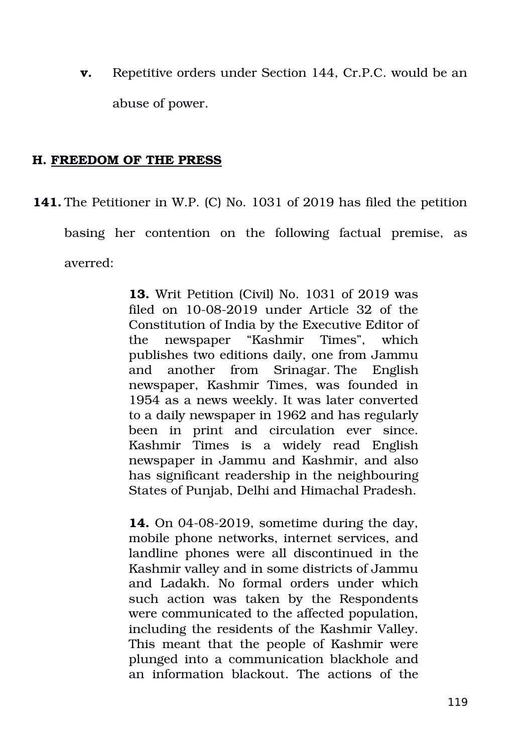**v.** Repetitive orders under Section 144, Cr.P.C. would be an abuse of power.

## **H. FREEDOM OF THE PRESS**

**141.** The Petitioner in W.P. (C) No. 1031 of 2019 has filed the petition basing her contention on the following factual premise, as averred:

> **13.** Writ Petition (Civil) No. 1031 of 2019 was filed on  $10-08-2019$  under Article 32 of the Constitution of India by the Executive Editor of the newspaper "Kashmir Times", which publishes two editions daily, one from Jammu and another from Srinagar. The English newspaper, Kashmir Times, was founded in 1954 as a news weekly. It was later converted to a daily newspaper in 1962 and has regularly been in print and circulation ever since. Kashmir Times is a widely read English newspaper in Jammu and Kashmir, and also has significant readership in the neighbouring States of Punjab, Delhi and Himachal Pradesh.

> **14.** On 04-08-2019, sometime during the day, mobile phone networks, internet services, and landline phones were all discontinued in the Kashmir valley and in some districts of Jammu and Ladakh. No formal orders under which such action was taken by the Respondents were communicated to the affected population, including the residents of the Kashmir Valley. This meant that the people of Kashmir were plunged into a communication blackhole and an information blackout. The actions of the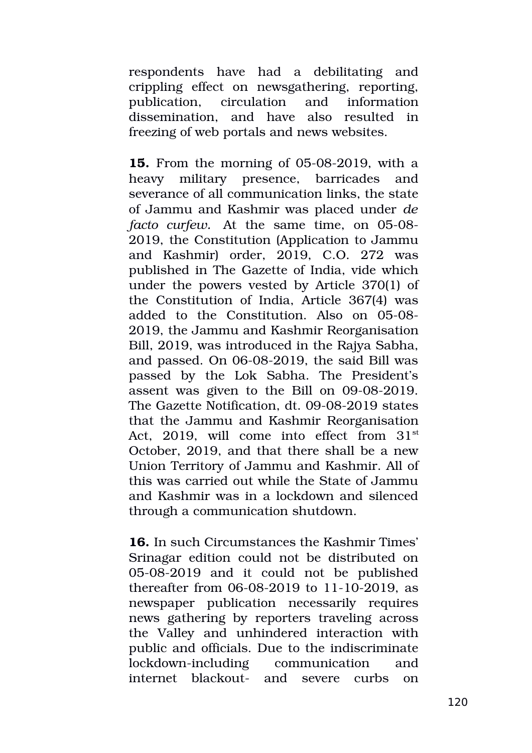respondents have had a debilitating and crippling effect on newsgathering, reporting, publication, circulation and information dissemination, and have also resulted in freezing of web portals and news websites.

**15.** From the morning of 05-08-2019, with a heavy military presence, barricades and severance of all communication links, the state of Jammu and Kashmir was placed under *de facto curfew.* At the same time, on 05-08-2019, the Constitution (Application to Jammu and Kashmir) order, 2019, C.O. 272 was published in The Gazette of India, vide which under the powers vested by Article 370(1) of the Constitution of India, Article 367(4) was added to the Constitution. Also on 05-08-2019, the Jammu and Kashmir Reorganisation Bill, 2019, was introduced in the Rajya Sabha, and passed. On 06-08-2019, the said Bill was passed by the Lok Sabha. The President's assent was given to the Bill on  $09-08-2019$ . The Gazette Notification, dt. 09-08-2019 states that the Jammu and Kashmir Reorganisation Act,  $2019$ , will come into effect from  $31<sup>st</sup>$ October, 2019, and that there shall be a new Union Territory of Jammu and Kashmir. All of this was carried out while the State of Jammu and Kashmir was in a lockdown and silenced through a communication shutdown.

**16.** In such Circumstances the Kashmir Times' Srinagar edition could not be distributed on 05-08-2019 and it could not be published thereafter from  $06-08-2019$  to  $11-10-2019$ , as newspaper publication necessarily requires news gathering by reporters traveling across the Valley and unhindered interaction with public and officials. Due to the indiscriminate lockdown-including communication and internet blackout- and severe curbs on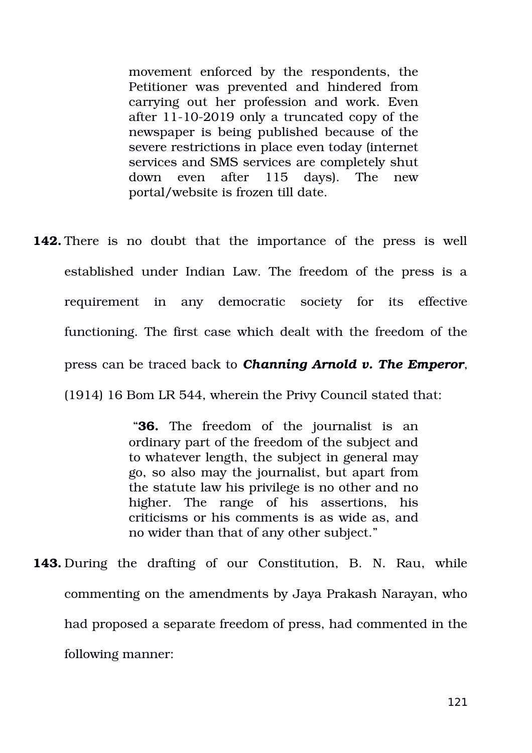movement enforced by the respondents, the Petitioner was prevented and hindered from carrying out her profession and work. Even after  $11-10-2019$  only a truncated copy of the newspaper is being published because of the severe restrictions in place even today (internet services and SMS services are completely shut down even after 115 days). The new portal/website is frozen till date.

**142.** There is no doubt that the importance of the press is well established under Indian Law. The freedom of the press is a requirement in any democratic society for its effective functioning. The first case which dealt with the freedom of the press can be traced back to *Channing Arnold v. The Emperor*, (1914) 16 Bom LR 544, wherein the Privy Council stated that:

> "**36.** The freedom of the journalist is an ordinary part of the freedom of the subject and to whatever length, the subject in general may go, so also may the journalist, but apart from the statute law his privilege is no other and no higher. The range of his assertions, his criticisms or his comments is as wide as, and no wider than that of any other subject."

**143.** During the drafting of our Constitution, B. N. Rau, while commenting on the amendments by Jaya Prakash Narayan, who had proposed a separate freedom of press, had commented in the following manner: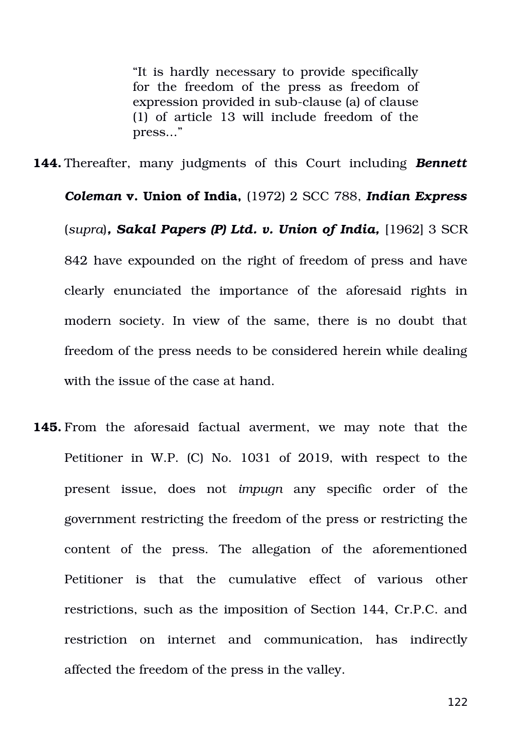"It is hardly necessary to provide specifically for the freedom of the press as freedom of expression provided in sub-clause (a) of clause (1) of article 13 will include freedom of the press..."

*Coleman* **v. Union of India,** (1972) 2 SCC 788, *Indian Express* (*supra*)*, Sakal Papers (P) Ltd. v. Union of India,* [1962] 3 SCR 842 have expounded on the right of freedom of press and have clearly enunciated the importance of the aforesaid rights in modern society. In view of the same, there is no doubt that freedom of the press needs to be considered herein while dealing with the issue of the case at hand.

**144.** Thereafter, many judgments of this Court including *Bennett* 

**145.** From the aforesaid factual averment, we may note that the Petitioner in W.P. (C) No. 1031 of 2019, with respect to the present issue, does not *impugn* any specific order of the government restricting the freedom of the press or restricting the content of the press. The allegation of the aforementioned Petitioner is that the cumulative effect of various other restrictions, such as the imposition of Section 144, Cr.P.C. and restriction on internet and communication, has indirectly affected the freedom of the press in the valley.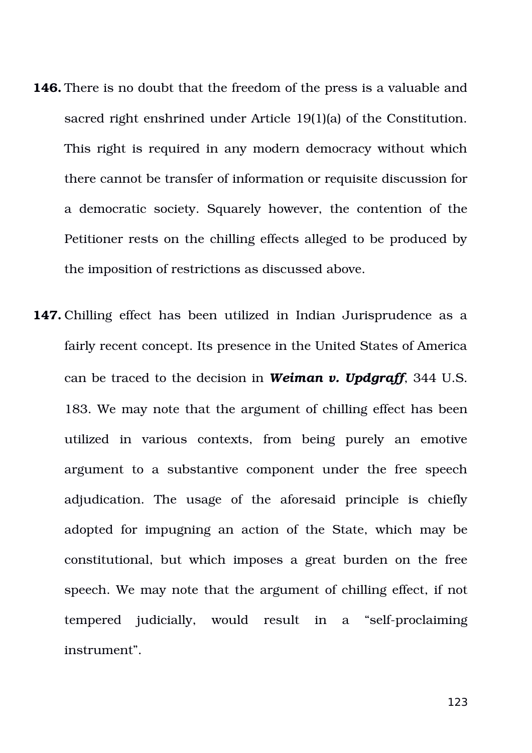- **146.** There is no doubt that the freedom of the press is a valuable and sacred right enshrined under Article 19(1)(a) of the Constitution. This right is required in any modern democracy without which there cannot be transfer of information or requisite discussion for a democratic society. Squarely however, the contention of the Petitioner rests on the chilling effects alleged to be produced by the imposition of restrictions as discussed above.
- **147.** Chilling effect has been utilized in Indian Jurisprudence as a fairly recent concept. Its presence in the United States of America can be traced to the decision in *Weiman v. Updgraff*, 344 U.S. 183. We may note that the argument of chilling effect has been utilized in various contexts, from being purely an emotive argument to a substantive component under the free speech adjudication. The usage of the aforesaid principle is chiefly adopted for impugning an action of the State, which may be constitutional, but which imposes a great burden on the free speech. We may note that the argument of chilling effect, if not tempered judicially, would result in a "self-proclaiming" instrument".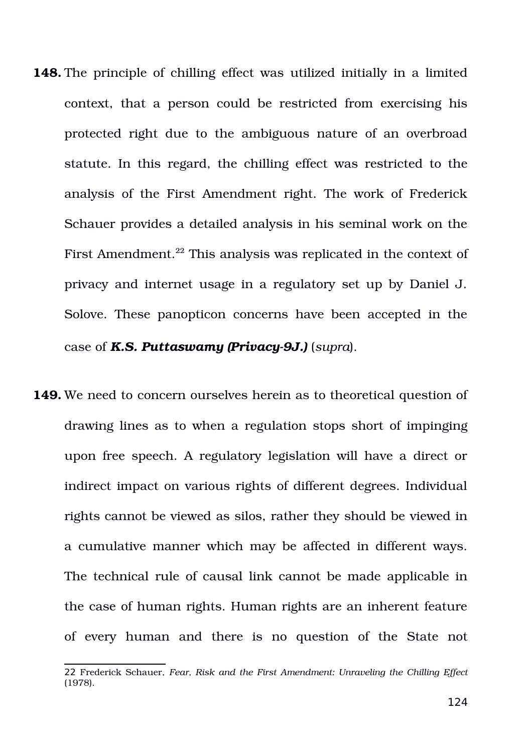- **148.** The principle of chilling effect was utilized initially in a limited context, that a person could be restricted from exercising his protected right due to the ambiguous nature of an overbroad statute. In this regard, the chilling effect was restricted to the analysis of the First Amendment right. The work of Frederick Schauer provides a detailed analysis in his seminal work on the First Amendment.<sup>[22](#page-123-0)</sup> This analysis was replicated in the context of privacy and internet usage in a regulatory set up by Daniel J. Solove. These panopticon concerns have been accepted in the case of **K.S. Puttaswamy (Privacy-9J.)** (*supra*).
- **149.** We need to concern ourselves herein as to theoretical question of drawing lines as to when a regulation stops short of impinging upon free speech. A regulatory legislation will have a direct or indirect impact on various rights of different degrees. Individual rights cannot be viewed as silos, rather they should be viewed in a cumulative manner which may be affected in different ways. The technical rule of causal link cannot be made applicable in the case of human rights. Human rights are an inherent feature of every human and there is no question of the State not

<span id="page-123-0"></span><sup>22</sup> Frederick Schauer, *Fear, Risk and the First Amendment: Unraveling the Chilling Effect* (1978).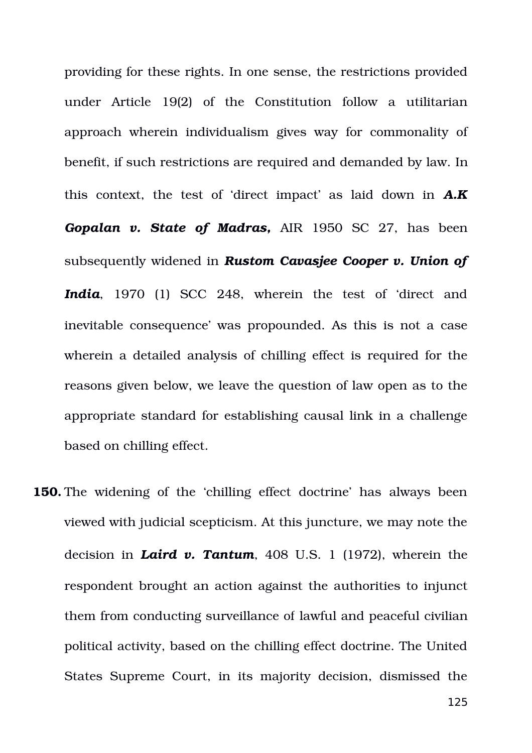providing for these rights. In one sense, the restrictions provided under Article 19(2) of the Constitution follow a utilitarian approach wherein individualism gives way for commonality of benefit, if such restrictions are required and demanded by law. In this context, the test of 'direct impact' as laid down in **A.K** Gopalan v. State of Madras, AIR 1950 SC 27, has been subsequently widened in *Rustom Cavasjee Cooper v. Union of* India, 1970 (1) SCC 248, wherein the test of 'direct and inevitable consequence' was propounded. As this is not a case wherein a detailed analysis of chilling effect is required for the reasons given below, we leave the question of law open as to the appropriate standard for establishing causal link in a challenge based on chilling effect.

**150.** The widening of the 'chilling effect doctrine' has always been viewed with judicial scepticism. At this juncture, we may note the decision in *Laird v. Tantum*, 408 U.S. 1 (1972), wherein the respondent brought an action against the authorities to injunct them from conducting surveillance of lawful and peaceful civilian political activity, based on the chilling effect doctrine. The United States Supreme Court, in its majority decision, dismissed the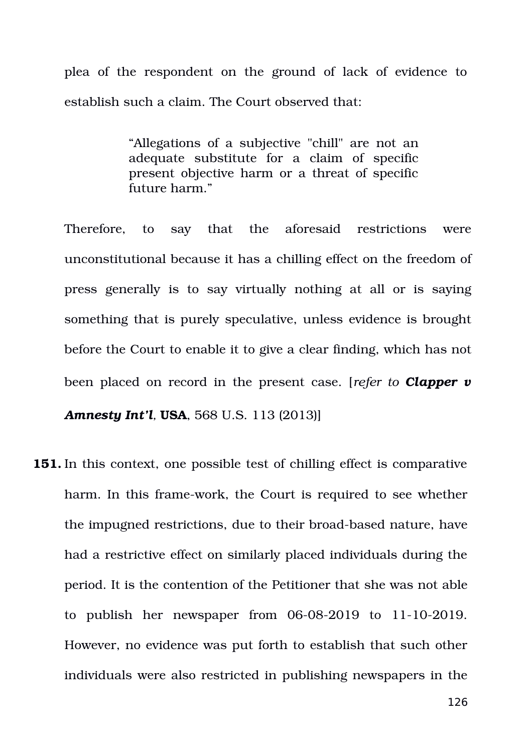plea of the respondent on the ground of lack of evidence to establish such a claim. The Court observed that:

> "Allegations of a subjective "chill" are not an adequate substitute for a claim of specific present objective harm or a threat of specific future harm."

Therefore, to say that the aforesaid restrictions were unconstitutional because it has a chilling effect on the freedom of press generally is to say virtually nothing at all or is saying something that is purely speculative, unless evidence is brought before the Court to enable it to give a clear finding, which has not been placed on record in the present case. [*refer to Clapper v Amnesty Int'l,* **USA**, 568 U.S. 113 (2013)]

**151.** In this context, one possible test of chilling effect is comparative harm. In this frame-work, the Court is required to see whether the impugned restrictions, due to their broad-based nature, have had a restrictive effect on similarly placed individuals during the period. It is the contention of the Petitioner that she was not able to publish her newspaper from  $06-08-2019$  to  $11-10-2019$ . However, no evidence was put forth to establish that such other individuals were also restricted in publishing newspapers in the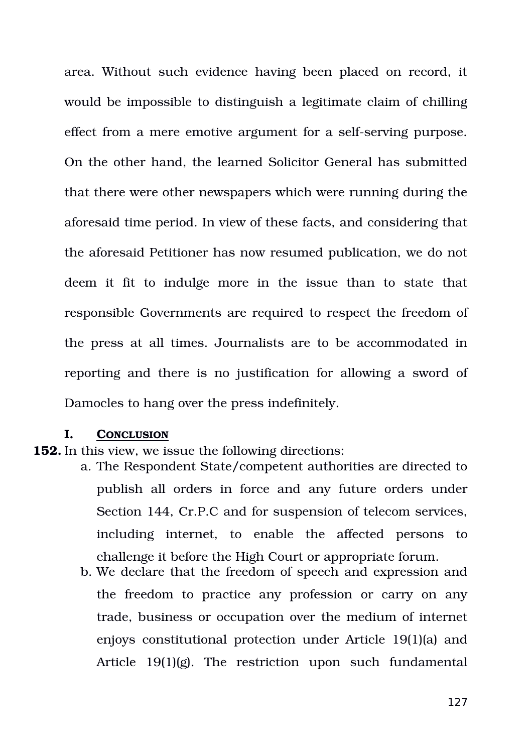area. Without such evidence having been placed on record, it would be impossible to distinguish a legitimate claim of chilling effect from a mere emotive argument for a self-serving purpose. On the other hand, the learned Solicitor General has submitted that there were other newspapers which were running during the aforesaid time period. In view of these facts, and considering that the aforesaid Petitioner has now resumed publication, we do not deem it fit to indulge more in the issue than to state that responsible Governments are required to respect the freedom of the press at all times. Journalists are to be accommodated in reporting and there is no justification for allowing a sword of Damocles to hang over the press indefinitely.

## **I. CONCLUSION**

- **152.** In this view, we issue the following directions:
	- a. The Respondent State/competent authorities are directed to publish all orders in force and any future orders under Section 144, Cr.P.C and for suspension of telecom services, including internet, to enable the affected persons to challenge it before the High Court or appropriate forum.
	- b. We declare that the freedom of speech and expression and the freedom to practice any profession or carry on any trade, business or occupation over the medium of internet enjoys constitutional protection under Article 19(1)(a) and Article  $19(1)(g)$ . The restriction upon such fundamental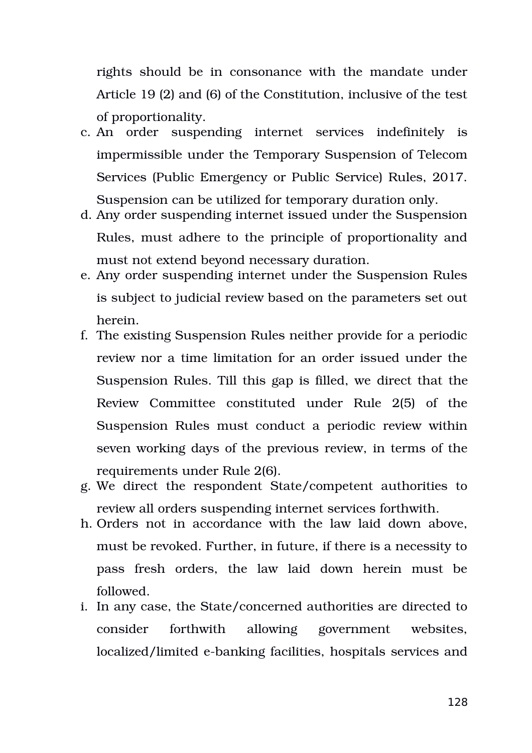rights should be in consonance with the mandate under Article 19 (2) and (6) of the Constitution, inclusive of the test of proportionality.

- c. An order suspending internet services indefinitely is impermissible under the Temporary Suspension of Telecom Services (Public Emergency or Public Service) Rules, 2017. Suspension can be utilized for temporary duration only.
- d. Any order suspending internet issued under the Suspension Rules, must adhere to the principle of proportionality and must not extend beyond necessary duration.
- e. Any order suspending internet under the Suspension Rules is subject to judicial review based on the parameters set out herein.
- f. The existing Suspension Rules neither provide for a periodic review nor a time limitation for an order issued under the Suspension Rules. Till this gap is filled, we direct that the Review Committee constituted under Rule 2(5) of the Suspension Rules must conduct a periodic review within seven working days of the previous review, in terms of the requirements under Rule 2(6).
- g. We direct the respondent State/competent authorities to review all orders suspending internet services forthwith.
- h. Orders not in accordance with the law laid down above, must be revoked. Further, in future, if there is a necessity to pass fresh orders, the law laid down herein must be followed.
- i. In any case, the State/concerned authorities are directed to consider forthwith allowing government websites, localized/limited e-banking facilities, hospitals services and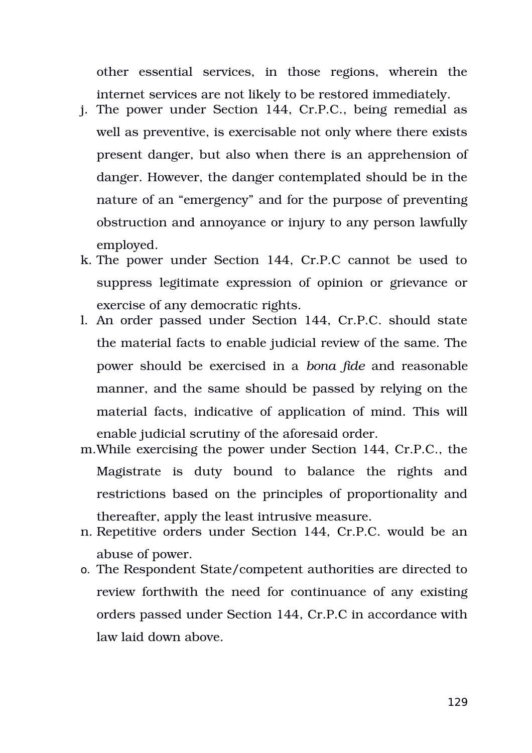other essential services, in those regions, wherein the internet services are not likely to be restored immediately.

- j. The power under Section 144, Cr.P.C., being remedial as well as preventive, is exercisable not only where there exists present danger, but also when there is an apprehension of danger. However, the danger contemplated should be in the nature of an "emergency" and for the purpose of preventing obstruction and annoyance or injury to any person lawfully employed.
- k. The power under Section 144, Cr.P.C cannot be used to suppress legitimate expression of opinion or grievance or exercise of any democratic rights.
- l. An order passed under Section 144, Cr.P.C. should state the material facts to enable judicial review of the same. The power should be exercised in a *bona fide* and reasonable manner, and the same should be passed by relying on the material facts, indicative of application of mind. This will enable judicial scrutiny of the aforesaid order.
- m.While exercising the power under Section 144, Cr.P.C., the Magistrate is duty bound to balance the rights and restrictions based on the principles of proportionality and thereafter, apply the least intrusive measure.
- n. Repetitive orders under Section 144, Cr.P.C. would be an abuse of power.
- o. The Respondent State/competent authorities are directed to review forthwith the need for continuance of any existing orders passed under Section 144, Cr.P.C in accordance with law laid down above.